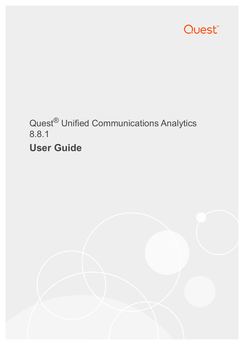

# Quest® Unified Communications Analytics 8.8.1 **User Guide**

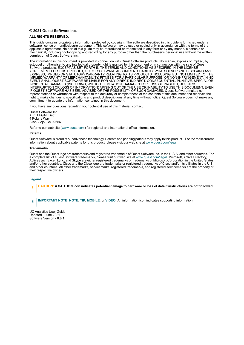#### **© 2021 Quest Software Inc.**

#### **ALL RIGHTS RESERVED.**

This guide contains proprietary information protected by copyright. The software described in this guide is furnished under a software license or nondisclosure agreement. This software may be used or copied only in accordance with the terms of the applicable agreement. No part of this guide may be reproduced or transmitted in any form or by any means, electronic or mechanical, including photocopying and recording for any purpose other than the purchaser's personal use without the written permission of Quest Software Inc.

The information in this document is provided in connection with Quest Software products. No license, express or implied, by estoppel or otherwise, to any intellectual property right is granted by this document or in connection with the sale of Quest<br>Software products. EXCEPT AS SET FORTH IN THE TERMS AND CONDITIONS AS SPECIFIED IN THE LICENSE<br>A EXPRESS, IMPLIED OR STATUTORY WARRANTY RELATING TO ITS PRODUCTS INCLUDING, BUT NOT LIMITED TO, THE IMPLIED WARRANTY OF MERCHANTABILITY, FITNESS FOR A PARTICULAR PURPOSE, OR NON-INFRINGEMENT. IN NO EVENT SHALL QUEST SOFTWARE BE LIABLE FOR ANY DIRECT, INDIRECT, CONSEQUENTIAL, PUNITIVE, SPECIAL OR INCIDENTAL DAMAGES (INCLUDING, WITHOUT LIMITATION, DAMAGES FOR LOSS OF PROFITS, BUSINESS<br>INTERRUPTION OR LOSS OF INFORMATION) ARISING OUT OF THE USE OR INABILITY TO USE THIS DOCUMENT, EVEN IF QUEST SOFTWARE HAS BEEN ADVISED OF THE POSSIBILITY OF SUCH DAMAGES. Quest Software makes no representations or warranties with respect to the accuracy or completeness of the contents of this document and reserves the right to make changes to specifications and product descriptions at any time without notice. Quest Software does not make any commitment to update the information contained in this document.

If you have any questions regarding your potential use of this material, contact:

Quest Software Inc. Attn: LEGAL Dept. 4 Polaris Way Aliso Viejo, CA 92656

Refer to our web site ([www.quest.com\)](http://www.quest.com) for regional and international office information.

#### **Patents**

Quest Software is proud of our advanced technology. Patents and pending patents may apply to this product. For the most current information about applicable patents for this product, please visit our web site at [www.quest.com/legal](http://www.quest.com/legal).

#### **Trademarks**

Quest and the Quest logo are trademarks and registered trademarks of Quest Software Inc. in the U.S.A. and other countries. For a complete list of Quest Software trademarks, please visit our web site at [www.quest.com/legal](http://www.quest.com/legal). Microsoft, Active Directory, ActiveSync, Excel, Lync, and Skype are either registered trademarks or trademarks of Microsoft Corporation in the United States and/or other countries. Cisco and the Cisco logo are trademarks or registered trademarks of Cisco and/or its affiliates in the U.S. and other countries. All other trademarks, servicemarks, registered trademarks, and registered servicemarks are the property of their respective owners.

#### **Legend**

**CAUTION: A CAUTION icon indicates potential damage to hardware or loss of data if instructions are not followed.**

**IMPORTANT NOTE**, **NOTE**, **TIP**, **MOBILE**, or **VIDEO:** An information icon indicates supporting information.÷

UC Analytics User Guide Updated - June 2021 Software Version - 8.8.1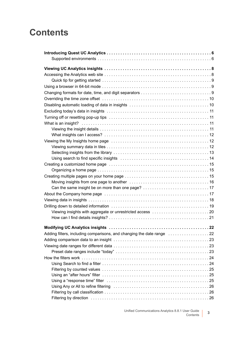## **Contents**

| Using search to find specific insights measure in the content of the search of 14                             |
|---------------------------------------------------------------------------------------------------------------|
|                                                                                                               |
|                                                                                                               |
|                                                                                                               |
|                                                                                                               |
|                                                                                                               |
|                                                                                                               |
|                                                                                                               |
|                                                                                                               |
|                                                                                                               |
|                                                                                                               |
|                                                                                                               |
| Adding filters, including comparisons, and changing the date range                                            |
|                                                                                                               |
|                                                                                                               |
|                                                                                                               |
|                                                                                                               |
|                                                                                                               |
|                                                                                                               |
|                                                                                                               |
| Using a "response time" filter (and the content of the content of the filter of the content of the content of |
|                                                                                                               |
|                                                                                                               |
|                                                                                                               |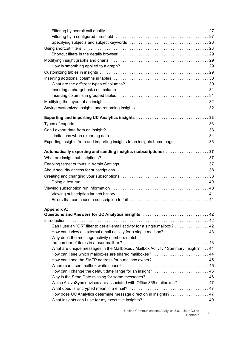| Shortcut filters in the details browser (and the content of the content of the 29  |  |
|------------------------------------------------------------------------------------|--|
|                                                                                    |  |
|                                                                                    |  |
|                                                                                    |  |
|                                                                                    |  |
|                                                                                    |  |
|                                                                                    |  |
|                                                                                    |  |
|                                                                                    |  |
|                                                                                    |  |
|                                                                                    |  |
| Exporting and importing UC Analytics insights 33                                   |  |
|                                                                                    |  |
|                                                                                    |  |
|                                                                                    |  |
| Exporting insights from and importing insights to an insights home page 36         |  |
|                                                                                    |  |
| Automatically exporting and sending insights (subscriptions) 37                    |  |
|                                                                                    |  |
|                                                                                    |  |
|                                                                                    |  |
|                                                                                    |  |
|                                                                                    |  |
|                                                                                    |  |
| Viewing subscription launch history (and the content of the content of 41          |  |
|                                                                                    |  |
|                                                                                    |  |
| <b>Appendix A:</b>                                                                 |  |
| Questions and Answers for UC Analytics insights 42                                 |  |
|                                                                                    |  |
| Can I use an "OR" filter to get all email activity for a single mailbox? 42        |  |
| How can I view all external email activity for a single mailbox? 43                |  |
| Why don't the message activity numbers match                                       |  |
|                                                                                    |  |
| What are unique messages in the Mailboxes / Mailbox Activity / Summary insight? 44 |  |
|                                                                                    |  |
| How can I see the SMTP address for a mailbox owner?  45                            |  |
|                                                                                    |  |
| How can I change the default date range for an insight?  46                        |  |
| Why is the Send Date missing for some messages? 46                                 |  |
| Which ActiveSync devices are associated with Office 365 mailboxes?  47             |  |
|                                                                                    |  |
| How does UC Analytics determine message direction in insights? 47                  |  |
|                                                                                    |  |

Unified Communications Analytics 8.8.1 User Guide ser Guide **4**<br>Contents 4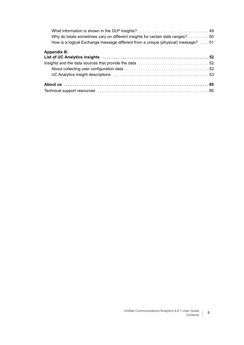| Why do totals sometimes vary on different insights for certain date ranges? 50   |
|----------------------------------------------------------------------------------|
| How is a logical Exchange message different from a unique (physical) message? 51 |
| <b>Appendix B:</b>                                                               |
|                                                                                  |
|                                                                                  |
|                                                                                  |
|                                                                                  |
|                                                                                  |
|                                                                                  |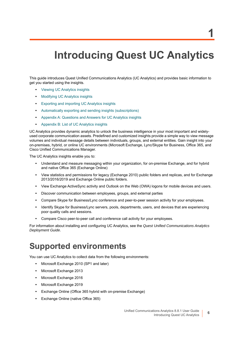# <span id="page-5-0"></span>**Introducing Quest UC Analytics**

This guide introduces Quest Unified Communications Analytics (UC Analytics) and provides basic information to get you started using the insights.

- **•** [Viewing UC Analytics insights](#page-7-2)
- **•** [Modifying UC Analytics insights](#page-21-2)
- **•** [Exporting and importing UC Analytics insights](#page-32-3)
- **•** [Automatically exporting and sending insights \(subscriptions\)](#page-36-3)
- **•** [Appendix A: Questions and Answers for UC Analytics insights](#page-41-3)
- **•** [Appendix B: List of UC Analytics insights](#page-51-3)

UC Analytics provides dynamic analytics to unlock the business intelligence in your most important and widelyused corporate communication assets. Predefined and customized insights provide a simple way to view message volumes and individual message details between individuals, groups, and external entities. Gain insight into your on-premises, hybrid, or online UC environments (Microsoft Exchange, Lync/Skype for Business, Office 365, and Cisco Unified Communications Manager.

The UC Analytics insights enable you to:

- **•** Understand and measure messaging within your organization, for on-premise Exchange, and for hybrid and native Office 365 (Exchange Online)
- **•** View statistics and permissions for legacy (Exchange 2010) public folders and replicas, and for Exchange 2013/2016/2019 and Exchange Online public folders.
- **•** View Exchange ActiveSync activity and Outlook on the Web (OWA) logons for mobile devices and users.
- **•** Discover communication between employees, groups, and external parties
- **•** Compare Skype for Business/Lync conference and peer-to-peer session activity for your employees.
- **•** Identify Skype for Business/Lync servers, pools, departments, users, and devices that are experiencing poor quality calls and sessions.
- **•** Compare Cisco peer-to-peer call and conference call activity for your employees.

For information about installing and configuring UC Analytics, see the *Quest Unified Communications Analytics Deployment Guide*.

### <span id="page-5-1"></span>**Supported environments**

You can use UC Analytics to collect data from the following environments:

- **•** Microsoft Exchange 2010 (SP1 and later)
- **•** Microsoft Exchange 2013
- **•** Microsoft Exchange 2016
- **•** Microsoft Exchange 2019
- **•** Exchange Online (Office 365 hybrid with on-premise Exchange)
- **•** Exchange Online (native Office 365)

**6**

**1**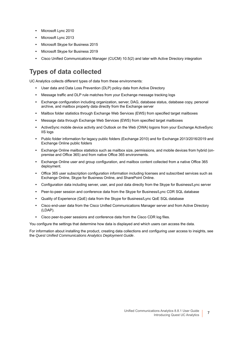- **•** Microsoft Lync 2010
- **•** Microsoft Lync 2013
- **•** Microsoft Skype for Business 2015
- **•** Microsoft Skype for Business 2019
- **•** Cisco Unified Communications Manager (CUCM) 10.5(2) and later with Active Directory integration

### **Types of data collected**

UC Analytics collects different types of data from these environments:

- **•** User data and Data Loss Prevention (DLP) policy data from Active Directory
- **•** Message traffic and DLP rule matches from your Exchange message tracking logs
- **•** Exchange configuration including organization, server, DAG, database status, database copy, personal archive, and mailbox property data directly from the Exchange server
- **•** Mailbox folder statistics through Exchange Web Services (EWS) from specified target mailboxes
- **•** Message data through Exchange Web Services (EWS) from specified target mailboxes
- **•** ActiveSync mobile device activity and Outlook on the Web (OWA) logons from your Exchange ActiveSync IIS logs
- **•** Public folder information for legacy public folders (Exchange 2010) and for Exchange 2013/2016/2019 and Exchange Online public folders
- **•** Exchange Online mailbox statistics such as mailbox size, permissions, and mobile devices from hybrid (onpremise and Office 365) and from native Office 365 environments.
- **•** Exchange Online user and group configuration, and mailbox content collected from a native Office 365 deployment.
- **•** Office 365 user subscription configuration information including licenses and subscribed services such as Exchange Online, Skype for Business Online, and SharePoint Online.
- **•** Configuration data including server, user, and pool data directly from the Skype for Business/Lync server
- **•** Peer-to-peer session and conference data from the Skype for Business/Lync CDR SQL database
- **•** Quality of Experience (QoE) data from the Skype for Business/Lync QoE SQL database
- **•** Cisco end-user data from the Cisco Unified Communications Manager server and from Active Directory (LDAP).
- **•** Cisco peer-to-peer sessions and conference data from the Cisco CDR log files.

You configure the settings that determine how data is displayed and which users can access the data.

For information about installing the product, creating data collections and configuring user access to insights, see the *Quest Unified Communications Analytics Deployment Guide*.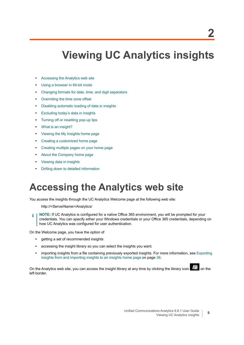# <span id="page-7-2"></span>**Viewing UC Analytics insights**

- <span id="page-7-0"></span>**•** [Accessing the Analytics web site](#page-7-1)
- **•** [Using a browser in 64-bit mode](#page-8-1)
- **•** [Changing formats for date, time, and digit separators](#page-8-2)
- **•** [Overriding the time zone offset](#page-9-0)
- **•** [Disabling automatic loading of data in insights](#page-9-1)
- **•** [Excluding today's data in insights](#page-10-0)
- **•** [Turning off or resetting pop-up tips](#page-10-1)
- **•** [What is an insight?](#page-10-2)
- **•** [Viewing the My Insights home page](#page-11-1)
- **•** [Creating a customized home page](#page-14-0)
- **•** [Creating multiple pages on your home page](#page-14-2)
- **•** [About the Company home page](#page-16-1)
- **•** [Viewing data in insights](#page-17-0)
- **•** [Drilling down to detailed information](#page-18-0)

## <span id="page-7-1"></span>**Accessing the Analytics web site**

You access the insights through the UC Analytics Welcome page at the following web site:

http://<ServerName>/Analytics/

**NOTE:** If UC Analytics is configured for a native Office 365 environment, you will be prompted for your ÷ credentials. You can specify either your Windows credentials or your Office 365 credentials, depending on how UC Analytics was configured for user authentication.

On the Welcome page, you have the option of

- **•** getting a set of recommended insights
- **•** accessing the insight library so you can select the insights you want.
- **•** importing insights from a file containing previously exported insights. For more information, see [Exporting](#page-35-1)  [insights from and importing insights to an insights home page on page 36.](#page-35-1)

On the Analytics web site, you can access the insight library at any time by clicking the library icon  $\frac{1}{\sqrt{10}}$  on the left border.

**2**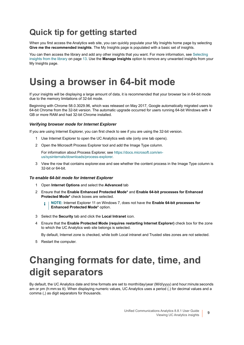## <span id="page-8-0"></span>**Quick tip for getting started**

When you first access the Analytics web site, you can quickly populate your My Insights home page by selecting **Give me the recommended insights**. The My Insights page is populated with a basic set of insights.

You can then access the library and add any other insights that you want. For more information, see [Selecting](#page-12-0)  [insights from the library on page 13.](#page-12-0) Use the **Manage Insights** option to remove any unwanted insights from your My Insights page.

## <span id="page-8-1"></span>**Using a browser in 64-bit mode**

If your insights will be displaying a large amount of data, it is recommended that your browser be in 64-bit mode due to the memory limitations of 32-bit mode.

Beginning with Chrome 58.0.3029.96, which was released on May 2017, Google automatically migrated users to 64-bit Chrome from the 32-bit version. The automatic upgrade occurred for users running 64-bit Windows with 4 GB or more RAM and had 32-bit Chrome installed.

### *Verifying browser mode for Internet Explorer*

If you are using Internet Explorer, you can first check to see if you are using the 32-bit version.

- 1 Use Internet Explorer to open the UC Analytics web site (only one tab opens).
- 2 Open the Microsoft Process Explorer tool and add the Image Type column.

For information about Process Explorer, see [https://docs.microsoft.com/en](https://docs.microsoft.com/en-us/sysinternals/downloads/process-explorer)[us/sysinternals/downloads/process-explorer.](https://docs.microsoft.com/en-us/sysinternals/downloads/process-explorer)

3 View the row that contains explorer.exe and see whether the content process in the Image Type column is 32-bit or 64-bit.

#### *To enable 64-bit mode for Internet Explorer*

- 1 Open **Internet Options** and select the **Advanced** tab
- 2 Ensure that the **Enable Enhanced Protected Mode\*** and **Enable 64-bit processes for Enhanced Protected Mode\*** check boxes are selected.
	- **NOTE:** Internet Explorer 11 on Windows 7, does not have the **Enable 64-bit processes for**  î. **Enhanced Protected Mode\*** option.
- 3 Select the **Security** tab and click the **Local Intranet** icon.
- 4 Ensure that the **Enable Protected Mode (requires restarting Internet Explorer)** check box for the zone to which the UC Analytics web site belongs is selected.

By default, Internet zone is checked, while both Local intranet and Trusted sites zones are not selected.

5 Restart the computer.

## <span id="page-8-3"></span><span id="page-8-2"></span>**Changing formats for date, time, and digit separators**

By default, the UC Analytics date and time formats are set to month/day/year (M/d/yyyy) and hour:minute:seconds am or pm (h:mm:ss tt). When displaying numeric values, UC Analytics uses a period (.) for decimal values and a comma (,) as digit separators for thousands.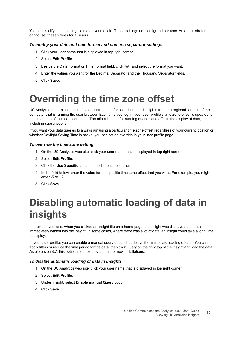You can modify these settings to match your locale. These settings are configured per user. An administrator cannot set these values for all users.

### *To modify your date and time format and numeric separator settings*

- 1 Click your user name that is displayed in top right corner.
- 2 Select **Edit Profile**.
- 3 Beside the Date Format or Time Format field, click and select the format you want.
- 4 Enter the values you want for the Decimal Separator and the Thousand Separator fields.
- 5 Click **Save**.

## <span id="page-9-2"></span><span id="page-9-0"></span>**Overriding the time zone offset**

UC Analytics determines the time zone that is used for scheduling and insights from the regional settings of the computer that is running the user browser. Each time you log in, your user profile's time zone offset is updated to the time zone of the client computer. The offset is used for running queries and affects the display of data, including subscriptions.

If you want your data queries to always run using a particular time zone offset regardless of your current location or whether Daylight Saving Time is active, you can set an override in your user profile page.

#### *To override the time zone setting*

- 1 On the UC Analytics web site, click your user name that is displayed in top right corner.
- 2 Select **Edit Profile**.
- 3 Click the **Use Specific** button in the Time zone section.
- 4 In the field below, enter the value for the specific time zone offset that you want. For example, you might enter -5 or +2.
- 5 Click **Save**.

## <span id="page-9-1"></span>**Disabling automatic loading of data in insights**

In previous versions, when you clicked an insight tile on a home page, the insight was displayed and data immediately loaded into the insight. In some cases, where there was a lot of data, an insight could take a long time to display.

In your user profile, you can enable a manual query option that delays the immediate loading of data. You can apply filters or reduce the time period for the data, then click Query on the right top of the insight and load the data. As of version 8.7, this option is enabled by default for new installations.

#### *To disable automatic loading of data in insights*

- 1 On the UC Analytics web site, click your user name that is displayed in top right corner.
- 2 Select **Edit Profile**.
- 3 Under Insight, select **Enable manual Query** option.
- 4 Click **Save**.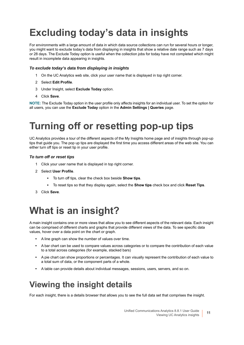# <span id="page-10-0"></span>**Excluding today's data in insights**

For environments with a large amount of data in which data source collections can run for several hours or longer, you might want to exclude today's data from displaying in insights that show a relative date range such as 7 days or 28 days. The Exclude Today option is useful when the collection jobs for today have not completed which might result in incomplete data appearing in insights.

#### *To exclude today's data from displaying in insights*

- 1 On the UC Analytics web site, click your user name that is displayed in top right corner.
- 2 Select **Edit Profile**.
- 3 Under Insight, select **Exclude Today** option.
- 4 Click **Save**.

**NOTE:** The Exclude Today option in the user profile only affects insights for an individual user. To set the option for all users, you can use the **Exclude Today** option in the **Admin Settings | Queries** page.

## <span id="page-10-1"></span>**Turning off or resetting pop-up tips**

UC Analytics provides a tour of the different aspects of the My Insights home page and of insights through pop-up tips that guide you. The pop up tips are displayed the first time you access different areas of the web site. You can either turn off tips or reset tip in your user profile.

#### *To turn off or reset tips*

- 1 Click your user name that is displayed in top right corner.
- 2 Select **User Profile**.
	- **▪** To turn off tips, clear the check box beside **Show tips**.
	- **▪** To reset tips so that they display again, select the **Show tips** check box and click **Reset Tips**.
- 3 Click **Save**.

## <span id="page-10-2"></span>**What is an insight?**

A main insight contains one or more views that allow you to see different aspects of the relevant data. Each insight can be comprised of different charts and graphs that provide different views of the data. To see specific data values, hover over a data point on the chart or graph.

- **•** A line graph can show the number of values over time.
- **•** A bar chart can be used to compare values across categories or to compare the contribution of each value to a total across categories (for example, stacked bars)
- **•** A pie chart can show proportions or percentages. It can visually represent the contribution of each value to a total sum of data, or the component parts of a whole.
- **•** A table can provide details about individual messages, sessions, users, servers, and so on.

### <span id="page-10-3"></span>**Viewing the insight details**

For each insight, there is a details browser that allows you to see the full data set that comprises the insight.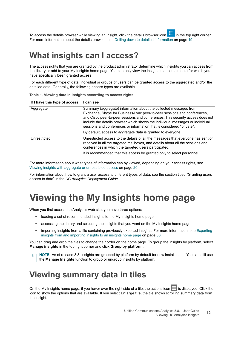To access the details browser while viewing an insight, click the details browser icon in the top right corner. For more information about the details browser, see [Drilling down to detailed information on page 19.](#page-18-0)

### <span id="page-11-0"></span>**What insights can I access?**

The access rights that you are granted by the product administrator determine which insights you can access from the library or add to your My Insights home page. You can only view the insights that contain data for which you have specifically been granted access.

For each different type of data, individual or groups of users can be granted access to the aggregated and/or the detailed data. Generally, the following access types are available.

| If I have this type of access | I can see                                                                                                                                                                                                                                                                                                                                                                                                                                                 |
|-------------------------------|-----------------------------------------------------------------------------------------------------------------------------------------------------------------------------------------------------------------------------------------------------------------------------------------------------------------------------------------------------------------------------------------------------------------------------------------------------------|
| Aggregate                     | Summary (aggregate) information about the collected messages from<br>Exchange, Skype for Business/Lync peer-to-peer sessions and conferences,<br>and Cisco peer-to-peer sessions and conferences. This security access does not<br>include the details browser which shows the individual messages or individual<br>sessions and conferences or information that is considered "private".<br>By default, access to aggregate data is granted to everyone. |
| Unrestricted                  | Unrestricted access to the details of all the messages that everyone has sent or<br>received in all the targeted mailboxes, and details about all the sessions and<br>conferences in which the targeted users participated.                                                                                                                                                                                                                               |
|                               | It is recommended that this access be granted only to select personnel.                                                                                                                                                                                                                                                                                                                                                                                   |

**Table 1. Viewing data in insights according to access rights.**

For more information about what types of information can by viewed, depending on your access rights, see [Viewing insights with aggregate or unrestricted access on page 20.](#page-19-0)

For information about how to grant a user access to different types of data, see the section titled "Granting users access to data" in the *UC Analytics Deployment Guide*.

## <span id="page-11-1"></span>**Viewing the My Insights home page**

When you first access the Analytics web site, you have three options:

- **•** loading a set of recommended insights to the My Insights home page
- **•** accessing the library and selecting the insights that you want on the My Insights home page.
- **•** importing insights from a file containing previously exported insights. For more information, see [Exporting](#page-35-1)  [insights from and importing insights to an insights home page on page 36.](#page-35-1)

You can drag and drop the tiles to change their order on the home page. To group the insights by platform, select **Manage insights** in the top right corner and click **Group by platform**.

**NOTE:** As of release 8.8, insights are grouped by platform by default for new installations. You can still use ÷ the **Manage Insights** function to group or ungroup insights by platform.

### <span id="page-11-2"></span>**Viewing summary data in tiles**

On the My Insights home page, if you hover over the right side of a tile, the actions icon is displayed. Click the icon to show the options that are available. If you select **Enlarge tile**, the tile shows scrolling summary data from the insight.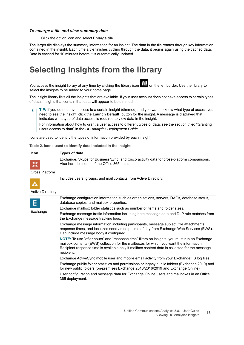#### *To enlarge a tile and view summary data*

**•** Click the option icon and select **Enlarge tile**.

The larger tile displays the summary information for an insight. The data in the tile rotates through key information contained in the insight. Each time a tile finishes cycling through the data, it begins again using the cached data. Data is cached for 10 minutes before it is automatically updated.

### <span id="page-12-0"></span>**Selecting insights from the library**

You access the insight library at any time by clicking the library icon  $\widehat{F}$  on the left border. Use the library to select the insights to be added to your home page.

The insight library lists all the insights that are available. If your user account does not have access to certain types of data, insights that contain that data will appear to be dimmed.

**TIP:** If you do not have access to a certain insight (dimmed) and you want to know what type of access you ÷ need to see the insight, click the **Launch Default** button for the insight. A message is displayed that indicates what type of data access is required to view data in the insight.

For information about how to grant a user access to different types of data, see the section titled "Granting users access to data" in the *UC Analytics Deployment Guide*.

Icons are used to identify the types of information provided by each insight.

| Table 2. Icons used to identify data included in the insight. |  |  |  |  |
|---------------------------------------------------------------|--|--|--|--|
|                                                               |  |  |  |  |

| Icon                    | <b>Types of data</b>                                                                                                                                                                                                                                                                                    |
|-------------------------|---------------------------------------------------------------------------------------------------------------------------------------------------------------------------------------------------------------------------------------------------------------------------------------------------------|
| Cross Platform          | Exchange, Skype for Business/Lync, and Cisco activity data for cross-platform comparisons.<br>Also includes some of the Office 365 data.                                                                                                                                                                |
|                         | Includes users, groups, and mail contacts from Active Directory.                                                                                                                                                                                                                                        |
|                         |                                                                                                                                                                                                                                                                                                         |
| <b>Active Directory</b> |                                                                                                                                                                                                                                                                                                         |
|                         | Exchange configuration information such as organizations, servers, DAGs, database status,<br>database copies, and mailbox properties.                                                                                                                                                                   |
|                         | Exchange mailbox folder statistics such as number of items and folder sizes.                                                                                                                                                                                                                            |
| Exchange                | Exchange message traffic information including both message data and DLP rule matches from<br>the Exchange message tracking logs.                                                                                                                                                                       |
|                         | Exchange message information including participants, message subject, file attachments,<br>response times, and localized send / receipt time of day from Exchange Web Services (EWS).<br>Can include message body if configured.                                                                        |
|                         | NOTE: To use "after hours" and "response time" filters on insights, you must run an Exchange<br>mailbox contents (EWS) collection for the mailboxes for which you want the information.<br>Recipient response time is available only if mailbox content data is collected for the message<br>recipient. |
|                         | Exchange ActiveSync mobile user and mobile email activity from your Exchange IIS log files.                                                                                                                                                                                                             |
|                         | Exchange public folder statistics and permissions or legacy public folders (Exchange 2010) and<br>for new public folders (on-premises Exchange 2013/2016/2019 and Exchange Online)                                                                                                                      |
|                         | User configuration and message data for Exchange Online users and mailboxes in an Office<br>365 deployment.                                                                                                                                                                                             |
|                         |                                                                                                                                                                                                                                                                                                         |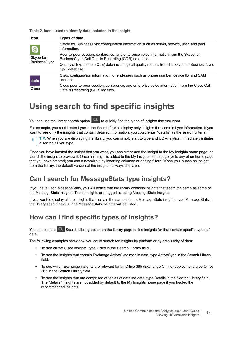**Table 2. Icons used to identify data included in the insight.**

| Icon                            | <b>Types of data</b>                                                                                                                          |
|---------------------------------|-----------------------------------------------------------------------------------------------------------------------------------------------|
| Ø<br>Skype for<br>Business/Lync | Skype for Business/Lync configuration information such as server, service, user, and pool<br>information.                                     |
|                                 | Peer-to-peer session, conference, and enterprise voice information from the Skype for<br>Business/Lync Call Details Recording (CDR) database. |
|                                 | Quality of Experience (QoE) data including call quality metrics from the Skype for Business/Lync<br>QoE database.                             |
| ahah.<br>Cisco                  | Cisco configuration information for end-users such as phone number, device ID, and SAM<br>account.                                            |
|                                 | Cisco peer-to-peer session, conference, and enterprise voice information from the Cisco Call<br>Details Recording (CDR) log files.            |

### <span id="page-13-0"></span>**Using search to find specific insights**

You can use the library search option  $\alpha$  to quickly find the types of insights that you want.

For example, you could enter Lync in the Search field to display only insights that contain Lync information. If you want to see only the insights that contain detailed information, you could enter "details" as the search criteria.

**TIP:** When you are displaying the library, you can simply start to type and UC Analytics immediately initiates i. a search as you type.

Once you have located the insight that you want, you can either add the insight to the My Insights home page, or launch the insight to preview it. Once an insight is added to the My Insights home page (or to any other home page that you have created) you can customize it by inserting columns or adding filters. When you launch an insight from the library, the default version of the insight is always displayed.

### **Can I search for MessageStats type insights?**

If you have used MessageStats, you will notice that the library contains insights that seem the same as some of the MessageStats insights. These insights are tagged as being MessageStats insights.

If you want to display all the insights that contain the same data as MessageStats insights, type MessageStats in the library search field. All the MessageStats insights will be listed.

### **How can I find specific types of insights?**

You can use the **Q** Search Library option on the library page to find insights for that contain specific types of data.

The following examples show how you could search for insights by platform or by granularity of data:

- **•** To see all the Cisco insights, type Cisco in the Search Library field.
- **•** To see the insights that contain Exchange ActiveSync mobile data, type ActiveSync in the Search Library field.
- **•** To see which Exchange insights are relevant for an Office 365 (Exchange Online) deployment, type Office 365 in the Search Library field.
- **•** To see the insights that are comprised of tables of detailed data, type Details in the Search Library field. The "details" insights are not added by default to the My Insights home page if you loaded the recommended insights.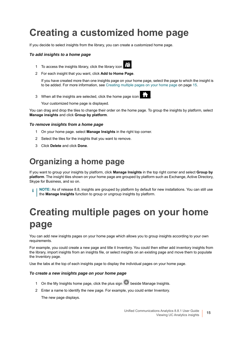## <span id="page-14-0"></span>**Creating a customized home page**

If you decide to select insights from the library, you can create a customized home page.

### *To add insights to a home page*

1 To access the insights library, click the library icon .



2 For each insight that you want, click **Add to Home Page**.

If you have created more than one insights page on your home page, select the page to which the insight is to be added. For more information, see [Creating multiple pages on your home page on page 15](#page-14-2).

3 When all the insights are selected, click the home page icon .



Your customized home page is displayed.

You can drag and drop the tiles to change their order on the home page. To group the insights by platform, select **Manage insights** and click **Group by platform**.

### *To remove insights from a home page*

- 1 On your home page. select **Manage Insights** in the right top corner.
- 2 Select the tiles for the insights that you want to remove.
- 3 Click **Delete** and click **Done**.

### <span id="page-14-1"></span>**Organizing a home page**

If you want to group your insights by platform, click **Manage Insights** in the top right corner and select **Group by platform**. The insight tiles shown on your home page are grouped by platform such as Exchange, Active Directory, Skype for Business, and so on.

**NOTE:** As of release 8.8, insights are grouped by platform by default for new installations. You can still use ÷ the **Manage Insights** function to group or ungroup insights by platform.

# <span id="page-14-2"></span>**Creating multiple pages on your home page**

You can add new insights pages on your home page which allows you to group insights according to your own requirements.

For example, you could create a new page and title it Inventory. You could then either add inventory insights from the library, import insights from an insights file, or select insights on an existing page and move them to populate the Inventory page.

Use the tabs at the top of each insights page to display the individual pages on your home page.

### *To create a new insights page on your home page*

- 1 On the My Insights home page, click the plus sign **b** beside Manage Insights.
- 2 Enter a name to identify the new page. For example, you could enter Inventory.

The new page displays.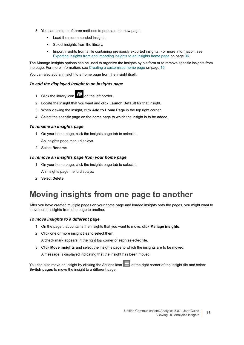- 3 You can use one of three methods to populate the new page:
	- **▪** Load the recommended insights.
	- **■** Select insights from the library.
	- **▪** Import insights from a file containing previously exported insights. For more information, see [Exporting insights from and importing insights to an insights home page on page 36](#page-35-1).

The Manage Insights options can be used to organize the insights by platform or to remove specific insights from the page. For more information, see [Creating a customized home page on page 15.](#page-14-0)

You can also add an insight to a home page from the insight itself.

#### *To add the displayed insight to an insights page*

- 1 Click the library icon  $\frac{d}{d\mathbf{E}}$  on the left border.
- 2 Locate the insight that you want and click **Launch Default** for that insight.
- 3 When viewing the insight, click **Add to Home Page** in the top right corner.
- 4 Select the specific page on the home page to which the insight is to be added.

#### *To rename an insights page*

1 On your home page, click the insights page tab to select it.

An insights page menu displays.

2 Select **Rename**.

#### *To remove an insights page from your home page*

- 1 On your home page, click the insights page tab to select it. An insights page menu displays.
- 2 Select **Delete**.

### <span id="page-15-0"></span>**Moving insights from one page to another**

After you have created multiple pages on your home page and loaded insights onto the pages, you might want to move some insights from one page to another.

#### *To move insights to a different page*

- 1 On the page that contains the insights that you want to move, click **Manage insights**.
- 2 Click one or more insight tiles to select them.

A check mark appears in the right top corner of each selected tile.

3 Click **Move insights** and select the insights page to which the insights are to be moved.

A message is displayed indicating that the insight has been moved.

You can also move an insight by clicking the Actions icon at the right corner of the insight tile and select **Switch pages** to move the insight to a different page.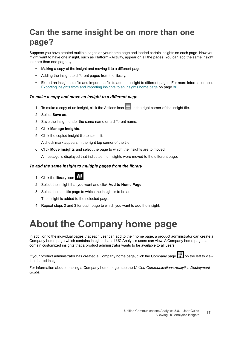## <span id="page-16-0"></span>**Can the same insight be on more than one page?**

Suppose you have created multiple pages on your home page and loaded certain insights on each page. Now you might want to have one insight, such as Platform - Activity, appear on all the pages. You can add the same insight to more than one page by:

- **•** Making a copy of the insight and moving it to a different page.
- **•** Adding the insight to different pages from the library.
- **•** Export an insight to a file and import the file to add the insight to different pages. For more information, see [Exporting insights from and importing insights to an insights home page on page 36](#page-35-1).

### *To make a copy and move an insight to a different page*

- 1 To make a copy of an insight, click the Actions icon  $\blacksquare$  in the right corner of the insight tile.
- 2 Select **Save as**.
- 3 Save the insight under the same name or a different name.
- 4 Click **Manage insights**.
- 5 Click the copied insight tile to select it.

A check mark appears in the right top corner of the tile.

6 Click **Move insights** and select the page to which the insights are to moved.

A message is displayed that indicates the insights were moved to the different page.

#### *To add the same insight to multiple pages from the library*

- 1 Click the library icon
- 2 Select the insight that you want and click **Add to Home Page**.
- 3 Select the specific page to which the insight is to be added.

The insight is added to the selected page.

4 Repeat steps 2 and 3 for each page to which you want to add the insight.

## <span id="page-16-1"></span>**About the Company home page**

In addition to the individual pages that each user can add to their home page, a product administrator can create a Company home page which contains insights that all UC Analytics users can view. A Company home page can contain customized insights that a product administrator wants to be available to all users.

If your product administrator has created a Company home page, click the Company page **on** the left to view the shared insights.

For information about enabling a Company home page, see the *Unified Communications Analytics Deployment Guide*.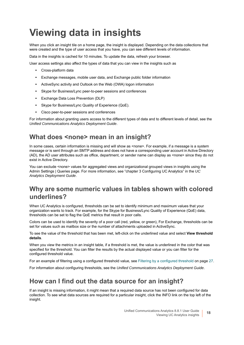# <span id="page-17-0"></span>**Viewing data in insights**

When you click an insight tile on a home page, the insight is displayed. Depending on the data collections that were created and the type of user access that you have, you can see different levels of information.

Data in the insights is cached for 10 minutes. To update the data, refresh your browser.

User access settings also affect the types of data that you can view in the insights such as

- **•** Cross-platform data
- **•** Exchange messages, mobile user data, and Exchange public folder information
- **•** ActiveSync activity and Oultook on the Web (OWA) logon information
- **•** Skype for Business/Lync peer-to-peer sessions and conferences
- **•** Exchange Data Loss Prevention (DLP)
- **•** Skype for Business/Lync Quality of Experience (QoE).
- **•** Cisco peer-to-peer sessions and conferences

For information about granting users access to the different types of data and to different levels of detail, see the *Unified Communications Analytics Deployment Guide*.

### **What does <none> mean in an insight?**

In some cases, certain information is missing and will show as <none>. For example, if a message is a system message or is sent through an SMTP address and does not have a corresponding user account in Active Directory (AD), the AD user attributes such as office, department, or sender name can display as <none> since they do not exist in Active Directory.

You can exclude <none> values for aggregated views and organizational grouped views in insights using the Admin Settings | Queries page. For more information, see "chapter 3 Configuring UC Analytics" in the *UC Analytics Deployment Guide*.

### **Why are some numeric values in tables shown with colored underlines?**

When UC Analytics is configured, thresholds can be set to identify minimum and maximum values that your organization wants to track. For example, for the Skype for Business/Lync Quality of Experience (QoE) data, thresholds can be set to flag the QoE metrics that result in poor calls.

Colors can be used to identify the severity of a poor call (red, yellow, or green), For Exchange, thresholds can be set for values such as mailbox size or the number of attachments uploaded in ActiveSync.

To see the value of the threshold that has been met, left-click on the underlined value and select **View threshold details**.

When you view the metrics in an insight table, if a threshold is met, the value is underlined in the color that was specified for the threshold. You can filter the results by the actual displayed value or you can filter for the configured threshold value.

For an example of filtering using a configured threshold value, see [Filtering by a configured threshold on page 27](#page-26-2).

For information about configuring thresholds, see the *Unified Communications Analytics Deployment Guide*.

### **How can I find out the data source for an insight?**

If an insight is missing information, it might mean that a required data source has not been configured for data collection. To see what data sources are required for a particular insight, click the INFO link on the top left of the insight.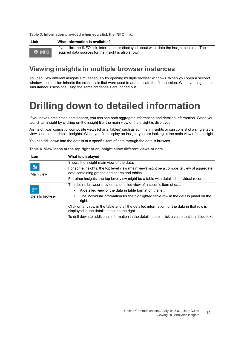**Table 3. Information provided when you click the INFO link.**

| Link          | What information is available?                                                                                                                         |
|---------------|--------------------------------------------------------------------------------------------------------------------------------------------------------|
| <b>O</b> INFO | If you click the INFO link, information is displayed about what data the insight contains. The<br>required data sources for the insight is also shown. |

### **Viewing insights in multiple browser instances**

You can view different insights simultaneously by opening multiple browser windows. When you open a second window, the session inherits the credentials that were used to authenticate the first session. When you log out, all simultaneous sessions using the same credentials are logged out.

## <span id="page-18-1"></span><span id="page-18-0"></span>**Drilling down to detailed information**

If you have unrestricted data access, you can see both aggregate information and detailed information. When you launch an insight by clicking on the insight tile, the main view of the insight is displayed.

An insight can consist of composite views (charts, tables) such as summary insights or can consist of a single table view such as the details insights. When you first display an insight, you are looking at the main view of the insight.

You can drill down into the details of a specific item of data through the details browser.

|  |  | Table 4. View icons at the top right of an insight allow different views of data. |  |  |
|--|--|-----------------------------------------------------------------------------------|--|--|
|  |  |                                                                                   |  |  |

| <b>Icon</b>                        | What is displayed                                                                                                                          |
|------------------------------------|--------------------------------------------------------------------------------------------------------------------------------------------|
|                                    | Shows the insight main view of the data.                                                                                                   |
| $\frac{e_{\rm d}}{2}$<br>Main view | For some insights, the top level view (main view) might be a composite view of aggregate<br>data containing graphs and charts and tables.  |
|                                    | For other insights, the top level view might be a table with detailed individual records.                                                  |
|                                    | The details browser provides a detailed view of a specific item of data:                                                                   |
| Ð                                  | A detailed view of the data in table format on the left.<br>$\bullet$                                                                      |
| Details browser                    | The individual information for the highlighted table row in the details panel on the<br>٠<br>right.                                        |
|                                    | Click on any row in the table and all the detailed information for the data in that row is<br>displayed in the details panel on the right. |
|                                    | To drill down to additional information in the details panel, click a value that is in blue text.                                          |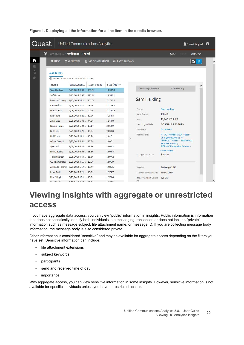|        | Quest                | Unified Communications Analytics          |                         |                  |                                  |                                                       | Stuart Mughal <sup>0</sup> |              |
|--------|----------------------|-------------------------------------------|-------------------------|------------------|----------------------------------|-------------------------------------------------------|----------------------------|--------------|
|        | $_{\circledast}$     | My Insights Mailboxes - Trend             |                         |                  |                                  | Save                                                  | More $\blacktriangleright$ |              |
| ₩<br>准 | <b>8 INFO</b>        | <b>Y</b> 0 FILTERS                        | <b>TE NO COMPARISON</b> | iii LAST 28 DAYS |                                  |                                                       | ு<br>謂                     |              |
| G      | <b>MAILBOXES</b>     |                                           |                         |                  |                                  |                                                       |                            |              |
| O-     |                      | ⊙ Values shown as on 9/25/2014 7:00:00 PM |                         |                  |                                  |                                                       |                            |              |
|        | <b>Name</b>          | Last Logon                                | <b>Item Count</b>       | Size (MB) v      |                                  |                                                       |                            |              |
|        | Sam Harding          | 9/25/2014 3:30 160,4K                     |                         | 19,382.4         | <b>Exchange Mailbox</b>          | Sam Harding                                           |                            |              |
|        | Jeff Burns           | 9/25/2014 2:37 110.4K                     |                         | 13,345.1         |                                  |                                                       |                            |              |
|        | Louis McConnery      | 9/25/2014 12:1 105.6K                     |                         | 12,766.6         | Sam Harding                      |                                                       |                            |              |
|        | Kate Nielsen         | 9/25/2014 1:31 96.9K                      |                         | 11,708.9         |                                  |                                                       |                            |              |
|        | <b>Marcus Flint</b>  | 9/25/2014 7:41 92.2K                      |                         | 11,141.8         | Owner                            | <b>Sam Harding</b>                                    |                            |              |
|        | Lee Young            | 9/25/2014 5:21 60.0K                      |                         | 7,254.8          | Item Count                       | 160.4K                                                |                            |              |
|        | John Loeb            | 9/25/2014 5:30 44.2K                      |                         | 5,340.0          | Size                             | 19,847,559.0 KB                                       |                            |              |
|        | Kincaid Richie       | 9/25/2014 6:04 17.1K                      |                         | 2,062.9          | Last Logon Date                  | 9/25/2014 3:30:10 PM                                  |                            |              |
|        | Neil Hilton          | 9/25/2014 1:21 16.8K                      |                         | 2,033.0          | Database                         | Database3                                             |                            |              |
|        | Mel Mortie           | 9/25/2014 11:1 16.7K                      |                         | 2,017.1          | Permissions                      | NT AUTHORITY\SELF - User-<br>Change-Password; NT      |                            |              |
|        | Arlene Garrett       | 9/25/2014 4:41 16.6K                      |                         | 2,007.1          |                                  | <b>AUTHORITY\SELF - FullAccess:</b>                   |                            |              |
|        | Spiro Milt           | 9/25/2014 6:23 16.6K                      |                         | 2,002.2          |                                  | <b>ReadPermission;</b><br>SITRAKA\Enterprise Admins - |                            |              |
|        | <b>Bruno Bobbie</b>  | 9/25/2014 6:48 16.5K                      |                         | 1,998.8          |                                  | show more                                             |                            |              |
|        | <b>Tarzan Dexter</b> | 9/25/2014 4:54 16.5K                      |                         | 1,997.2          | Chargeback Cost                  | \$193.82                                              |                            |              |
|        | Guido Ambrosius      | 9/25/2014 4:15 16.5K                      |                         | 1,991.9          |                                  |                                                       |                            |              |
|        |                      | Armando Tommy 9/25/2014 5:17 16.4K        |                         | 1,985.6          | Version                          | Exchange 2013                                         |                            |              |
|        | Lynn Smith           | 9/25/2014 5:21 16.3K                      |                         | 1,974.7          | Storage Limit Status Below Limit |                                                       |                            |              |
|        | Pete Skippie         | 9/25/2014 12:1 16.3K                      |                         | 1,973.6          | Issue Warning Quota 2.3 GB       |                                                       |                            |              |
|        |                      | Devidde Alfanas Algrigante a.or. 15 gives |                         | 10522            | At                               |                                                       |                            | $\checkmark$ |

**Figure 1. Displaying all the information for a line item in the details browser.**

## <span id="page-19-0"></span>**Viewing insights with aggregate or unrestricted access**

If you have aggregate data access, you can view "public" information in insights. Public information is information that does not specifically identify both individuals in a messaging transaction or does not include "private" information such as message subject, file attachment name, or message ID. If you are collecting message body information, the message body is also considered private.

Other information is considered "sensitive" and may be available for aggregate access depending on the filters you have set. Sensitive information can include:

- **•** file attachment extensions
- **•** subject keywords
- **•** participants
- **•** send and received time of day
- **•** importance.

With aggregate access, you can view sensitive information in some insights. However, sensitive information is not available for specific individuals unless you have unrestricted access.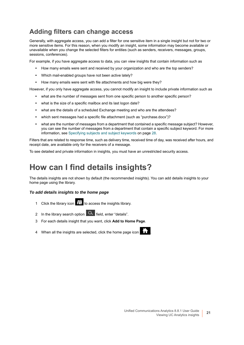### **Adding filters can change access**

Generally, with aggregate access, you can add a filter for one sensitive item in a single insight but not for two or more sensitive items. For this reason, when you modify an insight, some information may become available or unavailable when you change the selected filters for entities (such as senders, receivers, messages, groups, sessions, conferences).

For example, if you have aggregate access to data, you can view insights that contain information such as

- **•** How many emails were sent and received by your organization and who are the top senders?
- **•** Which mail-enabled groups have not been active lately?
- **•** How many emails were sent with file attachments and how big were they?

However, if you only have aggregate access, you cannot modify an insight to include private information such as

- **•** what are the number of messages sent from one specific person to another specific person?
- **•** what is the size of a specific mailbox and its last logon date?
- **•** what are the details of a scheduled Exchange meeting and who are the attendees?
- **•** which sent messages had a specific file attachment (such as "purchase.docx")?
- **•** what are the number of messages from a department that contained a specific message subject? However, you can see the number of messages from a department that contain a specific subject keyword. For more information, see [Specifying subjects and subject keywords on page 28.](#page-27-2)

Filters that are related to response time, such as delivery time, received time of day, was received after hours, and receipt date, are available only for the receivers of a message.

To see detailed and private information in insights, you must have an unrestricted security access.

## <span id="page-20-0"></span>**How can I find details insights?**

The details insights are not shown by default (the recommended insights). You can add details insights to your home page using the library.

### *To add details insights to the home page*

- 1 Click the library icon **TH** to access the insights library.
- 2 In the library search option  $\alpha$  field, enter "details".
- 3 For each details insight that you want, click **Add to Home Page**.
- 4 When all the insights are selected, click the home page icon .

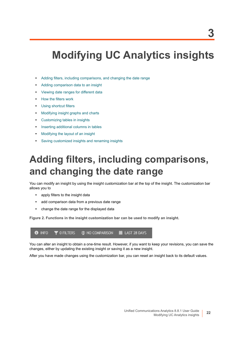# <span id="page-21-2"></span><span id="page-21-0"></span>**Modifying UC Analytics insights**

- **•** [Adding filters, including comparisons, and changing the date range](#page-21-1)
- **•** [Adding comparison data to an insight](#page-22-0)
- **•** [Viewing date ranges for different data](#page-22-1)
- **•** [How the filters work](#page-23-0)
- **•** [Using shortcut filters](#page-27-1)
- **•** [Modifying insight graphs and charts](#page-28-1)
- **•** [Customizing tables in insights](#page-28-3)
- **•** [Inserting additional columns in tables](#page-29-0)
- **•** [Modifying the layout of an insight](#page-31-0)
- **•** [Saving customized insights and renaming insights](#page-31-1)

## <span id="page-21-1"></span>**Adding filters, including comparisons, and changing the date range**

You can modify an insight by using the insight customization bar at the top of the insight. The customization bar allows you to

- **•** apply filters to the insight data
- **•** add comparison data from a previous date range
- **•** change the date range for the displayed data

**Figure 2. Functions in the insight customization bar can be used to modify an insight.**

**O** INFO d<sup>t</sup> NO COMPARISON iii LAST 28 DAYS **Y** O FILTERS

You can alter an insight to obtain a one-time result. However, if you want to keep your revisions, you can save the changes, either by updating the existing insight or saving it as a new insight.

After you have made changes using the customization bar, you can reset an insight back to its default values.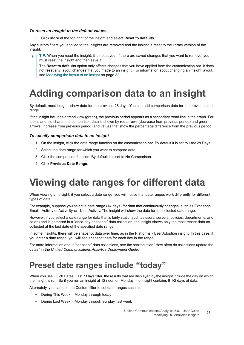#### *To reset an insight to the default values*

**•** Click **More** at the top right of the insight and select **Reset to defaults**.

Any custom filters you applied to the insights are removed and the insight is reset to the library version of the insight.

**TIP:** When you reset the insight, it is not saved. If there are saved changes that you want to remove, you ÷ must reset the insight and then save it.

The **Reset to defaults** option only affects changes that you have applied from the customization bar. It does not reset any layout changes that you made to an insight. For information about changing an insight layout, see [Modifying the layout of an insight on page 32](#page-31-0).

# <span id="page-22-0"></span>**Adding comparison data to an insight**

By default, most insights show data for the previous 28 days. You can add comparison data for the previous date range.

If the insight includes a trend view (graph), the previous period appears as a secondary trend line in the graph. For tables and pie charts, the comparison data is shown by red arrows (decrease from previous period) and green arrows (increase from previous period) and values that show the percentage difference from the previous period.

### *To specify comparison data to an insight*

- 1 On the insight, click the date range function on the customization bar. By default it is set to Last 28 Days.
- 2 Select the date range for which you want to compare data.
- 3 Click the comparison function. By default it is set to No Comparison.
- 4 Click **Previous Date Range**.

## <span id="page-22-1"></span>**Viewing date ranges for different data**

When viewing an insight, if you select a date range, you will notice that date ranges work differently for different types of data.

For example, suppose you select a date range (14 days) for data that continuously changes, such as Exchange Email - Activity or ActiveSync - User Activity. The insight will show the data for the selected date range.

However, if you select a date range for data that is fairly static (such as users, servers, policies, departments, and so on) and is gathered in a "once-day-snapshot" data collection, the insight shows only the most recent data as collected at the last date of the specified date range.

In some insights, there will be snapshot data over time, as in the Platforms - User Adoption insight. In this case, if you enter a date range, you will see snapshot data for each day in the range.

For more information about "snapshot" data collections, see the section titled "How often do collections update the data?" in the *Unified Communications Analytics Deployment Guide.*

### <span id="page-22-2"></span>**Preset date ranges include "today"**

When you use Quick Dates: Last 7 Days filter, the results that are displayed by the insight include the day on which the Insight is run. So if you run an insight at 12 noon on Monday, the insight contains 6 1/2 days of data.

Alternately, you can use the Custom filter to set date ranges such as:

- **•** During This Week = Monday through today
- **•** During Last Week = Monday through Sunday, last week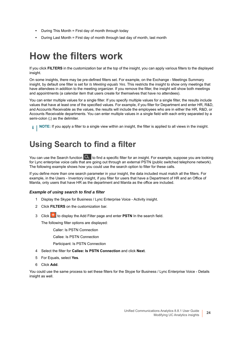- **•** During This Month = First day of month through today
- **•** During Last Month = First day of month through last day of month, last month

## <span id="page-23-0"></span>**How the filters work**

If you click **FILTERS** in the customization bar at the top of the insight, you can apply various filters to the displayed insight.

On some insights, there may be pre-defined filters set. For example, on the Exchange - Meetings Summary insight, by default one filter is set for *Is Meeting equals Yes*. This restricts the insight to show only meetings that have attendees in addition to the meeting organizer. If you remove the filter, the insight will show both meetings and appointments (a calendar item that users create for themselves that have no attendees).

You can enter multiple values for a single filter. If you specify multiple values for a single filter, the results include values that have at least one of the specified values. For example, if you filter for Department and enter HR, R&D, and Accounts Receivable as the values, the results will include the employees who are in either the HR, R&D, or Accounts Receivable departments. You can enter multiple values in a single field with each entry separated by a semi-colon (**;**) as the delimiter.

**i** | NOTE: If you apply a filter to a single view within an insight, the filter is applied to all views in the insight.

## <span id="page-23-1"></span>**Using Search to find a filter**

You can use the Search function  $\alpha$  to find a specific filter for an insight. For example, suppose you are looking for Lync enterprise voice calls that are going out through an external PSTN (public switched telephone network). The following example shows how you could use the search option to filter for these calls.

If you define more than one search parameter in your insight, the data included must match all the filters. For example, in the Users - Inventory insight, if you filter for users that have a Department of HR and an Office of Manila, only users that have HR as the department and Manila as the office are included.

### *Example of using search to find a filter*

- 1 Display the Skype for Business / Lync Enterprise Voice Activity insight.
- 2 Click **FILTERS** on the customization bar.
- 3 Clickto display the Add Filter page and enter **PSTN** In the search field.

The following filter options are displayed:

- Caller: Is PSTN Connection
- Callee: Is PSTN Connection
- Participant: Is PSTN Connection
- 4 Select the filter for **Callee: Is PSTN Connection** and click **Next**.
- 5 For Equals, select **Yes**.
- 6 Click **Add**.

You could use the same process to set these filters for the Skype for Business / Lync Enterprise Voice - Details insight as well.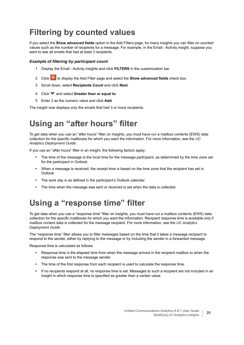## <span id="page-24-0"></span>**Filtering by counted values**

If you select the **Show advanced fields** option in the Add Filters page, for many insights you can filter on counted values such as the number of recipients for a message. For example, in the Email - Activity insight, suppose you want to see all emails that had at least 3 recipients.

### *Example of filtering by participant count*

- 1 Display the Email Activity insights and click **FILTERS** in the customization bar.
- 2 Click **th** to display the Add Filter page and select the **Show advanced fields** check box.
- 3 Scroll down, select **Recipients Count** and click **Next**.
- 4 Click and select **Greater than or equal to**.
- 5 Enter 3 as the numeric value and click **Add**.

The insight now displays only the emails that had 3 or more recipients.

## <span id="page-24-1"></span>**Using an "after hours" filter**

To get data when you use an "after hours" filter on insights, you must have run a mailbox contents (EWS) data collection for the specific mailboxes for which you want the information. For more information, see the *UC Analytics Deployment Guide*.

If you use an "after hours" filter in an insight, the following factors apply:

- **•** The time of the message is the local time for the message participant, as determined by the time zone set for the participant in Outlook.
- **•** When a message is received, the receipt time is based on the time zone that the recipient has set in Outlook.
- **•** The work day is as defined in the participant's Outlook calendar.
- **•** The time when the message was sent or received is set when the data is collected.

## <span id="page-24-2"></span>**Using a "response time" filter**

To get data when you use a "response time" filter on insights, you must have run a mailbox contents (EWS) data collection for the specific mailboxes for which you want the information. Recipient response time is available only if mailbox content data is collected for the message recipient. For more information, see the *UC Analytics Deployment Guide*.

The "response time" filter allows you to filter messages based on the time that it takes a message recipient to respond to the sender, either by replying to the message or by including the sender in a forwarded message.

Response time is calculated as follows:

- **•** Response time is the elapsed time from when the message arrived in the recipient mailbox to when the response was sent to the message sender.
- **•** The time of the first response from each recipient is used to calculate the response time.
- **•** If no recipients respond at all, no response time is set. Messages to such a recipient are not included in an insight in which response time is specified as greater than a certain value.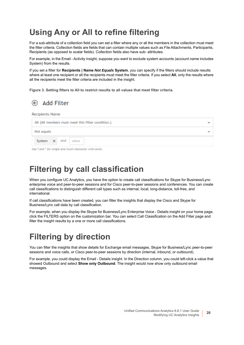## <span id="page-25-0"></span>**Using Any or All to refine filtering**

For a sub-attribute of a collection field you can set a filter where any or all the members in the collection must meet the filter criteria. Collection fields are fields that can contain multiple values such as File Attachments, Participants, Recipients (as opposed to scalar fields). Collection fields also have sub- attributes.

For example, in the Email - Activity insight, suppose you want to exclude system accounts (account name includes System) from the results.

If you set a filter for **Recipients | Name** *Not Equals* **System**, you can specify if the filters should include results where at least one recipient or all the recipients must meet the filter criteria. If you select **All**, only the results where all the recipients meet the filter criteria are included in the insight.

**Figure 3. Setting filters to All to restrict results to all values that meet filter criteria.**

#### Add Filter  (←)

**Recipients Name** 

| All (All members must meet this filter condition.) |  |  |  |  |
|----------------------------------------------------|--|--|--|--|
| Not equals                                         |  |  |  |  |
| ------------<br>System at and value                |  |  |  |  |

Use? and \* for single and multi-character wild cards.

### <span id="page-25-1"></span>**Filtering by call classification**

When you configure UC Analytics, you have the option to create call classifications for Skype for Business/Lync enterprise voice and peer-to-peer sessions and for Cisco peer-to-peer sessions and conferences. You can create call classifications to distinguish different call types such as internal, local, long-distance, toll-free, and international.

If call classifications have been created, you can filter the insights that display the Cisco and Skype for Business/Lync call data by call classification.

For example, when you display the Skype for Business/Lync Enterprise Voice - Details insight on your home page, click the FILTERS option on the customization bar. You can select Call Classification on the Add Filter page and filter the insight results by a one or more call classifications.

### <span id="page-25-2"></span>**Filtering by direction**

You can filter the insights that show details for Exchange email messages, Skype for Business/Lync peer-to-peer sessions and voice calls, or Cisco peer-to-peer sessions by direction (internal, inbound, or outbound).

For example, you could display the Email - Details insight. In the Direction column, you could left-click a value that showed Outbound and select **Show only Outbound**. The insight would now show only outbound email messages.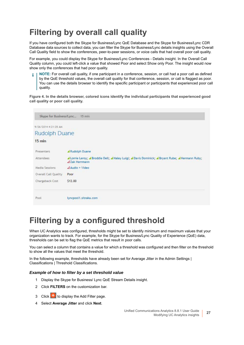## <span id="page-26-0"></span>**Filtering by overall call quality**

If you have configured both the Skype for Business/Lync QoE Database and the Skype for Business/Lync CDR Database data sources to collect data, you can filter the Skype for Business/Lync details insights using the Overall Call Quality field to show the conferences, peer-to-peer sessions, or voice calls that had overall poor call quality.

For example, you could display the Skype for Business/Lync Conferences - Details insight. In the Overall Call Quality column, you could left-click a value that showed Poor and select Show only Poor. The insight would now show only the conferences that had poor quality.

**NOTE:** For overall call quality, if one participant in a conference, session, or call had a poor call as defined ÷ by the QoE threshold values, the overall call quality for that conference, session, or call is flagged as poor. You can use the details browser to identify the specific participant or participants that experienced poor call quality.

**Figure 4. In the details browser, colored icons identify the individual participants that experienced good call quality or poor call quality.**

| Skype for Business/Lync 15 min                                                              |                                                                                                                                                                                  |      |                       |
|---------------------------------------------------------------------------------------------|----------------------------------------------------------------------------------------------------------------------------------------------------------------------------------|------|-----------------------|
| 9/26/2014 4:21:25 AM                                                                        |                                                                                                                                                                                  |      |                       |
| <b>Rudolph Duane</b>                                                                        |                                                                                                                                                                                  |      |                       |
| $15 \text{ min}$                                                                            |                                                                                                                                                                                  |      |                       |
| Presenters<br><b>Attendees</b><br>Media Sessions<br>Overall Call Quality<br>Chargeback Cost | A Rudolph Duane<br>Lorrie Leroy; LBroddie Dell; LHaley Luigi; LDavis Dominick; LBryant Rube; LHermann Ruby;<br><b>47ak Herrmann</b><br>$\Delta$ Audio + Video<br>Poor<br>\$12.00 |      |                       |
|                                                                                             |                                                                                                                                                                                  | Pool | lyncpool1.sitraka.com |

### <span id="page-26-2"></span><span id="page-26-1"></span>**Filtering by a configured threshold**

When UC Analytics was configured, thresholds might be set to identify minimum and maximum values that your organization wants to track. For example, for the Skype for Business/Lync Quality of Experience (QoE) data, thresholds can be set to flag the QoE metrics that result in poor calls.

You can select a column that contains a value for which a threshold was configured and then filter on the threshold to show all the values that meet the threshold.

In the following example, thresholds have already been set for Average Jitter in the Admin Settings | Classifications | Threshold Classifications.

### *Example of how to filter by a set threshold value*

- 1 Display the Skype for Business/ Lync QoE Stream Details insight.
- 2 Click **FILTERS** on the customization bar.
- 3 Clickto display the Add Filter page.
- 4 Select **Average Jitter** and click **Next**.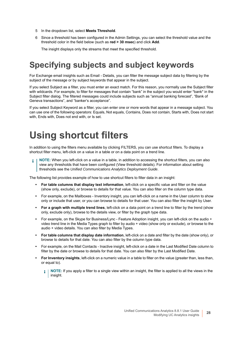- 5 In the dropdown list, select **Meets Threshold**.
- 6 Since a threshold has been configured in the Admin Settings, you can select the threshold value and the threshold color in the field below (such as **red > 30 msec**) and click **Add**.

The insight displays only the streams that meet the specified threshold.

## <span id="page-27-2"></span><span id="page-27-0"></span>**Specifying subjects and subject keywords**

For Exchange email insights such as Email - Details, you can filter the message subject data by filtering by the subject of the message or by subject keywords that appear in the subject.

If you select Subject as a filter, you must enter an exact match. For this reason, you normally use the Subject filter with wildcards. For example, to filter for messages that contain "bank" in the subject you would enter \*bank\* in the Subject filter dialog. The filtered messages could include subjects such as "annual banking forecast", "Bank of Geneva transactions", and "banker's acceptance".

If you select Subject Keyword as a filter, you can enter one or more words that appear in a message subject. You can use one of the following operators: Equals, Not equals, Contains, Does not contain, Starts with, Does not start with, Ends with, Does not end with, or Is set.

## <span id="page-27-1"></span>**Using shortcut filters**

In addition to using the filters menu available by clicking FILTERS, you can use shortcut filters. To display a shortcut filter menu, left-click on a value in a table or on a data point on a trend line.

**NOTE:** When you left-click on a value in a table, in addition to accessing the shortcut filters, you can also view any thresholds that have been configured (View threshold details). For information about setting thresholds see the *Unified Communications Analytics Deployment Guide*.

The following list provides example of how to use shortcut filters to filter data in an insight:

- **For table columns that display text information**, left-click on a specific value and filter on the value (show only, exclude), or browse to details for that value. You can also filter on the column type data.
- **•** For example, on the Mailboxes Inventory insight, you can left-click on a name in the User column to show only or include that user, or you can browse to details for that user. You can also filter the insight by User.
- **For a graph with multiple trend lines**, left-click on a data point on a trend line to filter by the trend (show only, exclude only), browse to the details view, or filter by the graph type data.
- **•** For example, on the Skype for Business/Lync Feature Adoption insight, you can left-click on the audio + video trend line in the Media Types graph to filter by audio + video (show only or exclude), or browse to the audio + video details. You can also filter by Media Types.
- **For table columns that display date information**, left-click on a date and filter by the date (show only), or browse to details for that date. You can also filter by the column type data.
- **•** For example, on the Mail Contacts Inactive insight, left-click on a date in the Last Modified Date column to filter by the date or browse to details for that date. You can also filter by the Last Modified Date.
- **For Inventory insights**, left-click on a numeric value in a table to filter on the value (greater than, less than, or equal to).
	- **NOTE:** If you apply a filter to a single view within an insight, the filter is applied to all the views in the ÷ insight.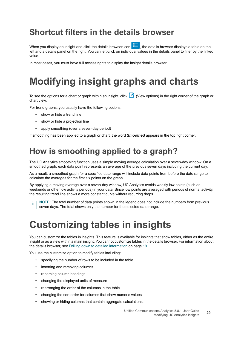### <span id="page-28-0"></span>**Shortcut filters in the details browser**

When you display an insight and click the details browser icon  $\frac{1}{2}$ , the details browser displays a table on the left and a details panel on the right. You can left-click on individual values in the details panel to filter by the linked value.

In most cases, you must have full access rights to display the insight details browser.

# <span id="page-28-1"></span>**Modifying insight graphs and charts**

To see the options for a chart or graph within an insight, click (View options) in the right corner of the graph or chart view.

For trend graphs, you usually have the following options:

- **•** show or hide a trend line
- **•** show or hide a projection line
- **•** apply smoothing (over a seven-day period)

If smoothing has been applied to a graph or chart, the word *Smoothed* appears in the top right corner.

### <span id="page-28-2"></span>**How is smoothing applied to a graph?**

The UC Analytics smoothing function uses a simple moving average calculation over a seven-day window. On a smoothed graph, each data point represents an average of the previous seven days including the current day.

As a result, a smoothed graph for a specified date range will include data points from before the date range to calculate the averages for the first six points on the graph.

By applying a moving average over a seven-day window, UC Analytics avoids weekly low points (such as weekends or other low activity periods) in your data. Since low points are averaged with periods of normal activity, the resulting trend line shows a more constant curve without recurring drops.

**NOTE:** The total number of data points shown in the legend does not include the numbers from previous i seven days. The total shows only the number for the selected date range.

## <span id="page-28-3"></span>**Customizing tables in insights**

You can customize the tables in insights. This feature is available for insights that show tables, either as the entire insight or as a view within a main insight. You cannot customize tables in the details browser. For information about the details browser, see [Drilling down to detailed information on page 19.](#page-18-1)

You use the customize option to modify tables including:

- **•** specifying the number of rows to be included in the table
- **•** inserting and removing columns
- **•** renaming column headings
- **•** changing the displayed units of measure
- **•** rearranging the order of the columns in the table
- **•** changing the sort order for columns that show numeric values
- **•** showing or hiding columns that contain aggregate calculations.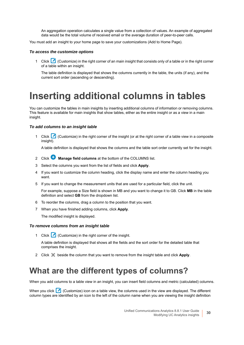An aggregation operation calculates a single value from a collection of values. An example of aggregated data would be the total volume of received email or the average duration of peer-to-peer calls.

You must add an insight to your home page to save your customizations (Add to Home Page).

#### *To access the customize options*

1 Click  $\Box$  (Customize) in the right corner of an main insight that consists only of a table or in the right corner of a table within an insight.

The table definition is displayed that shows the columns currently in the table, the units (if any), and the current sort order (ascending or descending).

## <span id="page-29-0"></span>**Inserting additional columns in tables**

You can customize the tables in main insights by inserting additional columns of information or removing columns. This feature is available for main insights that show tables, either as the entire insight or as a view in a main insight.

#### *To add columns to an insight table*

1 Click (Customize) in the right corner of the insight (or at the right corner of a table view in a composite insight).

A table definition is displayed that shows the columns and the table sort order currently set for the insight.

- 2 Click **Manage field columns** at the bottom of the COLUMNS list.
- 3 Select the columns you want from the list of fields and click **Apply**.
- 4 If you want to customize the column heading, click the display name and enter the column heading you want.
- 5 If you want to change the measurement units that are used for a particular field, click the unit.

For example, suppose a Size field is shown in MB and you want to change it to GB. Click **MB** in the table definition and select **GB** from the dropdown list.

- 6 To reorder the columns, drag a column to the position that you want.
- 7 When you have finished adding columns, click **Apply**.

The modified insight is displayed.

#### *To remove columns from an insight table*

1 Click (Customize) in the right corner of the insight.

A table definition is displayed that shows all the fields and the sort order for the detailed table that comprises the insight.

2 Click beside the column that you want to remove from the insight table and click **Apply**.

### <span id="page-29-1"></span>**What are the different types of columns?**

When you add columns to a table view in an insight, you can insert field columns and metric (calculated) columns.

When you click (Customize) icon on a table view, the columns used in the view are displayed. The different column types are identified by an icon to the left of the column name when you are viewing the insight definition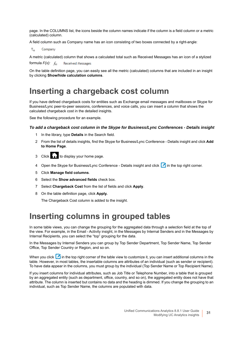page. In the COLUMNS list, the icons beside the column names indicate if the column is a field column or a metric (calculated) column.

A field column such as Company name has an icon consisting of two boxes connected by a right-angle:

 $\overline{\mathbb{L}}_{\mathbf{G}}$ Company

A metric (calculated) column that shows a calculated total such as Received Messages has an icon of a stylized

formula *F(x):*  **Received Messages** 

On the table definition page, you can easily see all the metric (calculated) columns that are included in an insight by clicking **Show/hide calculation columns**.

### <span id="page-30-0"></span>**Inserting a chargeback cost column**

If you have defined chargeback costs for entities such as Exchange email messages and mailboxes or Skype for Business/Lync peer-to-peer sessions, conferences, and voice calls, you can insert a column that shows the calculated chargeback cost in the detailed insights.

See the following procedure for an example.

#### *To add a chargeback cost column in the Skype for Business/Lync Conferences - Details insight*

- 1 In the library, type **Details** in the Search field.
- 2 From the list of details insights, find the Skype for Business/Lync Conference Details insight and click **Add to Home Page**.
- $3$  Click to display your home page.
- 4 Open the Skype for Business/Lync Conference Details insight and click in the top right corner.
- 5 Click **Manage field columns**.
- 6 Select the **Show advanced fields** check box.
- 7 Select **Chargeback Cost** from the list of fields and click **Apply**.
- 8 On the table definition page, click **Apply.**

The Chargeback Cost column is added to the insight.

### <span id="page-30-1"></span>**Inserting columns in grouped tables**

In some table views, you can change the grouping for the aggregated data through a selection field at the top of the view. For example, in the Email - Activity insight, in the Messages by Internal Senders and in the Messages by Internal Recipients, you can select the "top" grouping for the data.

In the Messages by Internal Senders you can group by Top Sender Department, Top Sender Name, Top Sender Office, Top Sender Country or Region, and so on.

When you click  $\Box$  in the top right corner of the table view to customize it, you can insert additional columns in the table. However, in most tables, the insertable columns are attributes of an individual (such as sender or recipient). To have data appear in the columns, you must group by the individual (Top Sender Name or Top Recipient Name).

If you insert columns for individual attributes, such as Job Title or Telephone Number, into a table that is grouped by an aggregated entity (such as department, office, country, and so on), the aggregated entity does not have that attribute. The column is inserted but contains no data and the heading is dimmed. If you change the grouping to an individual, such as Top Sender Name, the columns are populated with data.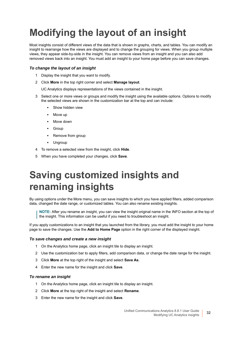# <span id="page-31-0"></span>**Modifying the layout of an insight**

Most insights consist of different views of the data that is shown in graphs, charts, and tables. You can modify an insight to rearrange how the views are displayed and to change the grouping for views. When you group multiple views, they appear side-by-side in the insight. You can remove views from an insight and you can also add removed views back into an insight. You must add an insight to your home page before you can save changes.

### *To change the layout of an insight*

- 1 Display the insight that you want to modify.
- 2 Click **More** in the top right corner and select **Manage layout**.

UC Analytics displays representations of the views contained in the insight.

- 3 Select one or more views or groups and modify the insight using the available options. Options to modify the selected views are shown in the customization bar at the top and can include:
	- **▪** Show hidden view
	- **Move up**
	- **▪** Move down
	- **▪** Group
	- **▪** Remove from group
	- **▪** Ungroup
- 4 To remove a selected view from the insight, click **Hide**.
- 5 When you have completed your changes, click **Save**.

# <span id="page-31-1"></span>**Saving customized insights and renaming insights**

By using options under the More menu, you can save insights to which you have applied filters, added comparison data, changed the date range, or customized tables. You can also rename existing insights.

**NOTE:** After you rename an insight, you can view the insight original name in the INFO section at the top of the insight. This information can be useful if you need to troubleshoot an insight.

If you apply customizations to an insight that you launched from the library, you must add the insight to your home page to save the changes. Use the **Add to Home Page** option in the right corner of the displayed insight.

#### *To save changes and create a new insight*

- 1 On the Analytics home page, click an insight tile to display an insight.
- 2 Use the customization bar to apply filters, add comparison data, or change the date range for the insight.
- 3 Click **More** at the top right of the insight and select **Save As**.
- 4 Enter the new name for the insight and click **Save**.

#### *To rename an insight*

- 1 On the Analytics home page, click an insight tile to display an insight.
- 2 Click **More** at the top right of the insight and select **Rename**.
- 3 Enter the new name for the insight and click **Save**.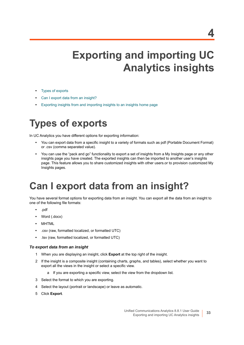# <span id="page-32-3"></span>**Exporting and importing UC Analytics insights**

- <span id="page-32-0"></span>**•** [Types of exports](#page-32-1)
- **•** [Can I export data from an insight?](#page-32-2)
- **•** [Exporting insights from and importing insights to an insights home page](#page-35-0)

## <span id="page-32-1"></span>**Types of exports**

In UC Analytics you have different options for exporting information:

- **•** You can export data from a specific insight to a variety of formats such as pdf (Portable Document Format) or .csv (comma separated value).
- **•** You can use the "pack and go" functionality to export a set of insights from a My Insights page or any other insights page you have created. The exported insights can then be imported to another user's insights page. This feature allows you to share customized insights with other users.or to provision customized My Insights pages.

## <span id="page-32-2"></span>**Can I export data from an insight?**

You have several format options for exporting data from an insight. You can export all the data from an insight to one of the following file formats:

- **•** .pdf
- **•** Word (.docx)
- **•** MHTML
- **•** .csv (raw, formatted localized, or formatted UTC)
- **•** .tsv (raw, formatted localized, or formatted UTC)

### *To export data from an insight*

- 1 When you are displaying an insight, click **Export** at the top right of the insight.
- 2 If the insight is a composite insight (containing charts, graphs, and tables), select whether you want to export all the views in the insight or select a specific view.
	- a If you are exporting a specific view, select the view from the dropdown list.
- 3 Select the format to which you are exporting.
- 4 Select the layout (portrait or landscape) or leave as automatic.
- 5 Click **Export**.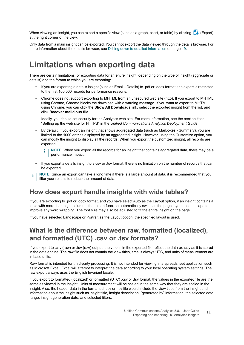When viewing an insight, you can export a specific view (such as a graph, chart, or table) by clicking  $\Box$  (Export) at the right corner of the view.

Only data from a main insight can be exported. You cannot export the data viewed through the details browser. For more information about the details browser, see [Drilling down to detailed information on page 19.](#page-18-1)

### <span id="page-33-0"></span>**Limitations when exporting data**

There are certain limitations for exporting data for an entire insight, depending on the type of insight (aggregate or details) and the format to which you are exporting:

- **•** If you are exporting a details insight (such as Email Details) to .pdf or .docx format, the export is restricted to the first 100,000 records for performance reasons.
- **•** Chrome does not support exporting to MHTML from an unsecured web site (http). If you export to MHTML using Chrome, Chrome blocks the download with a warning message. If you want to export to MHTML using Chrome, you can click the **Show All Downloads** link, select the exported insight from the list, and click **Recover malicious file**.

Ideally, you should set security for the Analytics web site. For more information, see the section titled "Setting up the web site for HTTPS" in the *Unified Communications Analytics Deployment Guide*.

- **•** By default, if you export an insight that shows aggregated data (such as Mailboxes Summary), you are limited to the 1000 entries displayed by an aggregated insight. However, using the Customize option, you can modify the insight to display all the records. When you export the customized insight, all records are exported.
	- **NOTE:** When you export all the records for an insight that contains aggregated data, there may be a ÷. performance impact.
- **•** If you export a details insight to a csv or .tsv format, there is no limitation on the number of records that can be exported.
- **NOTE:** Since an export can take a long time if there is a large amount of data, it is recommended that you ÷ filter your results to reduce the amount of data.

### **How does export handle insights with wide tables?**

If you are exporting to .pdf or .docx format, and you have select Auto as the Layout option, if an insight contains a table with more than eight columns, the export function automatically switches the page layout to landscape to improve any word wrapping. The font size may also be adjusted to fit the entire insight on the page.

If you have selected Landscape or Portrait as the Layout option, the specified layout is used.

### **What is the difference between raw, formatted (localized), and formatted (UTC) .csv or .tsv formats?**

If you export to .csv (raw) or .tsv (raw) output, the values in the exported file reflect the data exactly as it is stored in the data engine. The raw file does not contain the view titles, time is always UTC, and units of measurement are in base units.

Raw format is intended for third-party processing. It is not intended for viewing in a spreadsheet application such as Microsoft Excel. Excel will attempt to interpret the data according to your local operating system settings. The raw export always uses the English Invariant locale.

If you export to formatted (localized) or formatted (UTC) .csv or .tsv format, the values in the exported file are the same as viewed in the insight. Units of measurement will be scaled in the same way that they are scaled in the insight. Also, the header data in the formatted .csv or .tsv file would include the view titles from the insight and information about the insight such as insight title, Insight description, "generated by" information, the selected date range, insight generation date, and selected filters.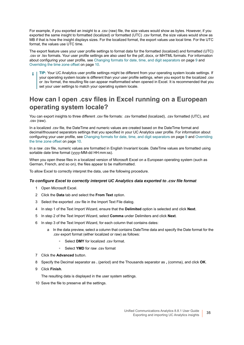For example, if you exported an insight to a .csv (raw) file, the size values would show as bytes. However, if you exported the same insight to formatted (localized) or formatted (UTC) .csv format, the size values would show as MB if that is how the insight displays sizes. For the localized format, the export values use local time. For the UTC format, the values use UTC time.

The export feature uses your user profile settings to format data for the formatted (localized) and formatted (UTC) .csv or .tsv formats. Your user profile settings are also used for the pdf,.docx, or MHTML formats. For information about configuring your user profile, see [Changing formats for date, time, and digit separators on page 9](#page-8-3) and [Overriding the time zone offset on page 10.](#page-9-2)

**TIP:** Your UC Analytics user profile settings might be different from your operating system locale settings. If your operating system locale is different than your user profile settings, when you export to the localized .csv or .tsv format, the resulting file can appear malformatted when opened in Excel. It is recommended that you set your user settings to match your operating system locale.

### **How can I open .csv files in Excel running on a European operating system locale?**

You can export insights to three different .csv file formats: .csv formatted (localized), .csv formatted (UTC), and .csv (raw).

In a localized .csv file, the DateTime and numeric values are created based on the DateTime format and decimal/thousand separators settings that you specified in your UC Analytics user profile. For information about configuring your user profile, see [Changing formats for date, time, and digit separators on page 9](#page-8-3) and [Overriding](#page-9-2)  [the time zone offset on page 10.](#page-9-2)

In a raw .csv file, numeric values are formatted in English Invariant locale. DateTime values are formatted using sortable date time format (yyyy-MM-dd HH:mm:ss).

When you open these files in a localized version of Microsoft Excel on a European operating system (such as German, French, and so on), the files appear to be malformatted.

To allow Excel to correctly interpret the data, use the following procedure.

#### *To configure Excel to correctly interpret UC Analytics data exported to .csv file format*

- 1 Open Microsoft Excel.
- 2 Click the **Data** tab and select the **From Text** option.
- 3 Select the exported .csv file in the Import Text File dialog.
- 4 In step 1 of the Text Import Wizard, ensure that the **Delimited** option is selected and click **Next**.
- 5 In step 2 of the Text Import Wizard, select **Comma** under Delimiters and click **Next**.
- 6 In step 3 of the Text Import Wizard, for each column that contains dates:
	- a In the data preview, select a column that contains DateTime data and specify the Date format for the .csv export format (either localized or raw) as follows:
		- **▫** Select **DMY** for localized .csv format.
		- **▫** Select **YMD** for raw .csv format
- 7 Click the **Advanced** button.
- 8 Specify the Decimal separator as **.** (period) and the Thousands separator as **,** (comma), and click **OK**.
- 9 Click **Finish**.

The resulting data is displayed in the user system settings.

10 Save the file to preserve all the settings.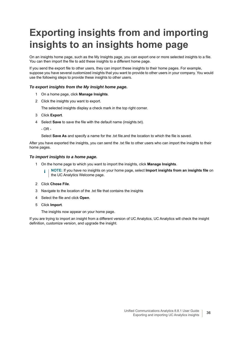# <span id="page-35-1"></span><span id="page-35-0"></span>**Exporting insights from and importing insights to an insights home page**

On an insights home page, such as the My Insights page, you can export one or more selected insights to a file. You can then import the file to add these insights to a different home page.

If you send the export file to other users, they can import these insights to their home pages. For example, suppose you have several customized insights that you want to provide to other users in your company. You would use the following steps to provide these insights to other users.

### *To export insights from the My Insight home page.*

- 1 On a home page, click **Manage Insights**.
- 2 Click the insights you want to export.

The selected insights display a check mark in the top right corner.

- 3 Click **Export**.
- 4 Select **Save** to save the file with the default name (insights.txt).
	- $-$  OR  $-$

Select **Save As** and specify a name for the .txt file.and the location to which the file is saved.

After you have exported the insights, you can send the .txt file to other users who can import the insights to their home pages.

#### *To import insights to a home page.*

- 1 On the home page to which you want to import the insights, click **Manage Insights**.
	- **NOTE:** If you have no insights on your home page, select **Import insights from an insights file** on i I the UC Analytics Welcome page.
- 2 Click **Chose File**.
- 3 Navigate to the location of the .txt file that contains the insights
- 4 Select the file and click **Open**.
- 5 Click **Import**.

The insights now appear on your home page.

If you are trying to import an insight from a different version of UC Analytics, UC Analytics will check the insight definition, customize version, and upgrade the insight.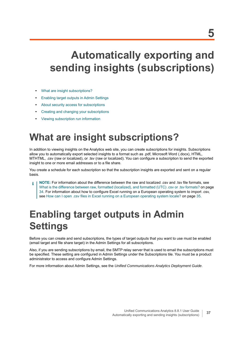# **Automatically exporting and sending insights (subscriptions)**

- **•** [What are insight subscriptions?](#page-36-0)
- **•** [Enabling target outputs in Admin Settings](#page-36-1)
- **•** [About security access for subscriptions](#page-37-0)
- **•** [Creating and changing your subscriptions](#page-37-1)
- **•** [Viewing subscription run information](#page-39-0)

# <span id="page-36-0"></span>**What are insight subscriptions?**

In addition to viewing insights on the Analytics web site, you can create subscriptions for insights. Subscriptions allow you to automatically export selected insights to a format such as .pdf, Microsoft Word (.docx), HTML, MTHTML, .csv (raw or localized), or .tsv (raw or localized). You can configure a subscription to send the exported insight to one or more email addresses or to a file share.

You create a schedule for each subscription so that the subscription insights are exported and sent on a regular basis.

**NOTE:** For information about the difference between the raw and localized .csv and .tsv file formats, see What is the difference between raw, formatted (localized), and formatted (UTC) .csv or .tsv formats? on page [34.](#page-33-0) For information about how to configure Excel running on a European operating system to import .csv, see [How can I open .csv files in Excel running on a European operating system locale? on page 35.](#page-34-0)

# <span id="page-36-1"></span>**Enabling target outputs in Admin Settings**

Before you can create and send subscriptions, the types of target outputs that you want to use must be enabled (email target and file share target) in the Admin Settings for all subscriptions.

Also, if you are sending subscriptions by email, the SMTP relay server that is used to email the subscriptions must be specified. These setting are configured in Admin Settings under the Subscriptions tile. You must be a product administrator to access and configure Admin Settings.

For more information about Admin Settings, see the *Unified Communications Analytics Deployment Guide*.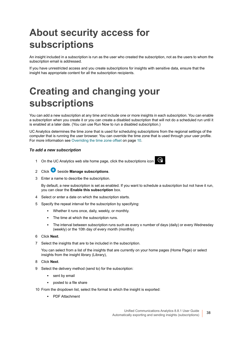# <span id="page-37-0"></span>**About security access for subscriptions**

An insight included in a subscription is run as the user who created the subscription, not as the users to whom the subscription email is addressed.

If you have unrestricted access and you create subscriptions for insights with sensitive data, ensure that the insight has appropriate content for all the subscription recipients.

# <span id="page-37-1"></span>**Creating and changing your subscriptions**

You can add a new subscription at any time and include one or more insights in each subscription. You can enable a subscription when you create it or you can create a disabled subscription that will not do a scheduled run until it is enabled at a later date. (You can use Run Now to run a disabled subscription.)

UC Analytics determines the time zone that is used for scheduling subscriptions from the regional settings of the computer that is running the user browser. You can override the time zone that is used through your user profile. For more information see [Overriding the time zone offset on page 10.](#page-9-0)

#### *To add a new subscription*

1 On the UC Analytics web site home page, click the subscriptions icon



- 2 Click **b** beside **Manage subscriptions**.
- 3 Enter a name to describe the subscription.

By default, a new subscription is set as enabled. If you want to schedule a subscription but not have it run, you can clear the **Enable this subscription** box.

- 4 Select or enter a date on which the subscription starts.
- 5 Specify the repeat interval for the subscription by specifying:
	- **▪** Whether it runs once, daily, weekly, or monthly.
	- **▪** The time at which the subscription runs.
	- The interval between subscription runs such as every x number of days (daily) or every Wednesday (weekly) or the 10th day of every month (monthly)
- 6 Click **Next**.
- 7 Select the insights that are to be included in the subscription.

You can select from a list of the insights that are currently on your home pages (Home Page) or select insights from the insight library (Library),

- 8 Click **Next**.
- 9 Select the delivery method (send to) for the subscription:
	- **▪** sent by email
	- **▪** posted to a file share
- 10 From the dropdown list, select the format to which the insight is exported:
	- **▪** PDF Attachment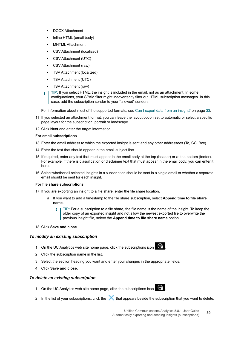- **▪** DOCX Attachment
- **▪** Inline HTML (email body)
- **▪** MHTML Attachment
- **▪** CSV Attachment (localized)
- **▪** CSV Attachment (UTC)
- **▪** CSV Attachment (raw)
- **▪** TSV Attachment (localized)
- **▪** TSV Attachment (UTC)
- **▪** TSV Attachment (raw)
- **TIP:** If you select HTML, the insight is included in the email, not as an attachment. In some configurations, your SPAM filter might inadvertently filter out HTML subscription messages. In this case, add the subscription sender to your "allowed" senders.

For information about most of the supported formats, see [Can I export data from an insight? on page 33.](#page-32-0)

- 11 If you selected an attachment format, you can leave the layout option set to automatic or select a specific page layout for the subscription: portrait or landscape.
- 12 Click **Next** and enter the target information.

#### **For email subscriptions**

- 13 Enter the email address to which the exported insight is sent and any other addressees (To, CC, Bcc).
- 14 Enter the text that should appear in the email subject line.
- 15 If required, enter any text that must appear in the email body at the top (header) or at the bottom (footer). For example, if there is classification or disclaimer text that must appear in the email body, you can enter it here.
- 16 Select whether all selected Insights in a subscription should be sent in a single email or whether a separate email should be sent for each insight.

#### **For file share subscriptions**

- 17 If you are exporting an insight to a file share, enter the file share location.
	- a If you want to add a timestamp to the file share subscription, select **Append time to file share name**.
		- **TIP:** For a subscription to a file share, the file name is the name of the insight. To keep the ÷ older copy of an exported insight and not allow the newest exported file to overwrite the previous insight file, select the **Append time to file share name** option.
- 18 Click **Save and close**.

#### *To modify an existing subscription*

- 1 On the UC Analytics web site home page, click the subscriptions icon
- 2 Click the subscription name in the list.
- 3 Select the section heading you want and enter your changes in the appropriate fields.
- 4 Click **Save and close**.

#### *To delete an existing subscription*

- 1 On the UC Analytics web site home page, click the subscriptions icon
- 2 In the list of your subscriptions, click the that appears beside the subscription that you want to delete.

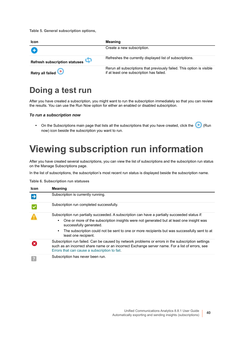**Table 5. General subscription options,**

| <b>Icon</b>                   | <b>Meaning</b>                                                                                                     |
|-------------------------------|--------------------------------------------------------------------------------------------------------------------|
| O                             | Create a new subscription.                                                                                         |
| Refresh subscription statuses | Refreshes the currently displayed list of subscriptions.                                                           |
| Retry all failed              | Rerun all subscriptions that previously failed. This option is visible<br>if at least one subscription has failed. |

## **Doing a test run**

After you have created a subscription, you might want to run the subscription immediately so that you can review the results. You can use the Run Now option for either an enabled or disabled subscription.

#### *To run a subscription now*

• On the Subscriptions main page that lists all the subscriptions that you have created, click the **(B)** (Run now) icon beside the subscription you want to run.

# <span id="page-39-0"></span>**Viewing subscription run information**

After you have created several subscriptions, you can view the list of subscriptions and the subscription run status on the Manage Subscriptions page.

In the list of subscriptions, the subscription's most recent run status is displayed beside the subscription name.

**Table 6. Subscription run statuses**

| Icon | <b>Meaning</b>                                                                                                                                                                                                                                        |  |  |
|------|-------------------------------------------------------------------------------------------------------------------------------------------------------------------------------------------------------------------------------------------------------|--|--|
|      | Subscription is currently running.                                                                                                                                                                                                                    |  |  |
|      | Subscription run completed successfully.                                                                                                                                                                                                              |  |  |
|      | Subscription run partially succeeded. A subscription can have a partially succeeded status if:                                                                                                                                                        |  |  |
|      | One or more of the subscription insights were not generated but at least one insight was<br>$\bullet$<br>successfully generated.                                                                                                                      |  |  |
|      | The subscription could not be sent to one or more recipients but was successfully sent to at<br>$\bullet$<br>least one recipient.                                                                                                                     |  |  |
|      | Subscription run failed. Can be caused by network problems or errors in the subscription settings<br>such as an incorrect share name or an incorrect Exchange server name. For a list of errors, see<br>Errors that can cause a subscription to fail. |  |  |
|      | Subscription has never been run.                                                                                                                                                                                                                      |  |  |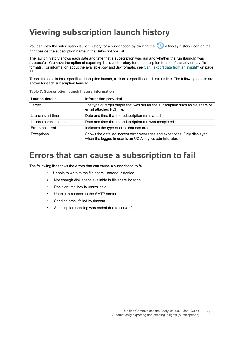## **Viewing subscription launch history**

You can view the subscription launch history for a subscription by clicking the (Display history) icon on the right beside the subscription name in the Subscriptions list.

The launch history shows each date and time that a subscription was run and whether the run (launch) was successful. You have the option of exporting the launch history for a subscription to one of the .csv or .tsv file formats. For information about the available .csv and .tsv formats, see [Can I export data from an insight? on page](#page-32-0)  [33.](#page-32-0)

To see the details for a specific subscription launch, click on a specific launch status line. The following details are shown for each subscription launch:

| <b>Launch details</b> | <b>Information provided</b>                                                                                                          |
|-----------------------|--------------------------------------------------------------------------------------------------------------------------------------|
| Target                | The type of target output that was set for the subscription such as file share or<br>email attached PDF file.                        |
| Launch start time     | Date and time that the subscription run started.                                                                                     |
| Launch complete time  | Date and time that the subscription run was completed.                                                                               |
| Errors occurred       | Indicates the type of error that occurred.                                                                                           |
| Exceptions            | Shows the detailed system error messages and exceptions. Only displayed<br>when the logged in user is an UC Analytics administrator. |

#### **Table 7. Subscription launch history information**

### <span id="page-40-0"></span>**Errors that can cause a subscription to fail**

The following list shows the errors that can cause a subscription to fail:

- **▪** Unable to write to the file share access is denied
- Not enough disk space available in file share location
- **▪** Recipient mailbox is unavailable
- Unable to connect to the SMTP server
- Sending email failed by timeout
- Subscription sending was ended due to server fault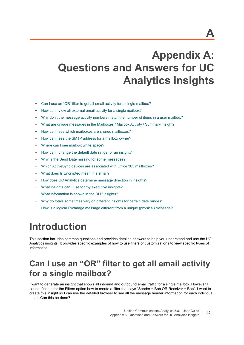# **Appendix A: Questions and Answers for UC Analytics insights**

- **•** [Can I use an "OR" filter to get all email activity for a single mailbox?](#page-41-0)
- **•** [How can I view all external email activity for a single mailbox?](#page-42-1)
- **•** [Why don't the message activity numbers match the number of items in a user mailbox?](#page-42-0)
- **•** [What are unique messages in the Mailboxes / Mailbox Activity / Summary insight?](#page-43-1)
- **•** [How can I see which mailboxes are shared mailboxes?](#page-43-0)
- **•** [How can I see the SMTP address for a mailbox owner?](#page-44-0)
- **•** [Where can I see mailbox white space?](#page-44-1)
- **•** [How can I change the default date range for an insight?](#page-45-1)
- **•** [Why is the Send Date missing for some messages?](#page-45-0)
- **•** [Which ActiveSync devices are associated with Office 365 mailboxes?](#page-46-1)
- **•** [What does Is Encrypted mean in a email?](#page-46-0)
- **•** [How does UC Analytics determine message direction in insights?](#page-46-2)
- **•** [What insights can I use for my executive insights?](#page-48-0)
- **•** [What information is shown in the DLP insights?](#page-48-1)
- **•** [Why do totals sometimes vary on different insights for certain date ranges?](#page-49-0)
- **•** [How is a logical Exchange message different from a unique \(physical\) message?](#page-50-0)

# **Introduction**

This section includes common questions and provides detailed answers to help you understand and use the UC Analytics insights. It provides specific examples of how to use filters or customizations to view specific types of information.

## <span id="page-41-0"></span>**Can I use an "OR" filter to get all email activity for a single mailbox?**

I want to generate an insight that shows all inbound and outbound email traffic for a single mailbox. However I cannot find under the Filters option how to create a filter that says "Sender = Bob OR Receiver = Bob". I want to create this insight so I can use the detailed browser to see all the message header information for each individual email. Can this be done?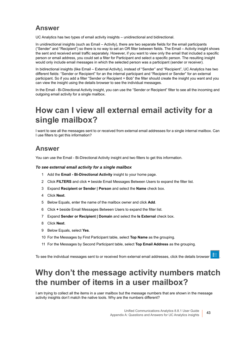### **Answer**

UC Analytics has two types of email activity insights – unidirectional and bidirectional.

In unidirectional insights (such as Email – Activity), there are two separate fields for the email participants ("Sender" and "Recipient") so there is no way to set an OR filter between fields. The Email – Activity insight shows the sent and received email traffic separately. However, if you want to view only the email that included a specific person or email address, you could set a filter for Participant and select a specific person. The resulting insight would only include email messages in which the selected person was a participant (sender or receiver).

In bidirectional insights (like Email – External Activity), instead of "Sender" and "Recipient", UC Analytics has two different fields: "Sender or Recipient" for an the internal participant and "Recipient or Sender" for an external participant. So if you add a filter "Sender or Recipient = Bob" the filter should create the insight you want and you can view the insight using the details browser to see the individual messages.

In the Email - Bi-Directional Activity insight, you can use the "Sender or Recipient" filter to see all the incoming and outgoing email activity for a single mailbox.

## <span id="page-42-1"></span>**How can I view all external email activity for a single mailbox?**

I want to see all the messages sent to or received from external email addresses for a single internal mailbox. Can I use filters to get this information?

### **Answer**

You can use the Email - Bi-Directional Activity insight and two filters to get this information.

#### *To see external email activity for a single mailbox*

- 1 Add the **Email Bi-Directional Activity** insight to your home page.
- 2 Click **FILTERS** and click **+** beside Email Messages Between Users to expand the filter list.
- 3 Expand **Recipient or Sender | Person** and select the **Name** check box.
- 4 Click **Next**.
- 5 Below Equals, enter the name of the mailbox owner and click **Add**.
- 6 Click **+** beside Email Messages Between Users to expand the filter list.
- 7 Expand **Sender or Recipient | Domain** and select the **Is External** check box.
- 8 Click **Next**.
- 9 Below Equals, select **Yes**.
- 10 For the Messages by First Participant table, select **Top Name** as the grouping.
- 11 For the Messages by Second Participant table, select **Top Email Address** as the grouping.

To see the individual messages sent to or received from external email addresses, click the details browser .

## <span id="page-42-0"></span>**Why don't the message activity numbers match the number of items in a user mailbox?**

I am trying to collect all the items in a user mailbox but the message numbers that are shown in the message activity insights don't match the native tools. Why are the numbers different?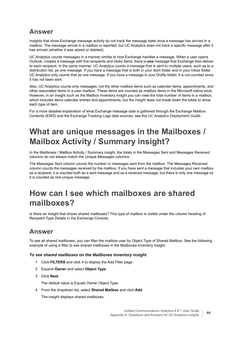### **Answer**

Insights that show Exchange message activity do not track the message state once a message has arrived in a mailbox. The message arrival in a mailbox is reported, but UC Analytics does not track a specific message after it has arrived (whether it was stored or deleted).

UC Analytics counts messages in a manner similar to how Exchange handles a message. When a user opens Outlook, creates a message with five recipients and clicks Send, there is **one** message that Exchange tries deliver to each recipient. In the same manner, UC Analytics counts a message that is sent to multiple users, such as to a distribution list, as one message. If you have a message that is both in your Sent folder and in your Inbox folder, UC Analytics only counts that as one message. If you have a message in your Drafts folder, it is not counted since it has not been sent.

Also, UC Analytics counts only messages, not the other mailbox items such as calendar items, appointments, and other associated items in a user mailbox. These items are counted as mailbox items in the Microsoft native tools. However, in an insight such as the Mailbox Inventory insight you can view the total number of items in a mailbox, which includes items calendar entries and appointments, but the insight does not break down the totals to show each type of item.

For a more detailed explanation of what Exchange message data is gathered through the Exchange Mailbox Contents (EWS) and the Exchange Tracking Logs data sources, see the *UC Analytics Deployment Guide*.

## <span id="page-43-1"></span>**What are unique messages in the Mailboxes / Mailbox Activity / Summary insight?**

In the Mailboxes / Mailbox Activity / Summary insight, the totals in the Messages Sent and Messages Received columns do not always match the Unique Messages columns.

The Messages Sent column counts the number or messages sent from the mailbox. The Messages Received column counts the messages received by the mailbox. If you have sent a message that includes your own mailbox as a recipient, it is counted both as a sent message and as a received message, but there is only one message so it is counted as one unique message.

## <span id="page-43-0"></span>**How can I see which mailboxes are shared mailboxes?**

Is there an insight that shows shared mailboxes? This type of mailbox is visible under the column heading of Recipient Type Details in the Exchange Console.

### **Answer**

To see all shared mailboxes, you can filter the mailbox user by Object Type of Shared Mailbox. See the following example of using a filter to see shared mailboxes in the Mailboxes Inventory insight.

#### *To see shared mailboxes on the Mailboxes Inventory insight*

- 1 Click **FILTERS** and click **+** to display the Add Filter page.
- 2 Expand **Owner** and select **Object Type**.
- 3 Click **Next**.

The default value is Equals Owner Object Type.

4 From the dropdown list, select **Shared Mailbox** and click **Add**.

The insight displays shared mailboxes.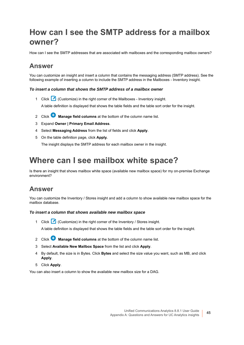## <span id="page-44-0"></span>**How can I see the SMTP address for a mailbox owner?**

How can I see the SMTP addresses that are associated with mailboxes and the corresponding mailbox owners?

### **Answer**

You can customize an insight and insert a column that contains the messaging address (SMTP address). See the following example of inserting a column to include the SMTP address in the Mailboxes - Inventory insight.

#### *To insert a column that shows the SMTP address of a mailbox owner*

1 Click (Customize) in the right corner of the Mailboxes - Inventory insight.

A table definition is displayed that shows the table fields and the table sort order for the insight.

- 2 Click **Manage field columns** at the bottom of the column name list.
- 3 Expand **Owner | Primary Email Address**.
- 4 Select **Messaging Address** from the list of fields and click **Apply**.
- 5 On the table definition page, click **Apply.**

The insight displays the SMTP address for each mailbox owner in the insight.

## <span id="page-44-1"></span>**Where can I see mailbox white space?**

Is there an insight that shows mailbox white space (available new mailbox space) for my on-premise Exchange environment?

### **Answer**

You can customize the Inventory / Stores insight and add a column to show available new mailbox space for the mailbox database.

#### *To insert a column that shows available new mailbox space*

- 1 Click (Customize) in the right corner of the Inventory / Stores insight. A table definition is displayed that shows the table fields and the table sort order for the insight.
- 2 Click **Manage field columns** at the bottom of the column name list.
- 3 Select **Available New Mailbox Space** from the list and click **Apply**.
- 4 By default, the size is in Bytes. Click **Bytes** and select the size value you want, such as MB, and click **Apply**.
- 5 Click **Apply**.

You can also insert a column to show the available new mailbox size for a DAG.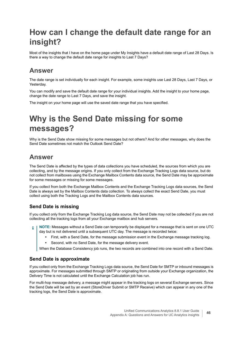## <span id="page-45-1"></span>**How can I change the default date range for an insight?**

Most of the insights that I have on the home page under My Insights have a default date range of Last 28 Days. Is there a way to change the default date range for insights to Last 7 Days?

### **Answer**

The date range is set individually for each insight. For example, some insights use Last 28 Days, Last 7 Days, or Yesterday.

You can modify and save the default date range for your individual insights. Add the insight to your home page, change the date range to Last 7 Days, and save the insight.

The insight on your home page will use the saved date range that you have specified.

## <span id="page-45-0"></span>**Why is the Send Date missing for some messages?**

Why is the Send Date show missing for some messages but not others? And for other messages, why does the Send Date sometimes not match the Outlook Send Date?

### **Answer**

The Send Date is affected by the types of data collections you have scheduled, the sources from which you are collecting, and by the message origins. If you only collect from the Exchange Tracking Logs data source, but do not collect from mailboxes using the Exchange Mailbox Contents data source, the Send Date may be approximate for some messages or missing for some messages.

If you collect from both the Exchange Mailbox Contents and the Exchange Tracking Logs data sources, the Send Date is always set by the Mailbox Contents data collection. To always collect the exact Send Date, you must collect using both the Tracking Logs and the Mailbox Contents data sources.

#### **Send Date is missing**

If you collect only from the Exchange Tracking Log data source, the Send Date may not be collected if you are not collecting all the tracking logs from all your Exchange mailbox and hub servers.

**NOTE:** Messages without a Send Date can temporarily be displayed for a message that is sent on one UTC day but is not delivered until a subsequent UTC day. The message is recorded twice:

- **•** First, with a Send Date, for the message submission event in the Exchange message tracking log.
- **•** Second, with no Send Date, for the message delivery event.

When the Database Consistency job runs, the two records are combined into one record with a Send Date.

#### **Send Date is approximate**

If you collect only from the Exchange Tracking Logs data source, the Send Date for SMTP or inbound messages is approximate. For messages submitted through SMTP or originating from outside your Exchange organization, the Delivery Time is not calculated until the Exchange Calculation job has run.

For multi-hop message delivery, a message might appear in the tracking logs on several Exchange servers. Since the Send Date will be set by an event (StoreDriver Submit or SMTP Receive) which can appear in any one of the tracking logs, the Send Date is approximate.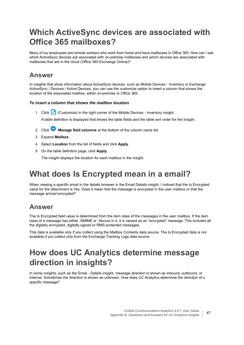## <span id="page-46-1"></span>**Which ActiveSync devices are associated with Office 365 mailboxes?**

Many of my employees are remote workers who work from home and have mailboxes in Office 365. How can I see which ActiveSync devices are associated with on-premise mailboxes and which devices are associated with mailboxes that are in the cloud (Office 365 Exchange Online)?

#### **Answer**

In insights that show information about ActiveSync devices, such as Mobile Devices - Inventory or Exchange ActiveSync / Devices / Active Devices, you can use the customize option to insert a column that shows the location of the associated mailbox, either on-premise or Office 365.

#### *To insert a column that shows the mailbox location*

- 1 Click (Customize) in the right corner of the Mobile Devices Inventory insight. A table definition is displayed that shows the table fields and the table sort order for the insight.
- 2 Click **Manage field columns** at the bottom of the column name list.
- 3 Expand **Mailbox**.
- 4 Select **Location** from the list of fields and click **Apply**.
- 5 On the table definition page, click **Apply.**

The insight displays the location for each mailbox in the insight.

## <span id="page-46-0"></span>**What does Is Encrypted mean in a email?**

When viewing a specific email in the details browser in the Email Details insight, I noticed that the Is Encrypted value for the attachment is Yes. Does it mean that the message is encrypted in the user mailbox or that the message arrived encrypted?

### **Answer**

The Is Encrypted field value is determined from the item class of the messages in the user mailbox. If the item class of a message has either .SMIME or .Secure in it, it is viewed as an "encrypted" message. This includes all the digitally encrypted, digitally signed or RMS-protected messages.

This data is available only if you collect using the Mailbox Contents data source. The Is Encrypted data is not available if you collect only from the Exchange Tracking Logs data source.

## <span id="page-46-3"></span><span id="page-46-2"></span>**How does UC Analytics determine message direction in insights?**

In some insights, such as the Email - Details insight, message direction is shown as inbound, outbound, or internal. Sometimes the direction is shown as unknown. How does UC Analytics determine the direction of s specific message?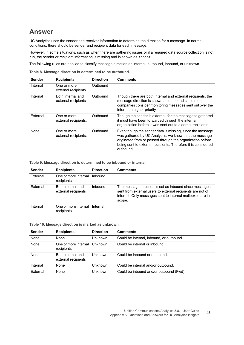### **Answer**

UC Analytics uses the sender and receiver information to determine the direction for a message. In normal conditions, there should be sender and recipient data for each message.

However, in some situations, such as when there are gathering issues or if a required data source collection is not run, the sender or recipient information is missing and is shown as <none>.

The following rules are applied to classify message direction as internal, outbound, inbound, or unknown.

**Table 8. Message direction is determined to be outbound.**

| <b>Sender</b> | <b>Recipients</b>                        | <b>Direction</b> | <b>Comments</b>                                                                                                                                                                                                                                                |
|---------------|------------------------------------------|------------------|----------------------------------------------------------------------------------------------------------------------------------------------------------------------------------------------------------------------------------------------------------------|
| Internal      | One or more<br>external recipients       | Outbound         |                                                                                                                                                                                                                                                                |
| Internal      | Both internal and<br>external recipients | Outbound         | Though there are both internal and external recipients, the<br>message direction is shown as outbound since most<br>companies consider monitoring messages sent out over the<br>internet a higher priority.                                                    |
| External      | One or more<br>external recipients.      | Outbound         | Though the sender is external, for the message to gathered<br>it must have been forwarded through the internal<br>organization before it was sent out to external recipients.                                                                                  |
| None          | One or more<br>external recipients.      | Outbound         | Even though the sender data is missing, since the message<br>was gathered by UC Analytics, we know that the message<br>originated from or passed through the organization before<br>being sent to external recipients. Therefore it is considered<br>outbound. |

**Table 9. Message direction is determined to be inbound or internal.**

| Sender   | <b>Recipients</b>                        | <b>Direction</b> | <b>Comments</b>                                                                                                                                                                             |
|----------|------------------------------------------|------------------|---------------------------------------------------------------------------------------------------------------------------------------------------------------------------------------------|
| External | One or more internal<br>recipients       | Inbound          |                                                                                                                                                                                             |
| External | Both internal and<br>external recipients | Inbound          | The message direction is set as inbound since messages<br>sent from external users to external recipients are not of<br>interest. Only messages sent to internal mailboxes are in<br>scope. |
| Internal | One or more internal<br>recipients       | Internal         |                                                                                                                                                                                             |

**Table 10. Message direction is marked as unknown.**

| Sender   | <b>Recipients</b>                        | <b>Direction</b> | <b>Comments</b>                          |
|----------|------------------------------------------|------------------|------------------------------------------|
| None     | None                                     | Unknown          | Could be internal, inbound, or outbound. |
| None     | One or more internal<br>recipients       | Unknown          | Could be internal or inbound.            |
| None     | Both internal and<br>external recipients | Unknown          | Could be inbound or outbound.            |
| Internal | None                                     | Unknown          | Could be internal and/or outbound.       |
| External | None                                     | Unknown          | Could be inbound and/or outbound (Fwd).  |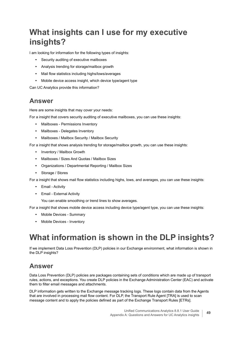## <span id="page-48-0"></span>**What insights can I use for my executive insights?**

I am looking for information for the following types of insights:

- **•** Security auditing of executive mailboxes
- **•** Analysis trending for storage/mailbox growth
- **•** Mail flow statistics including highs/lows/averages
- **•** Mobile device access insight, which device type/agent type

Can UC Analytics provide this information?

### **Answer**

Here are some insights that may cover your needs:

For a insight that covers security auditing of executive mailboxes, you can use these insights:

- **•** Mailboxes Permissions Inventory
- **•** Mailboxes Delegates Inventory
- **•** Mailboxes / Mailbox Security / Mailbox Security

For a insight that shows analysis trending for storage/mailbox growth, you can use these insights:

- **•** Inventory / Mailbox Growth
- **•** Mailboxes / Sizes And Quotas / Mailbox Sizes
- **•** Organizations / Departmental Reporting / Mailbox Sizes
- **•** Storage / Stores

For a insight that shows mail flow statistics including highs, lows, and averages, you can use these insights:

- **•** Email Activity
- **•** Email External Activity

You can enable smoothing or trend lines to show averages.

For a insight that shows mobile device access including device type/agent type, you can use these insights:

- **•** Mobile Devices Summary
- **•** Mobile Devices Inventory

## <span id="page-48-1"></span>**What information is shown in the DLP insights?**

If we implement Data Loss Prevention (DLP) policies in our Exchange environment, what information is shown in the DLP insights?

### **Answer**

Data Loss Prevention (DLP) policies are packages containing sets of conditions which are made up of transport rules, actions, and exceptions. You create DLP policies in the Exchange Administration Center (EAC) and activate them to filter email messages and attachments.

DLP information gets written to the Exchange message tracking logs. These logs contain data from the Agents that are involved in processing mail flow content. For DLP, the Transport Rule Agent [TRA] is used to scan message content and to apply the policies defined as part of the Exchange Transport Rules [ETRs].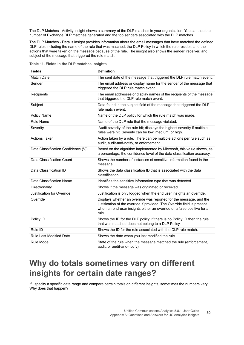The DLP Matches - Activity insight shows a summary of the DLP matches in your organization. You can see the number of Exchange DLP matches generated and the top senders associated with the DLP matches.

The DLP Matches - Details insight provides information about the email messages that have matched the defined DLP rules including the name of the rule that was matched, the DLP Policy in which the rule resides, and the actions that were taken on the message because of the rule. The insight also shows the sender, receiver, and subject of the message that triggered the rule match.

|  |  |  |  |  |  | Table 11. Fields in the DLP matches insights |  |
|--|--|--|--|--|--|----------------------------------------------|--|
|--|--|--|--|--|--|----------------------------------------------|--|

| <b>Fields</b>                      | <b>Definition</b>                                                                                                                                                                                                                 |
|------------------------------------|-----------------------------------------------------------------------------------------------------------------------------------------------------------------------------------------------------------------------------------|
| Match Date                         | The sent date of the message that triggered the DLP rule match event.                                                                                                                                                             |
| Sender                             | The email address or display name for the sender of the message that<br>triggered the DLP rule match event.                                                                                                                       |
| Recipients                         | The email addresses or display names of the recipients of the message<br>that triggered the DLP rule match event.                                                                                                                 |
| Subject                            | Data found in the subject field of the message that triggered the DLP<br>rule match event.                                                                                                                                        |
| Policy Name                        | Name of the DLP policy for which the rule match was made.                                                                                                                                                                         |
| <b>Rule Name</b>                   | Name of the DLP rule that the message violated.                                                                                                                                                                                   |
| Severity                           | Audit severity of the rule hit; displays the highest severity if multiple<br>rules were hit. Severity can be low, medium, or high.                                                                                                |
| <b>Actions Taken</b>               | Action taken by a rule. There can be multiple actions per rule such as<br>audit, audit-and-notify, or enforcement.                                                                                                                |
| Data Classification Confidence (%) | Based on the algorithm implemented by Microsoft, this value shows, as<br>a percentage, the confidence level of the data classification accuracy.                                                                                  |
| Data Classification Count          | Shows the number of instances of sensitive information found in the<br>message.                                                                                                                                                   |
| Data Classification ID             | Shows the data classification ID that is associated with the data<br>classification.                                                                                                                                              |
| Data Classification Name           | Identifies the sensitive information type that was detected.                                                                                                                                                                      |
| Directionality                     | Shows if the message was originated or received.                                                                                                                                                                                  |
| Justification for Override         | Justification is only logged when the end user insights an override.                                                                                                                                                              |
| Override                           | Displays whether an override was reported for the message, and the<br>justification of the override if provided. The Override field is present<br>when an end-user insights either an override or a false positive for a<br>rule. |
| Policy ID                          | Shows the ID for the DLP policy. If there is no Policy ID then the rule<br>that was matched does not belong to a DLP Policy.                                                                                                      |
| Rule ID                            | Shows the ID for the rule associated with the DLP rule match.                                                                                                                                                                     |
| <b>Rule Last Modified Date</b>     | Shows the date when you last modified the rule.                                                                                                                                                                                   |
| Rule Mode                          | State of the rule when the message matched the rule (enforcement,<br>audit, or audit-and-notify).                                                                                                                                 |

### <span id="page-49-0"></span>**Why do totals sometimes vary on different insights for certain date ranges?**

If I specify a specific date range and compare certain totals on different insights, sometimes the numbers vary. Why does that happen?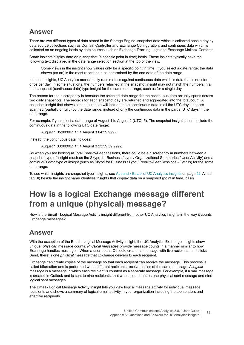### **Answer**

There are two different types of data stored in the Storage Engine, snapshot data which is collected once a day by data source collections such as Domain Controller and Exchange Configuration, and continuous data which is collected on an ongoing basis by data sources such as Exchange Tracking Logs and Exchange Mailbox Contents.

Some insights display data on a snapshot (a specific point in time) basis. These insights typically have the following text displayed in the date range selection section at the top of the view.

Some views in the insight show values only for a specific point in time. If you select a date range, the data shown (as on) is the most recent data as determined by the end date of the date range.

In these insights, UC Analytics occasionally runs metrics against continuous data which is data that is not stored once per day. In some situations, the numbers returned in the snapshot insight may not match the numbers in a non-snapshot (continuous data) type insight for the same date range, such as for a single day.

The reason for the discrepancy is because the selected date range for the continuous data actually spans across two daily snapshots. The records for each snapshot day are returned and aggregated into the total/count. A snapshot insight that shows continuous data will include the all continuous data in all the UTC days that are spanned (partially or fully) by the date range, instead of only the continuous data in the partial UTC days in the date range.

For example, if you select a date range of August 1 to August 2 (UTC -5). The snapshot insight should include the continuous data in the following UTC date range:

August 1 05:00:00Z ≤ t ≤ August 3 04:59:999Z

Instead, the continuous data includes:

August 1 00:00:00Z ≤ t ≤ August 3 23:59:59.999Z

So when you are looking at Total Peer-to-Peer sessions, there could be a discrepancy in numbers between a snapshot type of insight (such as the Skype for Business / Lync / Organizational Summaries / User Activity) and a continuous data type of insight (such as Skype for Business / Lync / Peer-to-Peer Sessions - Details) for the same date range.

To see which insights are snapshot type insights, see [Appendix B: List of UC Analytics insights on page 52.](#page-51-0) A hash tag (#) beside the insight name identifies insights that display data on a snapshot (point in time) basis

## <span id="page-50-1"></span><span id="page-50-0"></span>**How is a logical Exchange message different from a unique (physical) message?**

How is the Email - Logical Message Activity insight different from other UC Analytics insights in the way it counts Exchange messages?

### **Answer**

With the exception of the Email - Logical Message Activity insight, the UC Analytics Exchange insights show unique (*physical*) message counts. *Physical messages* provide message counts in a manner similar to how Exchange handles messages. When a user opens Outlook, creates a message with five recipients and clicks Send, there is one *physical* message that Exchange delivers to each recipient.

Exchange can create copies of the message so that each recipient can receive the message. This process is called bifurcation and is performed when different recipients receive copies of the same message. A *logical* message is a message in which each recipient is counted as a separate message. For example, if a mail message is created in Outlook and is sent to nine recipients, that would count that as one physical sent message and nine logical sent messages.

The Email - Logical Message Activity insight lets you view logical message activity for individual message recipients and shows a summary of logical email activity in your organization including the top senders and effective recipients.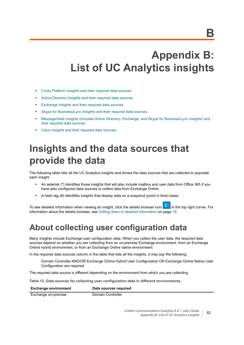# <span id="page-51-0"></span>**Appendix B: List of UC Analytics insights**

- **•** [Cross Platform Insights and their required data sources](#page-53-0)
- **•** [Active Directory Insights and their required data sources.](#page-55-0)
- **•** [Exchange Insights and their required data sources](#page-57-0)
- **•** [Skype for Business/Lync Insights and their required data sources.](#page-68-0)
- **•** [MessageStats Insights \(includes Active Directory, Exchange, and Skype for Business/Lync insights\) and](#page-71-0)  [their required data sources](#page-71-0)
- **•** Cisco Insights and their required data sources.

# **Insights and the data sources that provide the data**

The following table lists all the UC Analytics insights and shows the data sources that are collected to populate each insight.

- **•** An asterisk (**\***) identifies those insights that will also include mailbox and user data from Office 365 if you have also configured data sources to collect data from Exchange Online.
- **•** A hash tag (#) identifies insights that display data on a snapshot (point in time) basis.

To see detailed information when viewing an insight, click the details browser icon in the top right corner. For information about the details browser, see [Drilling down to detailed information on page 19.](#page-18-0)

### **About collecting user configuration data**

Many insights include Exchange user configuration data. When you collect the user data, the required data sources depend on whether you are collecting from an on-premise Exchange environment, from an Exchange Online hybrid environment, or from an Exchange Online native environment.

In the required data sources column in the table that lists all the insights, it may say the following:

Domain Controller AND/OR Exchange Online Hybrid User Configuration OR Exchange Online Native User Configuration are required.

The required data source is different depending on the environment from which you are collecting.

**Table 12. Data sources for collecting user configuration data in different environments.**

#### **Exchange environment** Data sources required Exchange on-premise Domain Controller

Unified Communications Analytics 8.8.1 User Guide Appendix B: List of UC Analytics insights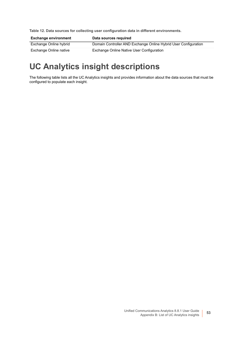**Table 12. Data sources for collecting user configuration data in different environments.**

| <b>Exchange environment</b> | Data sources required                                           |
|-----------------------------|-----------------------------------------------------------------|
| Exchange Online hybrid      | Domain Controller AND Exchange Online Hybrid User Configuration |
| Exchange Online native      | Exchange Online Native User Configuration                       |

## **UC Analytics insight descriptions**

The following table lists all the UC Analytics insights and provides information about the data sources that must be configured to populate each insight.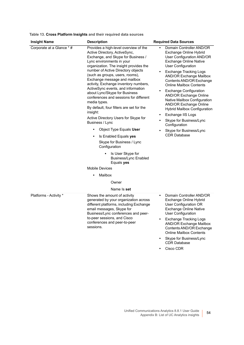<span id="page-53-0"></span>**Table 13. Cross Platform Insights and their required data sources**

| <b>Insight Name</b>       | <b>Description</b>                                                                                                                                                                                                                                                                                                                                                                                                                                                                                                                                                                                                                                                                                                                                                                                                                           | <b>Required Data Sources</b>                                                                                                                                                                                                                                                                                                                                                                                                                                                                                                                                                                                            |
|---------------------------|----------------------------------------------------------------------------------------------------------------------------------------------------------------------------------------------------------------------------------------------------------------------------------------------------------------------------------------------------------------------------------------------------------------------------------------------------------------------------------------------------------------------------------------------------------------------------------------------------------------------------------------------------------------------------------------------------------------------------------------------------------------------------------------------------------------------------------------------|-------------------------------------------------------------------------------------------------------------------------------------------------------------------------------------------------------------------------------------------------------------------------------------------------------------------------------------------------------------------------------------------------------------------------------------------------------------------------------------------------------------------------------------------------------------------------------------------------------------------------|
| Corporate at a Glance * # | Provides a high-level overview of the<br>Active Directory, ActiveSync,<br>Exchange, and Skype for Business /<br>Lync environments in your<br>organization. The insight provides the<br>number of Active Directory objects<br>(such as groups, users, rooms),<br>Exchange message and mailbox<br>activity, Exchange inventory numbers,<br>ActiveSync events, and information<br>about Lync/Skype for Business<br>conferences and sessions for different<br>media types.<br>By default, four filters are set for the<br>insight:<br>Active Directory Users for Skype for<br>Business / Lync<br>Object Type Equals User<br>Is Enabled Equals yes<br>$\bullet$<br>Skype for Business / Lync<br>Configuration<br>Is User Skype for<br><b>Business/Lync Enabled</b><br>Equals yes<br><b>Mobile Devices</b><br>Mailbox<br>٠<br>Owner<br>Name Is set | Domain Controller AND/OR<br>Exchange Online Hybrid<br>User Configuration AND/OR<br><b>Exchange Online Native</b><br><b>User Configuration</b><br><b>Exchange Tracking Logs</b><br><b>AND/OR Exchange Mailbox</b><br>Contents AND/OR Exchange<br><b>Online Mailbox Contents</b><br><b>Exchange Configuration</b><br>$\bullet$<br><b>AND/OR Exchange Online</b><br>Native Mailbox Configuration<br><b>AND/OR Exchange Online</b><br><b>Hybrid Mailbox Configuration</b><br>Exchange IIS Logs<br>$\bullet$<br>Skype for Business/Lync<br>۰<br>Configuration<br>Skype for Business/Lync<br>$\bullet$<br><b>CDR Database</b> |
| Platforms - Activity *    | Shows the amount of activity<br>generated by your organization across<br>different platforms, including Exchange<br>email messages, Skype for<br>Business/Lync conferences and peer-<br>to-peer sessions, and Cisco<br>conferences and peer-to-peer<br>sessions.                                                                                                                                                                                                                                                                                                                                                                                                                                                                                                                                                                             | Domain Controller AND/OR<br>$\bullet$<br>Exchange Online Hybrid<br>User Configuration OR<br><b>Exchange Online Native</b><br><b>User Configuration</b><br><b>Exchange Tracking Logs</b><br>٠<br><b>AND/OR Exchange Mailbox</b><br>Contents AND/OR Exchange<br><b>Online Mailbox Contents</b><br>Skype for Business/Lync<br>$\bullet$                                                                                                                                                                                                                                                                                    |

**•** Cisco CDR

CDR Database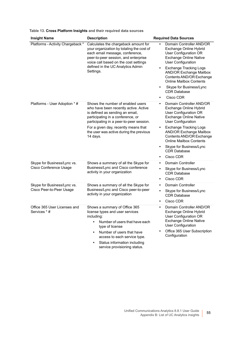| Table 13. Cross Platform Insights and their required data sources |  |
|-------------------------------------------------------------------|--|
|-------------------------------------------------------------------|--|

| <b>Insight Name</b>                                     | <b>Description</b>                                                                                                                                                                                                                                      | <b>Required Data Sources</b>                                                                                                                                                                                                                                                                                                                   |
|---------------------------------------------------------|---------------------------------------------------------------------------------------------------------------------------------------------------------------------------------------------------------------------------------------------------------|------------------------------------------------------------------------------------------------------------------------------------------------------------------------------------------------------------------------------------------------------------------------------------------------------------------------------------------------|
| Platforms - Activity Chargeback *                       | Calculates the chargeback amount for<br>your organization by totaling the cost of<br>each email message, conference,<br>peer-to-peer session, and enterprise<br>voice call based on the cost settings<br>defined in the UC Analytics Admin<br>Settings. | Domain Controller AND/OR<br>Exchange Online Hybrid<br>User Configuration OR<br><b>Exchange Online Native</b><br><b>User Configuration</b><br><b>Exchange Tracking Logs</b><br><b>AND/OR Exchange Mailbox</b><br>Contents AND/OR Exchange<br><b>Online Mailbox Contents</b><br>Skype for Business/Lync<br>٠<br><b>CDR Database</b><br>Cisco CDR |
| Platforms - User Adoption * #                           | Shows the number of enabled users<br>who have been recently active. Active<br>is defined as sending an email,<br>participating in a conference, or<br>participating in a peer-to-peer session.                                                          | Domain Controller AND/OR<br>$\bullet$<br>Exchange Online Hybrid<br>User Configuration OR<br><b>Exchange Online Native</b><br><b>User Configuration</b>                                                                                                                                                                                         |
|                                                         | For a given day, recently means that<br>the user was active during the previous<br>14 days.                                                                                                                                                             | <b>Exchange Tracking Logs</b><br>٠<br><b>AND/OR Exchange Mailbox</b><br>Contents AND/OR Exchange<br><b>Online Mailbox Contents</b>                                                                                                                                                                                                             |
|                                                         |                                                                                                                                                                                                                                                         | Skype for Business/Lync<br>٠<br><b>CDR Database</b><br>Cisco CDR<br>٠                                                                                                                                                                                                                                                                          |
| Skype for Business/Lync vs.                             | Shows a summary of all the Skype for                                                                                                                                                                                                                    | Domain Controller<br>٠                                                                                                                                                                                                                                                                                                                         |
| Cisco Conference Usage                                  | Business/Lync and Cisco conference<br>activity in your organization                                                                                                                                                                                     | Skype for Business/Lync<br><b>CDR Database</b>                                                                                                                                                                                                                                                                                                 |
|                                                         |                                                                                                                                                                                                                                                         | Cisco CDR<br>٠                                                                                                                                                                                                                                                                                                                                 |
| Skype for Business/Lync vs.<br>Cisco Peer-to-Peer Usage | Shows a summary of all the Skype for<br>Business/Lync and Cisco peer-to-peer                                                                                                                                                                            | <b>Domain Controller</b><br>٠<br>Skype for Business/Lync<br>٠                                                                                                                                                                                                                                                                                  |
|                                                         | activity in your organization                                                                                                                                                                                                                           | <b>CDR Database</b>                                                                                                                                                                                                                                                                                                                            |
|                                                         |                                                                                                                                                                                                                                                         | Cisco CDR<br>٠                                                                                                                                                                                                                                                                                                                                 |
| Office 365 User Licenses and<br>Services * #            | Shows a summary of Office 365<br>license types and user services<br>including:<br>Number of users that have each<br>type of license                                                                                                                     | Domain Controller AND/OR<br>٠<br>Exchange Online Hybrid<br>User Configuration OR<br><b>Exchange Online Native</b><br><b>User Configuration</b>                                                                                                                                                                                                 |
|                                                         | Number of users that have<br>access to each service type.                                                                                                                                                                                               | Office 365 User Subscription<br>Configuration                                                                                                                                                                                                                                                                                                  |
|                                                         | Status information including<br>service provisioning status.                                                                                                                                                                                            |                                                                                                                                                                                                                                                                                                                                                |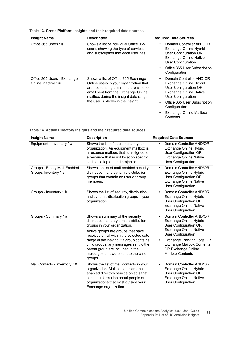|  | Table 13. Cross Platform Insights and their required data sources |
|--|-------------------------------------------------------------------|
|--|-------------------------------------------------------------------|

| <b>Insight Name</b>                                | <b>Description</b>                                                                                                                                                                                                                            | <b>Required Data Sources</b>                                                                                                                                                                                               |
|----------------------------------------------------|-----------------------------------------------------------------------------------------------------------------------------------------------------------------------------------------------------------------------------------------------|----------------------------------------------------------------------------------------------------------------------------------------------------------------------------------------------------------------------------|
| Office 365 Users $*$ #                             | Shows a list of individual Office 365<br>users, showing the type of services<br>and subscription that each user has.                                                                                                                          | Domain Controller AND/OR<br>٠<br>Exchange Online Hybrid<br>User Configuration OR<br><b>Exchange Online Native</b><br>User Configuration<br>Office 365 User Subscription<br>Configuration                                   |
| Office 365 Users - Exchange<br>Online Inactive * # | Shows a list of Office 365 Exchange<br>Online users in your organization that<br>are not sending email. If there was no<br>email sent from the Exchange Online<br>mailbox during the insight date range,<br>the user is shown in the insight. | Domain Controller AND/OR<br>Exchange Online Hybrid<br>User Configuration OR<br><b>Exchange Online Native</b><br>User Configuration<br>Office 365 User Subscription<br>Configuration<br>Exchange Online Mailbox<br>Contents |

<span id="page-55-0"></span>**Table 14. Active Directory Insights and their required data sources.**

| <b>Insight Name</b>                                 | <b>Description</b>                                                                                                                                                                                                                                                                                                                                                        | <b>Required Data Sources</b>                                                                                                                                                                                                                                                          |
|-----------------------------------------------------|---------------------------------------------------------------------------------------------------------------------------------------------------------------------------------------------------------------------------------------------------------------------------------------------------------------------------------------------------------------------------|---------------------------------------------------------------------------------------------------------------------------------------------------------------------------------------------------------------------------------------------------------------------------------------|
| Equipment - Inventory * #                           | Shows the list of equipment in your<br>organization. An equipment mailbox is<br>a resource mailbox that is assigned to<br>a resource that is not location specific<br>such as a laptop and projector.                                                                                                                                                                     | Domain Controller AND/OR<br>Exchange Online Hybrid<br>User Configuration OR<br><b>Exchange Online Native</b><br><b>User Configuration</b>                                                                                                                                             |
| Groups - Empty Mail-Enabled<br>Groups Inventory * # | Shows the list of mail-enabled security,<br>distribution, and dynamic distribution<br>groups that contain no user or group<br>members.                                                                                                                                                                                                                                    | Domain Controller AND/OR<br>$\bullet$<br>Exchange Online Hybrid<br>User Configuration OR<br><b>Exchange Online Native</b><br><b>User Configuration</b>                                                                                                                                |
| Groups - Inventory * #                              | Shows the list of security, distribution,<br>and dynamic distribution groups in your<br>organization.                                                                                                                                                                                                                                                                     | Domain Controller AND/OR<br>$\bullet$<br>Exchange Online Hybrid<br>User Configuration OR<br><b>Exchange Online Native</b><br><b>User Configuration</b>                                                                                                                                |
| Groups - Summary * #                                | Shows a summary of the security,<br>distribution, and dynamic distribution<br>groups in your organization.<br>Active groups are groups that have<br>received email within the selected date<br>range of the insight. If a group contains<br>child groups, any messages sent to the<br>parent group are included in the<br>messages that were sent to the child<br>groups. | Domain Controller AND/OR<br>$\bullet$<br>Exchange Online Hybrid<br>User Configuration OR<br><b>Exchange Online Native</b><br><b>User Configuration</b><br>Exchange Tracking Logs OR<br>$\bullet$<br><b>Exchange Mailbox Contents</b><br>OR Exchange Online<br><b>Mailbox Contents</b> |
| Mail Contacts - Inventory * #                       | Shows the list of mail contacts in your<br>organization. Mail contacts are mail-<br>enabled directory service objects that<br>contain information about people or<br>organizations that exist outside your<br>Exchange organization.                                                                                                                                      | Domain Controller AND/OR<br>Exchange Online Hybrid<br>User Configuration OR<br><b>Exchange Online Native</b><br><b>User Configuration</b>                                                                                                                                             |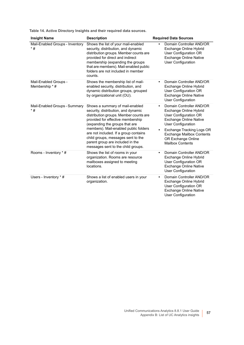**Table 14. Active Directory Insights and their required data sources.**

| <b>Insight Name</b>                      | <b>Description</b>                                                                                                                                                                                                                                                                                                                                                                        | <b>Required Data Sources</b>                                                                                                                                                                                                                                                          |
|------------------------------------------|-------------------------------------------------------------------------------------------------------------------------------------------------------------------------------------------------------------------------------------------------------------------------------------------------------------------------------------------------------------------------------------------|---------------------------------------------------------------------------------------------------------------------------------------------------------------------------------------------------------------------------------------------------------------------------------------|
| Mail-Enabled Groups - Inventory<br>$*$ # | Shows the list of your mail-enabled<br>security, distribution, and dynamic<br>distribution groups. Member counts are<br>provided for direct and indirect<br>membership (expanding the groups<br>that are members). Mail-enabled public<br>folders are not included in member<br>counts.                                                                                                   | Domain Controller AND/OR<br>Exchange Online Hybrid<br>User Configuration OR<br><b>Exchange Online Native</b><br><b>User Configuration</b>                                                                                                                                             |
| Mail-Enabled Groups -<br>Membership * #  | Shows the membership list of mail-<br>enabled security, distribution, and<br>dynamic distribution groups, grouped<br>by organizational unit (OU).                                                                                                                                                                                                                                         | Domain Controller AND/OR<br>$\bullet$<br>Exchange Online Hybrid<br>User Configuration OR<br><b>Exchange Online Native</b><br><b>User Configuration</b>                                                                                                                                |
| Mail-Enabled Groups - Summary<br>$*$ #   | Shows a summary of mail-enabled<br>security, distribution, and dynamic<br>distribution groups. Member counts are<br>provided for effective membership<br>(expanding the groups that are<br>members). Mail-enabled public folders<br>are not included. If a group contains<br>child groups, messages sent to the<br>parent group are included in the<br>messages sent to the child groups. | Domain Controller AND/OR<br>$\bullet$<br>Exchange Online Hybrid<br>User Configuration OR<br><b>Exchange Online Native</b><br><b>User Configuration</b><br>Exchange Tracking Logs OR<br>$\bullet$<br><b>Exchange Mailbox Contents</b><br>OR Exchange Online<br><b>Mailbox Contents</b> |
| Rooms - Inventory * #                    | Shows the list of rooms in your<br>organization. Rooms are resource<br>mailboxes assigned to meeting<br>locations.                                                                                                                                                                                                                                                                        | Domain Controller AND/OR<br>$\bullet$<br>Exchange Online Hybrid<br>User Configuration OR<br><b>Exchange Online Native</b><br><b>User Configuration</b>                                                                                                                                |
| Users - Inventory * #                    | Shows a list of enabled users in your<br>organization.                                                                                                                                                                                                                                                                                                                                    | Domain Controller AND/OR<br>$\bullet$<br>Exchange Online Hybrid<br>User Configuration OR<br><b>Exchange Online Native</b><br>User Configuration                                                                                                                                       |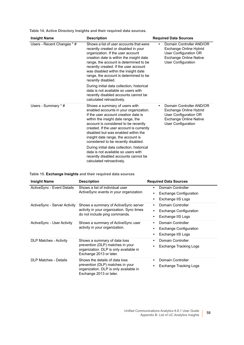**Table 14. Active Directory Insights and their required data sources.**

| <b>Insight Name</b>        | <b>Description</b>                                                                                                                                                                                                                                                                                                                                                                                                                                                                                                       | <b>Required Data Sources</b>                                                                                                       |
|----------------------------|--------------------------------------------------------------------------------------------------------------------------------------------------------------------------------------------------------------------------------------------------------------------------------------------------------------------------------------------------------------------------------------------------------------------------------------------------------------------------------------------------------------------------|------------------------------------------------------------------------------------------------------------------------------------|
| Users - Recent Changes * # | Shows a list of user accounts that were<br>recently created or disabled in your<br>organization. If the user account<br>creation date is within the insight date<br>range, the account is determined to be<br>recently created. If the user account<br>was disabled within the insight date<br>range, the account is determined to be<br>recently disabled.<br>During initial data collection, historical<br>data is not available so users with<br>recently disabled accounts cannot be<br>calculated retroactively.    | Domain Controller AND/OR<br>Exchange Online Hybrid<br>User Configuration OR<br><b>Exchange Online Native</b><br>User Configuration |
| Users - Summary * #        | Shows a summary of users with<br>enabled accounts in your organization.<br>If the user account creation date is<br>within the insight date range, the<br>account is considered to be recently<br>created. If the user account is currently<br>disabled but was enabled within the<br>insight date range, the account is<br>considered to be recently disabled.<br>During initial data collection, historical<br>data is not available so users with<br>recently disabled accounts cannot be<br>calculated retroactively. | Domain Controller AND/OR<br>Exchange Online Hybrid<br>User Configuration OR<br><b>Exchange Online Native</b><br>User Configuration |

<span id="page-57-0"></span>

|  |  | Table 15. Exchange Insights and their required data sources |  |  |  |  |  |  |
|--|--|-------------------------------------------------------------|--|--|--|--|--|--|
|--|--|-------------------------------------------------------------|--|--|--|--|--|--|

| <b>Insight Name</b>           | <b>Description</b>                                                                                                                      | <b>Required Data Sources</b>                                                                           |
|-------------------------------|-----------------------------------------------------------------------------------------------------------------------------------------|--------------------------------------------------------------------------------------------------------|
| ActiveSync - Event Details    | Shows a list of individual user<br>ActiveSync events in your organization.                                                              | Domain Controller<br>٠<br><b>Exchange Configuration</b><br>$\bullet$<br>Exchange IIS Logs<br>٠         |
| ActiveSync - Server Activity  | Shows a summary of ActiveSync server<br>activity in your organization. Sync times<br>do not include ping commands.                      | Domain Controller<br>$\bullet$<br><b>Exchange Configuration</b><br>$\bullet$<br>Exchange IIS Logs<br>٠ |
| ActiveSync - User Activity    | Shows a summary of Active Sync user<br>activity in your organization.                                                                   | Domain Controller<br>٠<br><b>Exchange Configuration</b><br>$\bullet$<br>Exchange IIS Logs<br>٠         |
| <b>DLP Matches - Activity</b> | Shows a summary of data loss<br>prevention (DLP) matches in your<br>organization. DLP is only available in<br>Exchange 2013 or later.   | Domain Controller<br>$\bullet$<br>Exchange Tracking Logs<br>٠                                          |
| <b>DLP Matches - Details</b>  | Shows the details of data loss<br>prevention (DLP) matches in your<br>organization. DLP is only available in<br>Exchange 2013 or later. | <b>Domain Controller</b><br>$\bullet$<br>Exchange Tracking Logs                                        |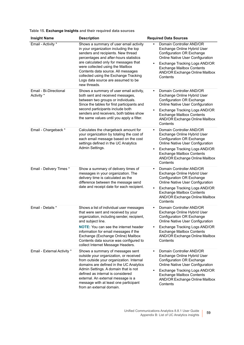|  | Table 15. Exchange Insights and their required data sources |  |  |  |  |
|--|-------------------------------------------------------------|--|--|--|--|
|--|-------------------------------------------------------------|--|--|--|--|

| <b>Insight Name</b>                  | <b>Description</b>                                                                                                                                                                                                                                                                                                                                                                 | <b>Required Data Sources</b>                                                                                                                                                                                                                                                 |
|--------------------------------------|------------------------------------------------------------------------------------------------------------------------------------------------------------------------------------------------------------------------------------------------------------------------------------------------------------------------------------------------------------------------------------|------------------------------------------------------------------------------------------------------------------------------------------------------------------------------------------------------------------------------------------------------------------------------|
| Email - Activity *                   | Shows a summary of user email activity<br>in your organization including the top<br>senders and recipients. New thread<br>percentages and after-hours statistics<br>are calculated only for messages that<br>were collected using the Mailbox<br>Contents data source. All messages<br>collected using the Exchange Tracking<br>Logs data source are assumed to be<br>new threads. | Domain Controller AND/OR<br>Exchange Online Hybrid User<br>Configuration OR Exchange<br>Online Native User Configuration<br>Exchange Tracking Logs AND/OR<br>$\bullet$<br><b>Exchange Mailbox Contents</b><br>AND/OR Exchange Online Mailbox<br>Contents                     |
| Email - Bi-Directional<br>Activity * | Shows a summary of user email activity,<br>both sent and received messages,<br>between two groups or individuals.<br>Since the tables for first participants and<br>second participants include both<br>senders and receivers, both tables show<br>the same values until you apply a filter.                                                                                       | Domain Controller AND/OR<br>$\bullet$<br>Exchange Online Hybrid User<br>Configuration OR Exchange<br>Online Native User Configuration<br>Exchange Tracking Logs AND/OR<br>$\bullet$<br><b>Exchange Mailbox Contents</b><br>AND/OR Exchange Online Mailbox<br>Contents        |
| Email - Chargeback *                 | Calculates the chargeback amount for<br>your organization by totaling the cost of<br>each email message based on the cost<br>settings defined in the UC Analytics<br>Admin Settings.                                                                                                                                                                                               | Domain Controller AND/OR<br>$\bullet$<br>Exchange Online Hybrid User<br><b>Configuration OR Exchange</b><br>Online Native User Configuration<br>Exchange Tracking Logs AND/OR<br>$\bullet$<br><b>Exchange Mailbox Contents</b><br>AND/OR Exchange Online Mailbox<br>Contents |
| Email - Delivery Times *             | Show a summary of delivery times of<br>messages in your organization. The<br>delivery time is calculated as the<br>difference between the message send<br>date and receipt date for each recipient.                                                                                                                                                                                | Domain Controller AND/OR<br>$\bullet$<br>Exchange Online Hybrid User<br><b>Configuration OR Exchange</b><br>Online Native User Configuration<br>Exchange Tracking Logs AND/OR<br>$\bullet$<br><b>Exchange Mailbox Contents</b><br>AND/OR Exchange Online Mailbox<br>Contents |
| Email - Details *                    | Shows a list of individual user messages<br>that were sent and received by your<br>organization, including sender, recipient,<br>and subject line.<br><b>NOTE:</b> You can see the internet header<br>information for email messages if the<br>Exchange (Exchange Online) Mailbox<br>Contents data source was configured to<br>collect Internet Message Headers.                   | Domain Controller AND/OR<br>$\bullet$<br>Exchange Online Hybrid User<br>Configuration OR Exchange<br>Online Native User Configuration<br>Exchange Tracking Logs AND/OR<br>٠<br><b>Exchange Mailbox Contents</b><br>AND/OR Exchange Online Mailbox<br>Contents                |
| Email - External Activity *          | Shows a summary of messages sent<br>outside your organization, or received<br>from outside your organization. Internal<br>domains are defined in the UC Analytics<br>Admin Settings. A domain that is not<br>defined as internal is considered<br>external. An external message is a<br>message with at least one participant<br>from an external domain.                          | Domain Controller AND/OR<br>$\bullet$<br>Exchange Online Hybrid User<br>Configuration OR Exchange<br>Online Native User Configuration<br>Exchange Tracking Logs AND/OR<br>$\bullet$<br><b>Exchange Mailbox Contents</b><br>AND/OR Exchange Online Mailbox<br>Contents        |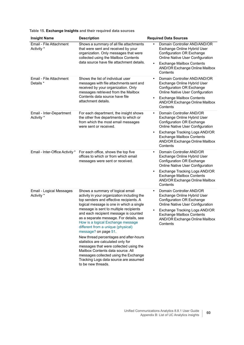| <b>Insight Name</b>                    | <b>Description</b>                                                                                                                                                                                                                                                                                                                                                              | <b>Required Data Sources</b>                                                                                                                                                                                                                                                 |
|----------------------------------------|---------------------------------------------------------------------------------------------------------------------------------------------------------------------------------------------------------------------------------------------------------------------------------------------------------------------------------------------------------------------------------|------------------------------------------------------------------------------------------------------------------------------------------------------------------------------------------------------------------------------------------------------------------------------|
| Email - File Attachment<br>Activity *  | Shows a summary of all file attachments<br>that were sent and received by your<br>organization. Only messages that were<br>collected using the Mailbox Contents<br>data source have file attachment details.                                                                                                                                                                    | Domain Controller AND/AND/OR<br>Exchange Online Hybrid User<br>Configuration OR Exchange<br>Online Native User Configuration                                                                                                                                                 |
|                                        |                                                                                                                                                                                                                                                                                                                                                                                 | <b>Exchange Mailbox Contents</b><br>$\bullet$<br>AND/OR Exchange Online Mailbox<br>Contents                                                                                                                                                                                  |
| Email - File Attachment<br>Details *   | Shows the list of individual user<br>messages with file attachments sent and<br>received by your organization. Only<br>messages retrieved from the Mailbox                                                                                                                                                                                                                      | Domain Controller AND/AND/OR<br>$\bullet$<br>Exchange Online Hybrid User<br><b>Configuration OR Exchange</b><br>Online Native User Configuration                                                                                                                             |
|                                        | Contents data source have file<br>attachment details.                                                                                                                                                                                                                                                                                                                           | <b>Exchange Mailbox Contents</b><br>$\bullet$<br>AND/OR Exchange Online Mailbox<br>Contents                                                                                                                                                                                  |
| Email - Inter-Department<br>Activity * | For each department, the insight shows<br>the other five departments to which or<br>from which the most email messages<br>were sent or received.                                                                                                                                                                                                                                | Domain Controller AND/OR<br>$\bullet$<br>Exchange Online Hybrid User<br><b>Configuration OR Exchange</b><br>Online Native User Configuration                                                                                                                                 |
|                                        |                                                                                                                                                                                                                                                                                                                                                                                 | Exchange Tracking Logs AND/OR<br>$\bullet$<br><b>Exchange Mailbox Contents</b><br>AND/OR Exchange Online Mailbox<br>Contents                                                                                                                                                 |
| Email - Inter-Office Activity *        | For each office, shows the top five<br>offices to which or from which email<br>messages were sent or received.                                                                                                                                                                                                                                                                  | Domain Controller AND/OR<br>$\bullet$<br>Exchange Online Hybrid User<br><b>Configuration OR Exchange</b><br><b>Online Native User Configuration</b>                                                                                                                          |
|                                        |                                                                                                                                                                                                                                                                                                                                                                                 | Exchange Tracking Logs AND/OR<br>$\bullet$<br><b>Exchange Mailbox Contents</b><br>AND/OR Exchange Online Mailbox<br>Contents                                                                                                                                                 |
| Email - Logical Messages<br>Activity * | Shows a summary of logical email<br>activity in your organization including the<br>top senders and effective recipients. A<br>logical message is one in which a single<br>message is sent to multiple recipients<br>and each recipient message is counted<br>as a separate message. For details, see<br>How is a logical Exchange message<br>different from a unique (physical) | Domain Controller AND/OR<br>$\bullet$<br>Exchange Online Hybrid User<br><b>Configuration OR Exchange</b><br>Online Native User Configuration<br>Exchange Tracking Logs AND/OR<br>$\bullet$<br><b>Exchange Mailbox Contents</b><br>AND/OR Exchange Online Mailbox<br>Contents |
|                                        | message? on page 51.<br>New thread percentages and after-hours<br>statistics are calculated only for<br>messages that were collected using the<br>Mailbox Contents data source. All<br>messages collected using the Exchange<br>Tracking Logs data source are assumed<br>to be new threads.                                                                                     |                                                                                                                                                                                                                                                                              |

#### **Table 15. Exchange Insights and their required data sources**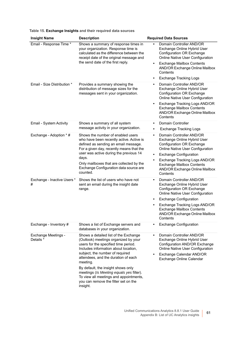| <b>Insight Name</b>              | <b>Description</b>                                                                                                                                                                                                                                                                                                                                                                                                                  | <b>Required Data Sources</b>                                                                                                                                                                                                                                                                                        |
|----------------------------------|-------------------------------------------------------------------------------------------------------------------------------------------------------------------------------------------------------------------------------------------------------------------------------------------------------------------------------------------------------------------------------------------------------------------------------------|---------------------------------------------------------------------------------------------------------------------------------------------------------------------------------------------------------------------------------------------------------------------------------------------------------------------|
| Email - Response Time *          | Shows a summary of response times in<br>your organization. Response time is<br>calculated as the difference between the<br>receipt date of the original message and<br>the send date of the first reply.                                                                                                                                                                                                                            | Domain Controller AND/OR<br>Exchange Online Hybrid User<br>Configuration OR Exchange<br>Online Native User Configuration<br><b>Exchange Mailbox Contents</b><br>$\bullet$<br>AND/OR Exchange Online Mailbox<br>Contents<br><b>Exchange Tracking Logs</b><br>٠                                                       |
| Email - Size Distribution *      | Provides a summary showing the<br>distribution of message sizes for the<br>messages sent in your organization.                                                                                                                                                                                                                                                                                                                      | Domain Controller AND/OR<br>$\bullet$<br>Exchange Online Hybrid User<br><b>Configuration OR Exchange</b><br>Online Native User Configuration<br>Exchange Tracking Logs AND/OR<br>$\bullet$<br><b>Exchange Mailbox Contents</b><br>AND/OR Exchange Online Mailbox<br>Contents                                        |
| Email - System Activity          | Shows a summary of all system<br>message activity in your organization.                                                                                                                                                                                                                                                                                                                                                             | Domain Controller<br>$\bullet$<br><b>Exchange Tracking Logs</b><br>$\bullet$                                                                                                                                                                                                                                        |
| Exchange - Adoption * #          | Shows the number of enabled users<br>who have been recently active. Active is<br>defined as sending an email message.<br>For a given day, recently means that the<br>user was active during the previous 14<br>days.<br>Only mailboxes that are collected by the<br>Exchange Configuration data source are<br>counted.                                                                                                              | Domain Controller AND/OR<br>$\bullet$<br>Exchange Online Hybrid User<br>Configuration OR Exchange<br>Online Native User Configuration<br><b>Exchange Configuration</b><br>٠<br>Exchange Tracking Logs AND/OR<br><b>Exchange Mailbox Contents</b><br>AND/OR Exchange Online Mailbox<br>Contents                      |
| Exchange - Inactive Users *<br># | Shows the list of users who have not<br>sent an email during the insight date<br>range.                                                                                                                                                                                                                                                                                                                                             | Domain Controller AND/OR<br>$\bullet$<br>Exchange Online Hybrid User<br>Configuration OR Exchange<br>Online Native User Configuration<br><b>Exchange Configuration</b><br>$\bullet$<br>Exchange Tracking Logs AND/OR<br>$\bullet$<br><b>Exchange Mailbox Contents</b><br>AND/OR Exchange Online Mailbox<br>Contents |
| Exchange - Inventory #           | Shows a list of Exchange servers and<br>databases in your organization.                                                                                                                                                                                                                                                                                                                                                             | <b>Exchange Configuration</b><br>$\bullet$                                                                                                                                                                                                                                                                          |
| Exchange Meetings -<br>Details * | Shows a detailed list of the Exchange<br>(Outlook) meetings organized by your<br>users for the specified time period.<br>Includes information about location,<br>subject, the number of required<br>attendees, and the duration of each<br>meeting.<br>By default, the insight shows only<br>meetings (Is Meeting equals yes filter).<br>To view all meetings and appointments,<br>you can remove the filter set on the<br>insight. | Domain Controller AND/OR<br>$\bullet$<br>Exchange Online Hybrid User<br>Configuration AND/OR Exchange<br>Online Native User Configuration<br>Exchange Calendar AND/OR<br>$\bullet$<br>Exchange Online Calendar                                                                                                      |

#### **Table 15. Exchange Insights and their required data sources**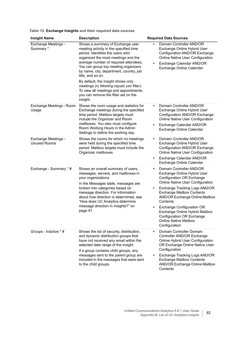| Table 15. Exchange Insights and their required data sources |  |  |  |
|-------------------------------------------------------------|--|--|--|
|-------------------------------------------------------------|--|--|--|

| <b>Insight Name</b>                               | <b>Description</b>                                                                                                                                                                                                                                                                                                                                                                                                                                                                     | <b>Required Data Sources</b>                                                                                                                                                                                                                                                                                                                                                                                                                  |
|---------------------------------------------------|----------------------------------------------------------------------------------------------------------------------------------------------------------------------------------------------------------------------------------------------------------------------------------------------------------------------------------------------------------------------------------------------------------------------------------------------------------------------------------------|-----------------------------------------------------------------------------------------------------------------------------------------------------------------------------------------------------------------------------------------------------------------------------------------------------------------------------------------------------------------------------------------------------------------------------------------------|
| Exchange Meetings -<br>Summary *                  | Shows a summary of Exchange user<br>meeting activity in the specified time<br>period. Identifies the users who<br>organized the most meetings and the<br>average number of required attendees.<br>You can group top meeting organizers<br>by name, city, department, country, job<br>title, and so on.<br>By default, the insight shows only<br>meetings (Is Meeting equals yes filter).<br>To view all meetings and appointments,<br>you can remove the filter set on the<br>insight. | Domain Controller AND/OR<br>Exchange Online Hybrid User<br>Configuration AND/OR Exchange<br>Online Native User Configuration<br>Exchange Calendar AND/OR<br>Exchange Online Calendar                                                                                                                                                                                                                                                          |
| Exchange Meetings - Room<br>Usage                 | Shows the room usage and statistics for<br>Exchange meetings during the specified<br>time period. Mailbox targets must<br>include the Organizer and Room<br>mailboxes. You also must configure<br>Room Working Hours in the Admin<br>Settings to define the working day.                                                                                                                                                                                                               | Domain Controller AND/OR<br>$\bullet$<br>Exchange Online Hybrid User<br>Configuration AND/OR Exchange<br>Online Native User Configuration<br>Exchange Calendar AND/OR<br>$\bullet$<br>Exchange Online Calendar                                                                                                                                                                                                                                |
| <b>Exchange Meetings -</b><br><b>Unused Rooms</b> | Shows the rooms for which no meetings<br>were held during the specified time<br>period. Mailbox targets must include the<br>Organizer mailboxes.                                                                                                                                                                                                                                                                                                                                       | Domain Controller AND/OR<br>$\bullet$<br>Exchange Online Hybrid User<br>Configuration AND/OR Exchange<br>Online Native User Configuration<br>Exchange Calendar AND/OR<br>$\bullet$<br>Exchange Online Calendar                                                                                                                                                                                                                                |
| Exchange - Summary * #                            | Shows an overall summary of users,<br>messages, servers, and mailboxes in<br>your organizations.<br>In the Messages table, messages are<br>broken into categories based on<br>message direction. For information<br>about how direction is determined, see<br>"How does UC Analytics determine<br>message direction in insights?" on<br>page 47.                                                                                                                                       | Domain Controller AND/OR<br>$\bullet$<br>Exchange Online Hybrid User<br>Configuration OR Exchange<br>Online Native User Configuration<br>Exchange Tracking Logs AND/OR<br>$\bullet$<br><b>Exchange Mailbox Contents</b><br>AND/OR Exchange Online Mailbox<br>Contents<br><b>Exchange Configuration OR</b><br>$\bullet$<br>Exchange Online Hybrid Mailbox<br><b>Configuration OR Exchange</b><br><b>Online Native Mailbox</b><br>Configuration |
| Groups - Inactive * #                             | Shows the list of security, distribution,<br>and dynamic distribution groups that<br>have not received any email within the<br>selected date range of the insight.<br>If a group contains child groups, any<br>messages sent to the parent group are<br>included in the messages that were sent<br>to the child groups.                                                                                                                                                                | Domain Controller Domain<br>$\bullet$<br>Controller AND/OR Exchange<br>Online Hybrid User Configuration<br>OR Exchange Online Native User<br>Configuration<br>Exchange Tracking Logs AND/OR<br><b>Exchange Mailbox Contents</b><br>AND/OR Exchange Online Mailbox<br>Contents                                                                                                                                                                 |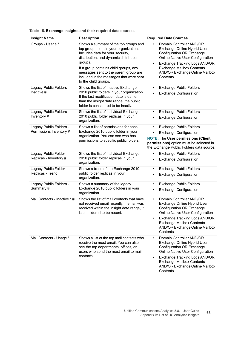| Groups - Usage *                                   | Shows a summary of the top groups and<br>top group users in your organization.<br>Includes data for your security,<br>distribution, and dynamic distribution<br>groups.<br>If a group contains child groups, any<br>messages sent to the parent group are<br>included in the messages that were sent<br>to the child groups. | $\bullet$<br>٠ | Domain Controller AND/OR<br>Exchange Online Hybrid User<br>Configuration OR Exchange<br>Online Native User Configuration<br>Exchange Tracking Logs AND/OR<br><b>Exchange Mailbox Contents</b><br>AND/OR Exchange Online Mailbox<br>Contents        |
|----------------------------------------------------|------------------------------------------------------------------------------------------------------------------------------------------------------------------------------------------------------------------------------------------------------------------------------------------------------------------------------|----------------|----------------------------------------------------------------------------------------------------------------------------------------------------------------------------------------------------------------------------------------------------|
| Legacy Public Folders -<br>Inactive $#$            | Shows the list of inactive Exchange<br>2010 public folders in your organization.<br>If the last modification date is earlier<br>than the insight date range, the public<br>folder is considered to be inactive.                                                                                                              |                | <b>Exchange Public Folders</b><br><b>Exchange Configuration</b>                                                                                                                                                                                    |
| Legacy Public Folders -<br>Inventory#              | Shows the list of individual Exchange<br>2010 public folder replicas in your<br>organization.                                                                                                                                                                                                                                | ٠              | <b>Exchange Public Folders</b><br><b>Exchange Configuration</b>                                                                                                                                                                                    |
| Legacy Public Folders -<br>Permissions Inventory # | Shows a list of permissions for each<br>Exchange 2010 public folder in your<br>organization. You can see who has<br>permissions to specific public folders.                                                                                                                                                                  | ٠              | <b>Exchange Public Folders</b><br><b>Exchange Configuration</b><br><b>NOTE: The User permissions (Client</b><br>permissions) option must be selected in<br>the Exchange Public Folders data source.                                                |
| Legacy Public Folder<br>Replicas - Inventory #     | Shows the list of individual Exchange<br>2010 public folder replicas in your<br>organization.                                                                                                                                                                                                                                | ٠              | <b>Exchange Public Folders</b><br><b>Exchange Configuration</b>                                                                                                                                                                                    |
| Legacy Public Folder<br>Replicas - Trend           | Shows a trend of the Exchange 2010<br>public folder replicas in your<br>organization.                                                                                                                                                                                                                                        |                | Exchange Public Folders<br><b>Exchange Configuration</b>                                                                                                                                                                                           |
| Legacy Public Folders -<br>Summary #               | Shows a summary of the legacy<br>Exchange 2010 public folders in your<br>organization.                                                                                                                                                                                                                                       | ٠              | <b>Exchange Public Folders</b><br><b>Exchange Configuration</b>                                                                                                                                                                                    |
| Mail Contacts - Inactive * #                       | Shows the list of mail contacts that have<br>not received email recently. If email was<br>received within the insight date range, it<br>is considered to be recent.                                                                                                                                                          | $\bullet$<br>۰ | Domain Controller AND/OR<br>Exchange Online Hybrid User<br><b>Configuration OR Exchange</b><br>Online Native User Configuration<br>Exchange Tracking Logs AND/OR<br><b>Exchange Mailbox Contents</b><br>AND/OR Exchange Online Mailbox<br>Contents |
| Mail Contacts - Usage *                            | Shows a list of the top mail contacts who<br>receive the most email. You can also<br>see the top departments, offices, or                                                                                                                                                                                                    |                | Domain Controller AND/OR<br>Exchange Online Hybrid User<br><b>Configuration OR Exchange</b>                                                                                                                                                        |

users who send the most email to mail

contacts.

#### **Table 15. Exchange Insights and their required data sources**

**Insight Name Constructs Description Constructs Required Data Sources** 

**•** Exchange Tracking Logs AND/OR Exchange Mailbox Contents AND/OR Exchange Online Mailbox **Contents** 

Online Native User Configuration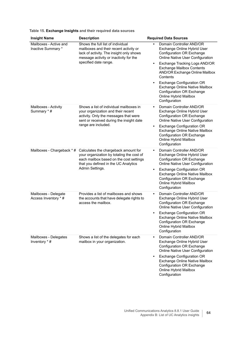| Table 15. Exchange Insights and their required data sources |  |
|-------------------------------------------------------------|--|
|-------------------------------------------------------------|--|

| <b>Insight Name</b>                          | <b>Description</b>                                                                                                                                                                         | <b>Required Data Sources</b>                                                                                                                                                                                                                                                                                                                                                                                                          |
|----------------------------------------------|--------------------------------------------------------------------------------------------------------------------------------------------------------------------------------------------|---------------------------------------------------------------------------------------------------------------------------------------------------------------------------------------------------------------------------------------------------------------------------------------------------------------------------------------------------------------------------------------------------------------------------------------|
| Mailboxes - Active and<br>Inactive Summary * | Shows the full list of individual<br>mailboxes and their recent activity or<br>lack of activity. The insight only shows<br>message activity or inactivity for the<br>specified date range. | Domain Controller AND/OR<br>$\bullet$<br>Exchange Online Hybrid User<br><b>Configuration OR Exchange</b><br>Online Native User Configuration<br>Exchange Tracking Logs AND/OR<br>٠<br><b>Exchange Mailbox Contents</b><br>AND/OR Exchange Online Mailbox<br>Contents<br><b>Exchange Configuration OR</b><br>$\bullet$<br>Exchange Online Native Mailbox<br><b>Configuration OR Exchange</b><br>Online Hybrid Mailbox<br>Configuration |
| Mailboxes - Activity<br>Summary *#           | Shows a list of individual mailboxes in<br>your organization and their recent<br>activity. Only the messages that were<br>sent or received during the insight date<br>range are included.  | Domain Controller AND/OR<br>$\bullet$<br>Exchange Online Hybrid User<br><b>Configuration OR Exchange</b><br>Online Native User Configuration<br><b>Exchange Configuration OR</b><br>٠<br>Exchange Online Native Mailbox<br><b>Configuration OR Exchange</b><br>Online Hybrid Mailbox<br>Configuration                                                                                                                                 |
| Mailboxes - Chargeback * #                   | Calculates the chargeback amount for<br>your organization by totaling the cost of<br>each mailbox based on the cost settings<br>that you defined in the UC Analytics<br>Admin Settings.    | Domain Controller AND/OR<br>$\bullet$<br>Exchange Online Hybrid User<br><b>Configuration OR Exchange</b><br>Online Native User Configuration<br><b>Exchange Configuration OR</b><br>٠<br>Exchange Online Native Mailbox<br><b>Configuration OR Exchange</b><br>Online Hybrid Mailbox<br>Configuration                                                                                                                                 |
| Mailboxes - Delegate<br>Access Inventory * # | Provides a list of mailboxes and shows<br>the accounts that have delegate rights to<br>access the mailbox.                                                                                 | Domain Controller AND/OR<br>$\bullet$<br>Exchange Online Hybrid User<br><b>Configuration OR Exchange</b><br>Online Native User Configuration<br><b>Exchange Configuration OR</b><br>$\bullet$<br>Exchange Online Native Mailbox<br>Configuration OR Exchange<br>Online Hybrid Mailbox<br>Configuration                                                                                                                                |
| Mailboxes - Delegates<br>Inventory * #       | Shows a list of the delegates for each<br>mailbox in your organization.                                                                                                                    | Domain Controller AND/OR<br>$\bullet$<br>Exchange Online Hybrid User<br><b>Configuration OR Exchange</b><br>Online Native User Configuration<br><b>Exchange Configuration OR</b><br>$\bullet$<br>Exchange Online Native Mailbox<br><b>Configuration OR Exchange</b><br>Online Hybrid Mailbox<br>Configuration                                                                                                                         |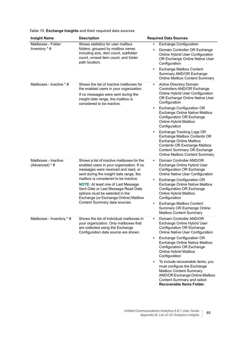| <b>Insight Name</b>                    | <b>Description</b>                                                                                                                                                                                                                                                                                                                                                                                                  | <b>Required Data Sources</b>                                                                                                                                                                                                                                                                                                                                                                                                                                                                                                 |
|----------------------------------------|---------------------------------------------------------------------------------------------------------------------------------------------------------------------------------------------------------------------------------------------------------------------------------------------------------------------------------------------------------------------------------------------------------------------|------------------------------------------------------------------------------------------------------------------------------------------------------------------------------------------------------------------------------------------------------------------------------------------------------------------------------------------------------------------------------------------------------------------------------------------------------------------------------------------------------------------------------|
| Mailboxes - Folder<br>Inventory * #    | Shows statistics for user mailbox<br>folders, grouped by mailbox owner,<br>including size, item count, subfolder<br>count, unread item count, and folder<br>path location.                                                                                                                                                                                                                                          | <b>Exchange Configuration</b><br>$\bullet$<br>Domain Controller OR Exchange<br>Online Hybrid User Configuration<br>OR Exchange Online Native User<br>Configuration<br><b>Exchange Mailbox Content</b><br>Summary AND/OR Exchange<br><b>Online Mailbox Content Summary</b>                                                                                                                                                                                                                                                    |
| Mailboxes - Inactive * #               | Shows the list of inactive mailboxes for<br>the enabled users in your organization.<br>If no messages were sent during the<br>insight date range, the mailbox is<br>considered to be inactive.                                                                                                                                                                                                                      | Active Directory Domain<br>Controllers AND/OR Exchange<br>Online Hybrid User Configuration<br>OR Exchange Online Native User<br>Configuration<br><b>Exchange Configuration OR</b><br>$\bullet$<br>Exchange Online Native Mailbox<br><b>Configuration OR Exchange</b><br>Online Hybrid Mailbox<br>Configuration<br>Exchange Tracking Logs OR<br>Exchange Mailbox Contents OR<br>Exchange Online Mailbox<br><b>Contents OR Exchange Mailbox</b><br><b>Content Summary OR Exchange</b><br><b>Online Mailbox Content Summary</b> |
| Mailboxes - Inactive<br>(Advanced) * # | Shows a list of inactive mailboxes for the<br>enabled users in your organization. If no<br>messages were received and read, or<br>sent during the insight date range, the<br>mailbox is considered to be inactive.<br><b>NOTE:</b> At least one of Last Message<br>Sent Date or Last Message Read Date<br>options must be selected in the<br>Exchange (or Exchange Online) Mailbox<br>Content Summary data sources. | Domain Controller AND/OR<br>Exchange Online Hybrid User<br><b>Configuration OR Exchange</b><br>Online Native User Configuration<br><b>Exchange Configuration OR</b><br>Exchange Online Native Mailbox<br><b>Configuration OR Exchange</b><br>Online Hybrid Mailbox<br>Configuration<br><b>Exchange Mailbox Content</b><br>$\bullet$<br>Summary OR Exchange Online<br><b>Mailbox Content Summary</b>                                                                                                                          |
| Mailboxes - Inventory * #              | Shows the list of individual mailboxes in<br>your organization. Only mailboxes that<br>are collected using the Exchange<br>Configuration data source are shown.                                                                                                                                                                                                                                                     | Domain Controller AND/OR<br>Exchange Online Hybrid User<br><b>Configuration OR Exchange</b><br>Online Native User Configuration<br><b>Exchange Configuration OR</b><br>Exchange Online Native Mailbox<br><b>Configuration OR Exchange</b><br>Online Hybrid Mailbox<br>Configuration<br>To include recoverable items, you<br>must configure the Exchange<br>Mailbox Content Summary<br>AND/OR Exchange Online Mailbox<br>Content Summary and select<br>Recoverable Items Folder.                                              |

#### **Table 15. Exchange Insights and their required data sources**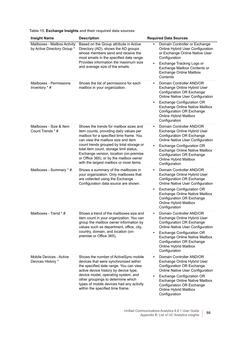|  |  |  | Table 15. Exchange Insights and their required data sources |  |
|--|--|--|-------------------------------------------------------------|--|
|--|--|--|-------------------------------------------------------------|--|

| <b>Insight Name</b>                                         | <b>Description</b>                                                                                                                                                                                                                          | <b>Required Data Sources</b>                                                                                                                                                                                                                      |
|-------------------------------------------------------------|---------------------------------------------------------------------------------------------------------------------------------------------------------------------------------------------------------------------------------------------|---------------------------------------------------------------------------------------------------------------------------------------------------------------------------------------------------------------------------------------------------|
| Mailboxes - Mailbox Activity<br>by Active Directory Group * | Based on the Group attribute in Active<br>Directory (AD), shows the AD groups<br>whose members send and receive the<br>most emails in the specified date range.<br>Provides information the maximum size<br>and average size of the emails. | Domain Controller or Exchange<br>٠<br>Online Hybrid User Configuration<br>or Exchange Online Native User<br>Configuration<br>Exchange Tracking Logs or<br>$\bullet$<br>Exchange Mailbox Contents or<br><b>Exchange Online Mailbox</b><br>Contents |
| Mailboxes - Permissions<br>Inventory * #                    | Shows the list of permissions for each<br>mailbox in your organization.                                                                                                                                                                     | Domain Controller AND/OR<br>$\bullet$<br>Exchange Online Hybrid User<br><b>Configuration OR Exchange</b><br>Online Native User Configuration<br><b>Exchange Configuration OR</b><br>٠<br>Exchange Online Native Mailbox                           |
|                                                             |                                                                                                                                                                                                                                             | <b>Configuration OR Exchange</b><br>Online Hybrid Mailbox<br>Configuration                                                                                                                                                                        |
| Mailboxes - Size & Item<br>Count Trends * #                 | Shows the trends for mailbox sizes and<br>item counts, providing daily values per<br>mailbox for a specified time frame. You<br>can view the mailbox size and item                                                                          | Domain Controller AND/OR<br>$\bullet$<br>Exchange Online Hybrid User<br><b>Configuration OR Exchange</b><br>Online Native User Configuration                                                                                                      |
|                                                             | count trends grouped by total storage or<br>total item count, storage limit status,<br>Exchange version, location (on-premise<br>or Office 365), or by the mailbox owner<br>with the largest mailbox or most items.                         | <b>Exchange Configuration OR</b><br>$\bullet$<br>Exchange Online Native Mailbox<br>Configuration OR Exchange<br><b>Online Hybrid Mailbox</b><br>Configuration                                                                                     |
| Mailboxes - Summary * #                                     | Shows a summary of the mailboxes in<br>your organization. Only mailboxes that<br>are collected using the Exchange<br>Configuration data source are shown.                                                                                   | Domain Controller AND/OR<br>$\bullet$<br>Exchange Online Hybrid User<br>Configuration OR Exchange<br>Online Native User Configuration                                                                                                             |
|                                                             |                                                                                                                                                                                                                                             | <b>Exchange Configuration OR</b><br>$\bullet$<br>Exchange Online Native Mailbox<br><b>Configuration OR Exchange</b><br>Online Hybrid Mailbox<br>Configuration                                                                                     |
| Mailboxes - Trend * #                                       | Shows a trend of the mailboxes size and<br>item count in your organization. You can<br>group the mailbox owner information by<br>values such as department, office, city,                                                                   | Domain Controller AND/OR<br>$\bullet$<br>Exchange Online Hybrid User<br><b>Configuration OR Exchange</b><br>Online Native User Configuration                                                                                                      |
|                                                             | country, domain, and location (on-<br>premise or Office 365),                                                                                                                                                                               | <b>Exchange Configuration OR</b><br>$\bullet$<br>Exchange Online Native Mailbox<br>Configuration OR Exchange<br>Online Hybrid Mailbox<br>Configuration                                                                                            |
| Mobile Devices - Active<br>Devices History *                | Shows the number of ActiveSync mobile<br>devices that were synchronized within<br>the specified date range. You can view<br>active device history by device type,                                                                           | Domain Controller AND/OR<br>٠<br>Exchange Online Hybrid User<br>Configuration OR Exchange<br>Online Native User Configuration                                                                                                                     |
|                                                             | device model, operating system, and<br>other groupings to determine which<br>types of mobile devices had any activity<br>within the specified time frame.                                                                                   | <b>Exchange Configuration OR</b><br>٠<br>Exchange Online Native Mailbox<br><b>Configuration OR Exchange</b><br>Online Hybrid Mailbox<br>Configuration                                                                                             |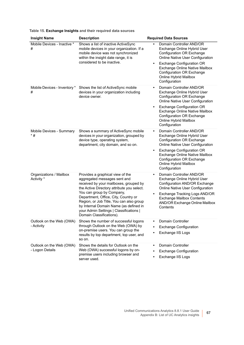| <b>Insight Name</b>                         | <b>Description</b>                                                                                                                                                                                                                                                                                                                                                                         | <b>Required Data Sources</b>                                                                                                                                                                                                                                                                   |
|---------------------------------------------|--------------------------------------------------------------------------------------------------------------------------------------------------------------------------------------------------------------------------------------------------------------------------------------------------------------------------------------------------------------------------------------------|------------------------------------------------------------------------------------------------------------------------------------------------------------------------------------------------------------------------------------------------------------------------------------------------|
| Mobile Devices - Inactive *<br>#            | Shows a list of inactive ActiveSync<br>mobile devices in your organization. If a<br>mobile device was not synchronized<br>within the insight date range, it is                                                                                                                                                                                                                             | Domain Controller AND/OR<br>Exchange Online Hybrid User<br><b>Configuration OR Exchange</b><br>Online Native User Configuration                                                                                                                                                                |
|                                             | considered to be inactive.                                                                                                                                                                                                                                                                                                                                                                 | <b>Exchange Configuration OR</b><br>$\bullet$<br>Exchange Online Native Mailbox<br>Configuration OR Exchange<br><b>Online Hybrid Mailbox</b><br>Configuration                                                                                                                                  |
| Mobile Devices - Inventory *<br>#           | Shows the list of ActiveSync mobile<br>devices in your organization including<br>device owner.                                                                                                                                                                                                                                                                                             | Domain Controller AND/OR<br>$\bullet$<br>Exchange Online Hybrid User<br>Configuration OR Exchange<br>Online Native User Configuration<br><b>Exchange Configuration OR</b><br>$\bullet$<br>Exchange Online Native Mailbox                                                                       |
|                                             |                                                                                                                                                                                                                                                                                                                                                                                            | <b>Configuration OR Exchange</b><br>Online Hybrid Mailbox<br>Configuration                                                                                                                                                                                                                     |
| Mobile Devices - Summary<br>$*$ #           | Shows a summary of ActiveSync mobile<br>devices in your organization, grouped by<br>device type, operating system,<br>department, city domain, and so on.                                                                                                                                                                                                                                  | Domain Controller AND/OR<br>$\bullet$<br>Exchange Online Hybrid User<br>Configuration OR Exchange<br>Online Native User Configuration<br><b>Exchange Configuration OR</b><br>٠<br>Exchange Online Native Mailbox<br><b>Configuration OR Exchange</b><br>Online Hybrid Mailbox<br>Configuration |
| Organizations / Mailbox<br>Activity *       | Provides a graphical view of the<br>aggregated messages sent and<br>received by your mailboxes, grouped by<br>the Active Directory attribute you select.<br>You can group by Company,<br>Department, Office, City, Country or<br>Region, or Job Title, You can also group<br>by Internal Domain Name (as defined in<br>your Admin Settings   Classifications  <br>Domain Classifications). | Domain Controller AND/OR<br>$\bullet$<br>Exchange Online Hybrid User<br>Configuration AND/OR Exchange<br>Online Native User Configuration<br>Exchange Tracking Logs AND/OR<br>$\bullet$<br><b>Exchange Mailbox Contents</b><br>AND/OR Exchange Online Mailbox<br>Contents                      |
| Outlook on the Web (OWA)<br>- Activity      | Shows the number of successful logons<br>through Outlook on the Web (OWA) by<br>on-premise users. You can group the<br>results by top department, top user, and<br>so on.                                                                                                                                                                                                                  | Domain Controller<br>٠<br><b>Exchange Configuration</b><br>Exchange IIS Logs                                                                                                                                                                                                                   |
| Outlook on the Web (OWA)<br>- Logon Details | Shows the details for Outlook on the<br>Web (OWA) successful logons by on-<br>premise users including browser and<br>server used.                                                                                                                                                                                                                                                          | Domain Controller<br>٠<br><b>Exchange Configuration</b><br>Exchange IIS Logs<br>٠                                                                                                                                                                                                              |

**Table 15. Exchange Insights and their required data sources**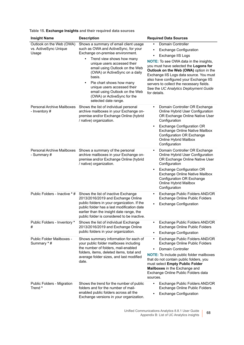| Table 15. Exchange Insights and their required data sources |  |  |  |  |  |
|-------------------------------------------------------------|--|--|--|--|--|
|-------------------------------------------------------------|--|--|--|--|--|

| <b>Insight Name</b>                                        | <b>Description</b>                                                                                                                                                                                                                                                                                                                                                                                                        | <b>Required Data Sources</b>                                                                                                                                                                                                                                                                                                                                                                                            |
|------------------------------------------------------------|---------------------------------------------------------------------------------------------------------------------------------------------------------------------------------------------------------------------------------------------------------------------------------------------------------------------------------------------------------------------------------------------------------------------------|-------------------------------------------------------------------------------------------------------------------------------------------------------------------------------------------------------------------------------------------------------------------------------------------------------------------------------------------------------------------------------------------------------------------------|
| Outlook on the Web (OWA)<br>vs. ActiveSync Unique<br>Usage | Shows a summary of email client usage<br>such as OWA and ActiveSync, for your<br>Exchange on-premise environment.<br>Trend view shows how many<br>٠<br>unique users accessed their<br>email using Outlook on the Web<br>(OWA) or ActiveSync on a daily<br>basis.<br>Pie chart shows how many<br>٠<br>unique users accessed their<br>email using Outlook on the Web<br>(OWA) or ActiveSync for the<br>selected date range. | Domain Controller<br><b>Exchange Configuration</b><br>٠<br>Exchange IIS Logs<br>$\bullet$<br><b>NOTE:</b> To see OWA data in the insights,<br>you must have selected the Logons for<br>Outlook on the Web (OWA) option in the<br>Exchange IIS Logs data source. You must<br>also have configured your Exchange IIS<br>servers to collect the necessary fields.<br>See the UC Analytics Deployment Guide<br>for details. |
| Personal Archive Mailboxes<br>- Inventory #                | Shows the list of individual personal<br>archive mailboxes in your Exchange on-<br>premise and/or Exchange Online (hybrid<br>/ native) organization.                                                                                                                                                                                                                                                                      | Domain Controller OR Exchange<br>$\bullet$<br>Online Hybrid User Configuration<br>OR Exchange Online Native User<br>Configuration<br><b>Exchange Configuration OR</b><br>$\bullet$<br>Exchange Online Native Mailbox<br><b>Configuration OR Exchange</b><br>Online Hybrid Mailbox<br>Configuration                                                                                                                      |
| Personal Archive Mailboxes<br>- Summary #                  | Shows a summary of the personal<br>archive mailboxes in your Exchange on-<br>premise and/or Exchange Online (hybrid<br>/ native) organization.                                                                                                                                                                                                                                                                            | Domain Controller OR Exchange<br>٠<br>Online Hybrid User Configuration<br>OR Exchange Online Native User<br>Configuration<br><b>Exchange Configuration OR</b><br>$\bullet$<br>Exchange Online Native Mailbox<br>Configuration OR Exchange<br>Online Hybrid Mailbox<br>Configuration                                                                                                                                     |
| Public Folders - Inactive * #                              | Shows the list of inactive Exchange<br>2013/2016/2019 and Exchange Online<br>public folders in your organization. If the<br>public folder has a last modification date<br>earlier than the insight date range, the<br>public folder is considered to be inactive.                                                                                                                                                         | Exchange Public Folders AND/OR<br>$\bullet$<br>Exchange Online Public Folders<br><b>Exchange Configuration</b><br>$\bullet$                                                                                                                                                                                                                                                                                             |
| Public Folders - Inventory *<br>#                          | Shows the list of individual Exchange<br>2013/2016/2019 and Exchange Online<br>public folders in your organization.                                                                                                                                                                                                                                                                                                       | Exchange Public Folders AND/OR<br>$\bullet$<br>Exchange Online Public Folders<br><b>Exchange Configuration</b><br>$\bullet$                                                                                                                                                                                                                                                                                             |
| Public Folder Mailboxes -<br>Summary *#                    | Shows summary information for each of<br>your public folder mailboxes including<br>the number of folders, mail-enabled<br>folders, items, deleted items, total and<br>average folder sizes, and last modified<br>date.                                                                                                                                                                                                    | Exchange Public Folders AND/OR<br>$\bullet$<br>Exchange Online Public Folders<br><b>Domain Controller</b><br>$\bullet$<br><b>NOTE:</b> To include public folder mailboxes<br>that do not contain public folders, you<br>must select Empty Public Folder<br>Mailboxes in the Exchange and<br>Exchange Online Public Folders data<br>sources.                                                                             |
| Public Folders - Migration<br>Trend *                      | Shows the trend for the number of public<br>folders and for the number of mail-<br>enabled public folders across all the<br>Exchange versions in your organization.                                                                                                                                                                                                                                                       | Exchange Public Folders AND/OR<br>$\bullet$<br>Exchange Online Public Folders<br><b>Exchange Configuration</b><br>$\bullet$                                                                                                                                                                                                                                                                                             |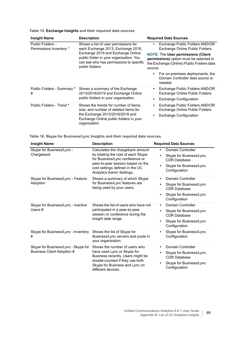| Table 15. Exchange Insights and their required data sources |  |  |  |
|-------------------------------------------------------------|--|--|--|
|-------------------------------------------------------------|--|--|--|

| <b>Insight Name</b>                                                                                                       | <b>Description</b>                                                                                                                                                           | <b>Required Data Sources</b>                                                                                                                 |
|---------------------------------------------------------------------------------------------------------------------------|------------------------------------------------------------------------------------------------------------------------------------------------------------------------------|----------------------------------------------------------------------------------------------------------------------------------------------|
| Shows a list of user permissions for<br>Public Folders -<br>Permissions Inventory *<br>each Exchange 2013, Exchange 2016, |                                                                                                                                                                              | Exchange Public Folders AND/OR<br>$\bullet$<br>Exchange Online Public Folders                                                                |
|                                                                                                                           | Exchange 2019 and Exchange Online<br>public folder in your organization. You<br>can see who has permissions to specific<br>public folders.                                   | <b>NOTE: The User permissions (Client</b><br>permissions) option must be selected in<br>the Exchange (Online) Public Folders data<br>source. |
|                                                                                                                           |                                                                                                                                                                              | For on-premises deployments, the<br>$\bullet$<br>Domain Controller data source is<br>needed.                                                 |
| Public Folders - Summary *<br>#                                                                                           | Shows a summary of the Exchange<br>2013/2016/2019 and Exchange Online<br>public folders in your organization.                                                                | Exchange Public Folders AND/OR<br>$\bullet$<br>Exchange Online Public Folders                                                                |
|                                                                                                                           |                                                                                                                                                                              | <b>Exchange Configuration</b><br>$\bullet$                                                                                                   |
| Public Folders - Trend *                                                                                                  | Shows the trends for number of items,<br>size, and number of deleted items for<br>the Exchange 2013/2016/2019 and<br>Exchange Online public folders in your<br>organization. | Exchange Public Folders AND/OR<br>$\bullet$<br>Exchange Online Public Folders<br><b>Exchange Configuration</b><br>$\bullet$                  |

<span id="page-68-0"></span>

| <b>Insight Name</b>                                               | <b>Description</b>                                                                                                                                                                                             | <b>Required Data Sources</b>                                                                                                        |
|-------------------------------------------------------------------|----------------------------------------------------------------------------------------------------------------------------------------------------------------------------------------------------------------|-------------------------------------------------------------------------------------------------------------------------------------|
| Skype for Business/Lync -<br>Chargeback                           | Calculates the chargeback amount<br>by totaling the cost of each Skype<br>for Business/Lync conference or<br>peer-to-peer session based on the<br>cost settings defined in the UC<br>Analytics Admin Settings. | <b>Domain Controller</b><br>$\bullet$<br>Skype for Business/Lync<br><b>CDR Database</b><br>Skype for Business/Lync<br>Configuration |
| Skype for Business/Lync - Feature<br>Adoption                     | Shows a summary of which Skype<br>for Business/Lync features are<br>being used by your users.                                                                                                                  | Domain Controller<br>٠<br>Skype for Business/Lync<br><b>CDR Database</b><br>Skype for Business/Lync<br>٠<br>Configuration           |
| Skype for Business/Lync - Inactive<br>Users #                     | Shows the list of users who have not<br>participated in a peer-to-peer<br>session or conference during the<br>insight date range.                                                                              | Domain Controller<br>٠<br>Skype for Business/Lync<br><b>CDR Database</b><br>Skype for Business/Lync<br>$\bullet$<br>Configuration   |
| Skype for Business/Lync - Inventory<br>#                          | Shows the list of Skype for<br>Business/Lync servers and pools in<br>your organization.                                                                                                                        | Skype for Business/Lync<br>Configuration                                                                                            |
| Skype for Business/Lync - Skype for<br>Business Client Adoption # | Shows the number of users who<br>have used Lync or Skype for<br>Business recently. Users might be<br>double-counted if they use both<br>Skype for Business and Lync on<br>different devices.                   | Domain Controller<br>$\bullet$<br>Skype for Business/Lync<br><b>CDR Database</b><br>Skype for Business/Lync<br>Configuration        |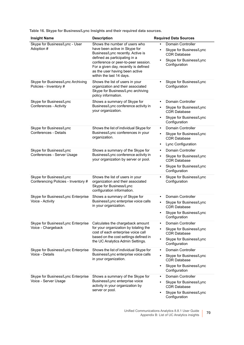| <b>Insight Name</b>                                            | <b>Description</b>                                                                                                                                                                                                                                                                | <b>Required Data Sources</b>                                                                                                                                  |
|----------------------------------------------------------------|-----------------------------------------------------------------------------------------------------------------------------------------------------------------------------------------------------------------------------------------------------------------------------------|---------------------------------------------------------------------------------------------------------------------------------------------------------------|
| Skype for Business/Lync - User<br>Adoption #                   | Shows the number of users who<br>have been active in Skype for<br>Business/Lync recently. Active is<br>defined as participating in a<br>conference or peer-to-peer session.<br>For a given day, recently is defined<br>as the user having been active<br>within the last 14 days. | Domain Controller<br>Skype for Business/Lync<br>$\bullet$<br><b>CDR Database</b><br>Skype for Business/Lync<br>$\bullet$<br>Configuration                     |
| Skype for Business/Lync Archiving<br>Policies - Inventory #    | Shows the list of users in your<br>organization and their associated<br>Skype for Business/Lync archiving<br>policy information.                                                                                                                                                  | Skype for Business/Lync<br>$\bullet$<br>Configuration                                                                                                         |
| Skype for Business/Lync<br><b>Conferences - Activity</b>       | Shows a summary of Skype for<br>Business/Lync conference activity in<br>your organization.                                                                                                                                                                                        | <b>Domain Controller</b><br>Skype for Business/Lync<br>$\bullet$<br><b>CDR Database</b><br>Skype for Business/Lync<br>Configuration                           |
| Skype for Business/Lync<br>Conferences - Details               | Shows the list of individual Skype for<br>Business/Lync conferences in your<br>organization.                                                                                                                                                                                      | <b>Domain Controller</b><br>$\bullet$<br>Skype for Business/Lync<br>$\bullet$<br><b>CDR Database</b><br>Lync Configuration<br>$\bullet$                       |
| Skype for Business/Lync<br>Conferences - Server Usage          | Shows a summary of the Skype for<br>Business/Lync conference activity in<br>your organization by server or pool.                                                                                                                                                                  | <b>Domain Controller</b><br>$\bullet$<br>Skype for Business/Lync<br>$\bullet$<br><b>CDR Database</b><br>Skype for Business/Lync<br>$\bullet$<br>Configuration |
| Skype for Business/Lync<br>Conferencing Policies - Inventory # | Shows the list of users in your<br>organization and their associated<br>Skype for Business/Lync<br>configuration information.                                                                                                                                                     | Skype for Business/Lync<br>Configuration                                                                                                                      |
| Skype for Business/Lync Enterprise<br>Voice - Activity         | Shows a summary of Skype for<br>Business/Lync enterprise voice calls<br>in your organization.                                                                                                                                                                                     | Domain Controller<br>Skype for Business/Lync<br><b>CDR Database</b><br>Skype for Business/Lync<br>Configuration                                               |
| Skype for Business/Lync Enterprise<br>Voice - Chargeback       | Calculates the chargeback amount<br>for your organization by totaling the<br>cost of each enterprise voice call<br>based on the cost settings defined in<br>the UC Analytics Admin Settings.                                                                                      | Domain Controller<br>Skype for Business/Lync<br>$\bullet$<br><b>CDR Database</b><br>Skype for Business/Lync<br>$\bullet$<br>Configuration                     |
| Skype for Business/Lync Enterprise<br>Voice - Details          | Shows the list of individual Skype for<br>Business/Lync enterprise voice calls<br>in your organization.                                                                                                                                                                           | Domain Controller<br>$\bullet$<br>Skype for Business/Lync<br><b>CDR Database</b><br>Skype for Business/Lync<br>$\bullet$<br>Configuration                     |
| Skype for Business/Lync Enterprise<br>Voice - Server Usage     | Shows a summary of the Skype for<br>Business/Lync enterprise voice<br>activity in your organization by<br>server or pool.                                                                                                                                                         | <b>Domain Controller</b><br>$\bullet$<br>Skype for Business/Lync<br><b>CDR Database</b><br>Skype for Business/Lync<br>$\bullet$<br>Configuration              |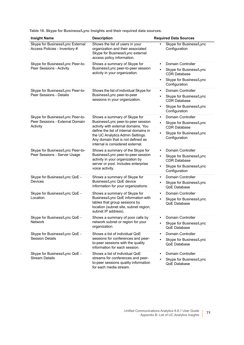| <b>Insight Name</b>                                                             | <b>Description</b>                                                                                                                                                                                                                                               | <b>Required Data Sources</b>                                                                                                        |
|---------------------------------------------------------------------------------|------------------------------------------------------------------------------------------------------------------------------------------------------------------------------------------------------------------------------------------------------------------|-------------------------------------------------------------------------------------------------------------------------------------|
| Skype for Business/Lync External<br>Access Policies - Inventory #               | Shows the list of users in your<br>organization and their associated<br>Skype for Business/Lync external<br>access policy information.                                                                                                                           | Skype for Business/Lync<br>Configuration                                                                                            |
| Skype for Business/Lync Peer-to-<br>Peer Sessions - Activity                    | Shows a summary of Skype for<br>Business/Lync peer-to-peer session<br>activity in your organization.                                                                                                                                                             | Domain Controller<br>Skype for Business/Lync<br><b>CDR Database</b><br>Skype for Business/Lync<br>٠<br>Configuration                |
| Skype for Business/Lync Peer-to-<br>Peer Sessions - Details                     | Shows the list of individual Skype for<br>Business/Lync peer-to-peer<br>sessions in your organization.                                                                                                                                                           | Domain Controller<br>٠<br>Skype for Business/Lync<br><b>CDR Database</b><br>Skype for Business/Lync<br>$\bullet$<br>Configuration   |
| Skype for Business/Lync Peer-to-<br>Peer Sessions - External Domain<br>Activity | Shows a summary of Skype for<br>Business/Lync peer-to-peer session<br>activity with external domains. You<br>define the list of internal domains in<br>the UC Analytics Admin Settings.<br>Any domain that is not defined as<br>internal is considered external. | <b>Domain Controller</b><br>Skype for Business/Lync<br><b>CDR Database</b><br>Skype for Business/Lync<br>٠<br>Configuration         |
| Skype for Business/Lync Peer-to-<br>Peer Sessions - Server Usage                | Shows a summary of the Skype for<br>Business/Lync peer-to-peer session<br>activity in your organization by<br>server or pool. Includes enterprise<br>voice activity.                                                                                             | <b>Domain Controller</b><br>$\bullet$<br>Skype for Business/Lync<br><b>CDR Database</b><br>Skype for Business/Lync<br>Configuration |
| Skype for Business/Lync QoE -<br>Devices                                        | Shows a summary of Skype for<br>Business/Lync QoE device<br>information for your organizations.                                                                                                                                                                  | <b>Domain Controller</b><br>$\bullet$<br>Skype for Business/Lync<br>QoE Database                                                    |
| Skype for Business/Lync QoE -<br>Location                                       | Shows a summary of Skype for<br>Business/Lync QoE information with<br>tables that group sessions by<br>location (subnet site, subnet region,<br>subnet IP address).                                                                                              | Domain Controller<br>Skype for Business/Lync<br><b>OoE</b> Database                                                                 |
| Skype for Business/Lync QoE -<br><b>Network</b>                                 | Shows a summary of poor calls by<br>network subnet or region for your<br>organization.                                                                                                                                                                           | Domain Controller<br>Skype for Business/Lync<br>QoE Database                                                                        |
| Skype for Business/Lync QoE -<br><b>Session Details</b>                         | Shows a list of individual QoE<br>sessions for conferences and peer-<br>to-peer sessions with the quality<br>information for each session.                                                                                                                       | <b>Domain Controller</b><br>$\bullet$<br>Skype for Business/Lync<br>QoE Database                                                    |
| Skype for Business/Lync QoE -<br><b>Stream Details</b>                          | Shows a list of individual QoE<br>streams for conferences and peer-<br>to-peer sessions quality information<br>for each media stream.                                                                                                                            | <b>Domain Controller</b><br>$\bullet$<br>Skype for Business/Lync<br>QoE Database                                                    |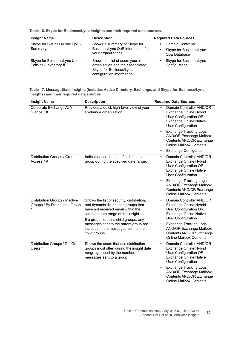| <b>Insight Name</b>                                    | <b>Description</b>                                                                                                            | <b>Required Data Sources</b>                                 |
|--------------------------------------------------------|-------------------------------------------------------------------------------------------------------------------------------|--------------------------------------------------------------|
| Skype for Business/Lync QoE -<br>Summary               | Shows a summary of Skype for<br>Business/Lync QoE information for<br>your organizations.                                      | Domain Controller<br>Skype for Business/Lync<br>QoE Database |
| Skype for Business/Lync User<br>Policies - Inventory # | Shows the list of users your in<br>organization and their associated<br>Skype for Business/Lync<br>configuration information. | Skype for Business/Lync<br>Configuration                     |

-

<span id="page-71-0"></span>**Table 17. MessageStats Insights (includes Active Directory, Exchange, and Skype for Business/Lync insights) and their required data sources**

| <b>Insight Name</b>                                              | <b>Description</b>                                                                                                                                                                                                                                                                                        | <b>Required Data Sources</b>                                                                                                                                                                                                                                                            |
|------------------------------------------------------------------|-----------------------------------------------------------------------------------------------------------------------------------------------------------------------------------------------------------------------------------------------------------------------------------------------------------|-----------------------------------------------------------------------------------------------------------------------------------------------------------------------------------------------------------------------------------------------------------------------------------------|
| Corporate Exchange At A<br>Glance * #                            | Provides a quick high-level view of your<br>Exchange organization.                                                                                                                                                                                                                                        | Domain Controller AND/OR<br>Exchange Online Hybrid<br>User Configuration OR<br><b>Exchange Online Native</b><br><b>User Configuration</b>                                                                                                                                               |
|                                                                  |                                                                                                                                                                                                                                                                                                           | <b>Exchange Tracking Logs</b><br>$\bullet$<br><b>AND/OR Exchange Mailbox</b><br>Contents AND/OR Exchange<br><b>Online Mailbox Contents</b>                                                                                                                                              |
|                                                                  |                                                                                                                                                                                                                                                                                                           | <b>Exchange Configuration</b><br>$\bullet$                                                                                                                                                                                                                                              |
| Distribution Groups / Group<br>Access * #                        | Indicates the last use of a distribution<br>group during the specified date range.                                                                                                                                                                                                                        | Domain Controller AND/OR<br>$\bullet$<br>Exchange Online Hybrid<br>User Configuration OR<br><b>Exchange Online Native</b><br><b>User Configuration</b>                                                                                                                                  |
|                                                                  |                                                                                                                                                                                                                                                                                                           | <b>Exchange Tracking Logs</b><br><b>AND/OR Exchange Mailbox</b><br>Contents AND/OR Exchange<br><b>Online Mailbox Contents</b>                                                                                                                                                           |
| Distribution Groups / Inactive<br>Groups / By Distribution Group | Shows the list of security, distribution,<br>and dynamic distribution groups that<br>have not received email within the<br>selected date range of the insight.<br>If a group contains child groups, any<br>messages sent to the parent group are<br>included in the messages sent to the<br>child groups. | Domain Controller AND/OR<br>Exchange Online Hybrid<br>User Configuration OR<br><b>Exchange Online Native</b><br><b>User Configuration</b><br><b>Exchange Tracking Logs</b><br>$\bullet$<br><b>AND/OR Exchange Mailbox</b><br>Contents AND/OR Exchange<br><b>Online Mailbox Contents</b> |
| Distribution Groups / Top Group<br>Users *                       | Shows the users that use distribution<br>groups most often during the insight date<br>range, grouped by the number of<br>messages sent to a group.                                                                                                                                                        | Domain Controller AND/OR<br>$\bullet$<br>Exchange Online Hybrid<br>User Configuration OR<br><b>Exchange Online Native</b><br><b>User Configuration</b>                                                                                                                                  |
|                                                                  |                                                                                                                                                                                                                                                                                                           | <b>Exchange Tracking Logs</b><br><b>AND/OR Exchange Mailbox</b><br>Contents AND/OR Exchange<br><b>Online Mailbox Contents</b>                                                                                                                                                           |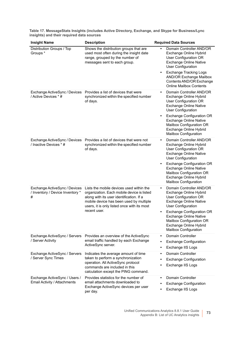| <b>Insight Name</b>                                                    | <b>Description</b>                                                                                                                                                                                                                           | <b>Required Data Sources</b>                                                                                                                                                                                                                                                                                                   |
|------------------------------------------------------------------------|----------------------------------------------------------------------------------------------------------------------------------------------------------------------------------------------------------------------------------------------|--------------------------------------------------------------------------------------------------------------------------------------------------------------------------------------------------------------------------------------------------------------------------------------------------------------------------------|
| Distribution Groups / Top<br>Groups *                                  | Shows the distribution groups that are<br>used most often during the insight date<br>range, grouped by the number of<br>messages sent to each group.                                                                                         | Domain Controller AND/OR<br>Exchange Online Hybrid<br>User Configuration OR<br><b>Exchange Online Native</b><br><b>User Configuration</b>                                                                                                                                                                                      |
|                                                                        |                                                                                                                                                                                                                                              | <b>Exchange Tracking Logs</b><br>٠<br><b>AND/OR Exchange Mailbox</b><br>Contents AND/OR Exchange<br><b>Online Mailbox Contents</b>                                                                                                                                                                                             |
| Exchange ActiveSync / Devices<br>/ Active Devices * #                  | Provides a list of devices that were<br>synchronized within the specified number<br>of days.                                                                                                                                                 | Domain Controller AND/OR<br>$\bullet$<br>Exchange Online Hybrid<br>User Configuration OR<br><b>Exchange Online Native</b><br><b>User Configuration</b>                                                                                                                                                                         |
|                                                                        |                                                                                                                                                                                                                                              | <b>Exchange Configuration OR</b><br>$\bullet$<br><b>Exchange Online Native</b><br>Mailbox Configuration OR<br>Exchange Online Hybrid<br><b>Mailbox Configuration</b>                                                                                                                                                           |
| Exchange ActiveSync / Devices<br>/ Inactive Devices * #                | Provides a list of devices that were not<br>synchronized within the specified number<br>of days.                                                                                                                                             | Domain Controller AND/OR<br>$\bullet$<br>Exchange Online Hybrid<br>User Configuration OR<br><b>Exchange Online Native</b><br><b>User Configuration</b><br><b>Exchange Configuration OR</b><br>$\bullet$<br><b>Exchange Online Native</b><br>Mailbox Configuration OR<br>Exchange Online Hybrid<br><b>Mailbox Configuration</b> |
| Exchange ActiveSync / Devices<br>/ Inventory / Device Inventory *<br># | Lists the mobile devices used within the<br>organization. Each mobile device is listed<br>along with its user identification. If a<br>mobile device has been used by multiple<br>users, it is only listed once with its most<br>recent user. | Domain Controller AND/OR<br>$\bullet$<br>Exchange Online Hybrid<br>User Configuration OR<br><b>Exchange Online Native</b><br><b>User Configuration</b><br><b>Exchange Configuration OR</b><br>٠<br><b>Exchange Online Native</b><br>Mailbox Configuration OR<br>Exchange Online Hybrid<br><b>Mailbox Configuration</b>         |
| Exchange ActiveSync / Servers<br>/ Server Activity                     | Provides an overview of the ActiveSync<br>email traffic handled by each Exchange<br>ActiveSync server.                                                                                                                                       | Domain Controller<br><b>Exchange Configuration</b><br>$\bullet$<br>Exchange IIS Logs<br>$\bullet$                                                                                                                                                                                                                              |
| Exchange ActiveSync / Servers<br>/ Server Sync Times                   | Indicates the average amount of time<br>taken to perform a synchronization<br>operation. All ActiveSync protocol<br>commands are included in this<br>calculation except the PING command.                                                    | <b>Domain Controller</b><br>$\bullet$<br><b>Exchange Configuration</b><br>$\bullet$<br>Exchange IIS Logs                                                                                                                                                                                                                       |
| Exchange ActiveSync / Users /<br>Email Activity / Attachments          | Provides statistics for the number of<br>email attachments downloaded to<br>Exchange ActiveSync devices per user<br>per day.                                                                                                                 | Domain Controller<br>$\bullet$<br><b>Exchange Configuration</b><br>$\bullet$<br>Exchange IIS Logs<br>$\bullet$                                                                                                                                                                                                                 |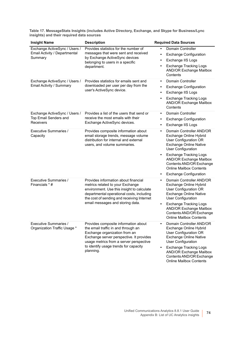| <b>Insight Name</b>                                                        | <b>Description</b>                                                                                                                                                                                                                                        | <b>Required Data Sources</b>                                                                                                                                                                                                                                                                                                          |
|----------------------------------------------------------------------------|-----------------------------------------------------------------------------------------------------------------------------------------------------------------------------------------------------------------------------------------------------------|---------------------------------------------------------------------------------------------------------------------------------------------------------------------------------------------------------------------------------------------------------------------------------------------------------------------------------------|
| Exchange ActiveSync / Users /<br>Email Activity / Departmental<br>Summary  | Provides statistics for the number of<br>messages that were sent and received<br>by Exchange ActiveSync devices<br>belonging to users in a specific<br>department.                                                                                        | Domain Controller<br><b>Exchange Configuration</b><br>Exchange IIS Logs<br>$\bullet$<br><b>Exchange Tracking Logs</b><br><b>AND/OR Exchange Mailbox</b><br>Contents                                                                                                                                                                   |
| Exchange ActiveSync / Users /<br>Email Activity / Summary                  | Provides statistics for emails sent and<br>downloaded per user per day from the<br>user's ActiveSync device.                                                                                                                                              | <b>Domain Controller</b><br>$\bullet$<br><b>Exchange Configuration</b><br>$\bullet$<br>Exchange IIS Logs<br>$\bullet$<br><b>Exchange Tracking Logs</b><br><b>AND/OR Exchange Mailbox</b><br>Contents                                                                                                                                  |
| Exchange ActiveSync / Users /<br>Top Email Senders and<br><b>Receivers</b> | Provides a list of the users that send or<br>receive the most emails with their<br>Exchange ActiveSync devices.                                                                                                                                           | <b>Domain Controller</b><br>$\bullet$<br><b>Exchange Configuration</b><br>$\bullet$<br>Exchange IIS Logs<br>٠                                                                                                                                                                                                                         |
| <b>Executive Summaries /</b><br>Capacity                                   | Provides composite information about<br>email storage trends, message volume<br>distribution for internal and external<br>users, and volume summaries.                                                                                                    | Domain Controller AND/OR<br>$\bullet$<br>Exchange Online Hybrid<br>User Configuration OR<br><b>Exchange Online Native</b><br><b>User Configuration</b><br><b>Exchange Tracking Logs</b><br><b>AND/OR Exchange Mailbox</b><br>Contents AND/OR Exchange<br><b>Online Mailbox Contents</b><br><b>Exchange Configuration</b><br>$\bullet$ |
| <b>Executive Summaries /</b><br>Financials * #                             | Provides information about financial<br>metrics related to your Exchange<br>environment. Use this insight to calculate<br>departmental operational costs, including<br>the cost of sending and receiving Internet<br>email messages and storing data.     | Domain Controller AND/OR<br>$\bullet$<br>Exchange Online Hybrid<br>User Configuration OR<br><b>Exchange Online Native</b><br><b>User Configuration</b><br><b>Exchange Tracking Logs</b><br><b>AND/OR Exchange Mailbox</b><br>Contents AND/OR Exchange<br><b>Online Mailbox Contents</b>                                               |
| Executive Summaries /<br>Organization Traffic Usage *                      | Provides composite information about<br>the email traffic in and through an<br>Exchange organization from an<br>Exchange server perspective. It provides<br>usage metrics from a server perspective<br>to identify usage trends for capacity<br>planning. | Domain Controller AND/OR<br>Exchange Online Hybrid<br>User Configuration OR<br><b>Exchange Online Native</b><br><b>User Configuration</b><br><b>Exchange Tracking Logs</b><br><b>AND/OR Exchange Mailbox</b><br>Contents AND/OR Exchange<br><b>Online Mailbox Contents</b>                                                            |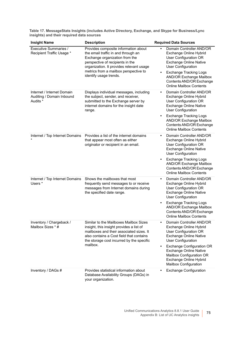| <b>Insight Name</b>                                                 | <b>Description</b>                                                                                                                                                                                                                  | <b>Required Data Sources</b>                                                                                                                                  |
|---------------------------------------------------------------------|-------------------------------------------------------------------------------------------------------------------------------------------------------------------------------------------------------------------------------------|---------------------------------------------------------------------------------------------------------------------------------------------------------------|
| Executive Summaries /<br>Recipient Traffic Usage *                  | Provides composite information about<br>the email traffic in and through an<br>Exchange organization from the<br>perspective of recipients in the<br>organization. It provides relevant usage                                       | Domain Controller AND/OR<br>Exchange Online Hybrid<br>User Configuration OR<br><b>Exchange Online Native</b><br><b>User Configuration</b>                     |
|                                                                     | metrics from a mailbox perspective to<br>identify usage trends.                                                                                                                                                                     | <b>Exchange Tracking Logs</b><br><b>AND/OR Exchange Mailbox</b><br>Contents AND/OR Exchange<br><b>Online Mailbox Contents</b>                                 |
| Internet / Internet Domain<br>Auditing / Domain Inbound<br>Audits * | Displays individual messages, including<br>the subject, sender, and receiver,<br>submitted to the Exchange server by<br>internet domains for the insight date<br>range.                                                             | Domain Controller AND/OR<br>$\bullet$<br>Exchange Online Hybrid<br>User Configuration OR<br><b>Exchange Online Native</b><br><b>User Configuration</b>        |
|                                                                     |                                                                                                                                                                                                                                     | <b>Exchange Tracking Logs</b><br><b>AND/OR Exchange Mailbox</b><br>Contents AND/OR Exchange<br><b>Online Mailbox Contents</b>                                 |
| Internet / Top Internet Domains                                     | Provides a list of the internet domains<br>that appear most often as either<br>originator or recipient in an email.                                                                                                                 | Domain Controller AND/OR<br>$\bullet$<br>Exchange Online Hybrid<br>User Configuration OR<br><b>Exchange Online Native</b><br><b>User Configuration</b>        |
|                                                                     |                                                                                                                                                                                                                                     | <b>Exchange Tracking Logs</b><br><b>AND/OR Exchange Mailbox</b><br>Contents AND/OR Exchange<br><b>Online Mailbox Contents</b>                                 |
| Internet / Top Internet Domains<br>Users *                          | Shows the mailboxes that most<br>frequently send messages to or receive<br>messages from Internet domains during<br>the specified date range.                                                                                       | Domain Controller AND/OR<br>Exchange Online Hybrid<br>User Configuration OR<br><b>Exchange Online Native</b><br><b>User Configuration</b>                     |
|                                                                     |                                                                                                                                                                                                                                     | <b>Exchange Tracking Logs</b><br><b>AND/OR Exchange Mailbox</b><br>Contents AND/OR Exchange<br><b>Online Mailbox Contents</b>                                 |
| Inventory / Chargeback /<br>Mailbox Sizes * #                       | Similar to the Mailboxes Mailbox Sizes<br>insight, this insight provides a list of<br>mailboxes and their associated sizes. It<br>also contains a Cost field that contains<br>the storage cost incurred by the specific<br>mailbox. | Domain Controller AND/OR<br>Exchange Online Hybrid<br>User Configuration OR<br><b>Exchange Online Native</b><br><b>User Configuration</b>                     |
|                                                                     |                                                                                                                                                                                                                                     | <b>Exchange Configuration OR</b><br>$\bullet$<br><b>Exchange Online Native</b><br>Mailbox Configuration OR<br>Exchange Online Hybrid<br>Mailbox Configuration |
| Inventory / DAGs #                                                  | Provides statistical information about<br>Database Availability Groups (DAGs) in<br>your organization.                                                                                                                              | <b>Exchange Configuration</b>                                                                                                                                 |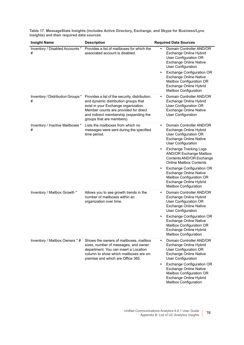| <b>Insight Name</b>                    | <b>Description</b>                                                                                                                                                                                                                             | <b>Required Data Sources</b>                                                                                                                                                                                                                                                                                                                                                                                                                                         |
|----------------------------------------|------------------------------------------------------------------------------------------------------------------------------------------------------------------------------------------------------------------------------------------------|----------------------------------------------------------------------------------------------------------------------------------------------------------------------------------------------------------------------------------------------------------------------------------------------------------------------------------------------------------------------------------------------------------------------------------------------------------------------|
| Inventory / Disabled Accounts *<br>#   | Provides a list of mailboxes for which the<br>associated account is disabled.                                                                                                                                                                  | Domain Controller AND/OR<br>Exchange Online Hybrid<br>User Configuration OR<br><b>Exchange Online Native</b><br><b>User Configuration</b><br><b>Exchange Configuration OR</b><br>٠<br><b>Exchange Online Native</b><br>Mailbox Configuration OR<br>Exchange Online Hybrid<br><b>Mailbox Configuration</b>                                                                                                                                                            |
| Inventory / Distribution Groups *<br># | Provides a list of the security, distribution,<br>and dynamic distribution groups that<br>exist in your Exchange organization.<br>Member counts are provided for direct<br>and indirect membership (expanding the<br>groups that are members). | Domain Controller AND/OR<br>Exchange Online Hybrid<br>User Configuration OR<br><b>Exchange Online Native</b><br><b>User Configuration</b>                                                                                                                                                                                                                                                                                                                            |
| Inventory / Inactive Mailboxes *<br>#  | Lists the mailboxes from which no<br>messages were sent during the specified<br>time period.                                                                                                                                                   | Domain Controller AND/OR<br>$\bullet$<br>Exchange Online Hybrid<br>User Configuration OR<br><b>Exchange Online Native</b><br><b>User Configuration</b><br><b>Exchange Tracking Logs</b><br>$\bullet$<br><b>AND/OR Exchange Mailbox</b><br>Contents AND/OR Exchange<br><b>Online Mailbox Contents</b><br><b>Exchange Configuration OR</b><br>٠<br><b>Exchange Online Native</b><br>Mailbox Configuration OR<br>Exchange Online Hybrid<br><b>Mailbox Configuration</b> |
| Inventory / Mailbox Growth *           | Allows you to see growth trends in the<br>number of mailboxes within an<br>organization over time.                                                                                                                                             | Domain Controller AND/OR<br>Exchange Online Hybrid<br>User Configuration OR<br><b>Exchange Online Native</b><br><b>User Configuration</b><br><b>Exchange Configuration OR</b><br><b>Exchange Online Native</b><br>Mailbox Configuration OR<br>Exchange Online Hybrid<br>Mailbox Configuration                                                                                                                                                                        |
| Inventory / Mailbox Owners * #         | Shows the owners of mailboxes, mailbox<br>sizes, number of messages, and owner<br>department. You can insert a Location<br>column to show which mailboxes are on-<br>premise and which are Office 365.                                         | Domain Controller AND/OR<br>$\bullet$<br>Exchange Online Hybrid<br>User Configuration OR<br><b>Exchange Online Native</b><br><b>User Configuration</b><br><b>Exchange Configuration OR</b><br>$\bullet$<br><b>Exchange Online Native</b><br>Mailbox Configuration OR<br>Exchange Online Hybrid<br>Mailbox Configuration                                                                                                                                              |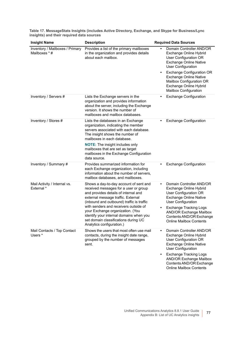| <b>Insight Name</b>                                     | <b>Description</b>                                                                                                                                                                                                                                                                                                                                                                                      | <b>Required Data Sources</b>                                                                                                                                                                                                                                                                                      |
|---------------------------------------------------------|---------------------------------------------------------------------------------------------------------------------------------------------------------------------------------------------------------------------------------------------------------------------------------------------------------------------------------------------------------------------------------------------------------|-------------------------------------------------------------------------------------------------------------------------------------------------------------------------------------------------------------------------------------------------------------------------------------------------------------------|
| <b>Inventory / Mailboxes / Primary</b><br>Mailboxes * # | Provides a list of the primary mailboxes<br>in the organization and provides details<br>about each mailbox.                                                                                                                                                                                                                                                                                             | Domain Controller AND/OR<br>$\bullet$<br>Exchange Online Hybrid<br>User Configuration OR<br><b>Exchange Online Native</b><br><b>User Configuration</b><br><b>Exchange Configuration OR</b><br><b>Exchange Online Native</b><br>Mailbox Configuration OR<br>Exchange Online Hybrid<br><b>Mailbox Configuration</b> |
| Inventory / Servers #                                   | Lists the Exchange servers in the<br>organization and provides information<br>about the server, including the Exchange<br>version. It shows the number of<br>mailboxes and mailbox databases.                                                                                                                                                                                                           | <b>Exchange Configuration</b>                                                                                                                                                                                                                                                                                     |
| Inventory / Stores #                                    | Lists the databases in an Exchange<br>organization, indicating the member<br>servers associated with each database.<br>The insight shows the number of<br>mailboxes in each database.<br><b>NOTE:</b> The insight includes only<br>mailboxes that are set as target<br>mailboxes in the Exchange Configuration<br>data source.                                                                          | <b>Exchange Configuration</b>                                                                                                                                                                                                                                                                                     |
| Inventory / Summary #                                   | Provides summarized information for<br>each Exchange organization, including<br>information about the number of servers,<br>mailbox databases, and mailboxes.                                                                                                                                                                                                                                           | <b>Exchange Configuration</b>                                                                                                                                                                                                                                                                                     |
| Mail Activity / Internal vs.<br>External *              | Shows a day-to-day account of sent and<br>received messages for a user or group<br>and provides details of internal and<br>external message traffic. External<br>(inbound and outbound) traffic is traffic<br>with senders and receivers outside of<br>your Exchange organization. (You<br>identify your internal domains when you<br>set domain classifications during UC<br>Analytics configuration.) | Domain Controller AND/OR<br>$\bullet$<br>Exchange Online Hybrid<br>User Configuration OR<br><b>Exchange Online Native</b><br><b>User Configuration</b><br><b>Exchange Tracking Logs</b><br><b>AND/OR Exchange Mailbox</b><br>Contents AND/OR Exchange<br><b>Online Mailbox Contents</b>                           |
| Mail Contacts / Top Contact<br>Users *                  | Shows the users that most often use mail<br>contacts, during the insight date range,<br>grouped by the number of messages<br>sent.                                                                                                                                                                                                                                                                      | Domain Controller AND/OR<br>Exchange Online Hybrid<br>User Configuration OR<br><b>Exchange Online Native</b><br><b>User Configuration</b><br><b>Exchange Tracking Logs</b><br><b>AND/OR Exchange Mailbox</b>                                                                                                      |

Contents AND/OR Exchange Online Mailbox Contents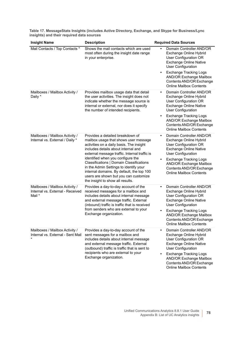| <b>Insight Name</b>                                                          | <b>Description</b>                                                                                                                                                                                                                                                                                                                                                                                                                                                 | <b>Required Data Sources</b>                                                                                                                                                            |
|------------------------------------------------------------------------------|--------------------------------------------------------------------------------------------------------------------------------------------------------------------------------------------------------------------------------------------------------------------------------------------------------------------------------------------------------------------------------------------------------------------------------------------------------------------|-----------------------------------------------------------------------------------------------------------------------------------------------------------------------------------------|
| Mail Contacts / Top Contacts *                                               | Shows the mail contacts which are used<br>most often during the insight date range<br>in your enterprise.                                                                                                                                                                                                                                                                                                                                                          | Domain Controller AND/OR<br>Exchange Online Hybrid<br>User Configuration OR<br><b>Exchange Online Native</b><br><b>User Configuration</b>                                               |
|                                                                              |                                                                                                                                                                                                                                                                                                                                                                                                                                                                    | <b>Exchange Tracking Logs</b><br><b>AND/OR Exchange Mailbox</b><br>Contents AND/OR Exchange<br><b>Online Mailbox Contents</b>                                                           |
| Mailboxes / Mailbox Activity /<br>Daily *                                    | Provides mailbox usage data that detail<br>the user activities. The insight does not<br>indicate whether the message source is<br>internal or external, nor does it specify<br>the number of intended recipients.                                                                                                                                                                                                                                                  | Domain Controller AND/OR<br>$\bullet$<br>Exchange Online Hybrid<br>User Configuration OR<br><b>Exchange Online Native</b><br><b>User Configuration</b><br><b>Exchange Tracking Logs</b> |
|                                                                              |                                                                                                                                                                                                                                                                                                                                                                                                                                                                    | <b>AND/OR Exchange Mailbox</b><br>Contents AND/OR Exchange<br><b>Online Mailbox Contents</b>                                                                                            |
| Mailboxes / Mailbox Activity /<br>Internal vs. External / Daily *            | Provides a detailed breakdown of<br>mailbox usage that shows user message<br>activities on a daily basis. The insight<br>includes details about internal and<br>external message traffic. Internal traffic is<br>identified when you configure the<br>Classifications   Domain Classifications<br>in the Admin Settings to identify your<br>internal domains. By default, the top 100<br>users are shown but you can customize<br>the insight to show all results. | Domain Controller AND/OR<br>$\bullet$<br>Exchange Online Hybrid<br>User Configuration OR<br><b>Exchange Online Native</b><br><b>User Configuration</b>                                  |
|                                                                              |                                                                                                                                                                                                                                                                                                                                                                                                                                                                    | <b>Exchange Tracking Logs</b><br><b>AND/OR Exchange Mailbox</b><br>Contents AND/OR Exchange<br><b>Online Mailbox Contents</b>                                                           |
| Mailboxes / Mailbox Activity /<br>Internal vs. External - Received<br>Mail * | Provides a day-to-day account of the<br>received messages for a mailbox and<br>includes details about internal message<br>and external message traffic. External<br>(inbound) traffic is traffic that is received<br>from senders who are external to your<br>Exchange organization.                                                                                                                                                                               | Domain Controller AND/OR<br>$\bullet$<br>Exchange Online Hybrid<br>User Configuration OR<br><b>Exchange Online Native</b><br><b>User Configuration</b>                                  |
|                                                                              |                                                                                                                                                                                                                                                                                                                                                                                                                                                                    | <b>Exchange Tracking Logs</b><br>$\bullet$<br><b>AND/OR Exchange Mailbox</b><br>Contents AND/OR Exchange<br><b>Online Mailbox Contents</b>                                              |
| Mailboxes / Mailbox Activity /<br>Internal vs. External - Sent Mail          | Provides a day-to-day account of the<br>sent messages for a mailbox and<br>includes details about internal message<br>and external message traffic. External<br>(outbound) traffic is traffic that is sent to<br>recipients who are external to your<br>Exchange organization.                                                                                                                                                                                     | Domain Controller AND/OR<br>Exchange Online Hybrid<br>User Configuration OR<br><b>Exchange Online Native</b><br><b>User Configuration</b>                                               |
|                                                                              |                                                                                                                                                                                                                                                                                                                                                                                                                                                                    | <b>Exchange Tracking Logs</b><br><b>AND/OR Exchange Mailbox</b><br>Contents AND/OR Exchange<br><b>Online Mailbox Contents</b>                                                           |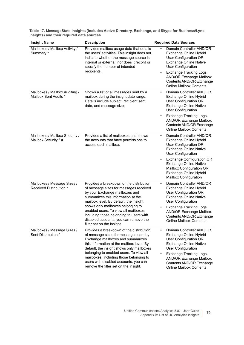| <b>Insight Name</b>                                     | <b>Description</b>                                                                                                                                                                                                                                                                                                                                                                                   | <b>Required Data Sources</b>                                                                                                                                                                                                                                |
|---------------------------------------------------------|------------------------------------------------------------------------------------------------------------------------------------------------------------------------------------------------------------------------------------------------------------------------------------------------------------------------------------------------------------------------------------------------------|-------------------------------------------------------------------------------------------------------------------------------------------------------------------------------------------------------------------------------------------------------------|
| Mailboxes / Mailbox Activity /<br>Summary *             | Provides mailbox usage data that details<br>the users' activities. This insight does not<br>indicate whether the message source is<br>internal or external, nor does it record or<br>specify the number of intended                                                                                                                                                                                  | Domain Controller AND/OR<br>Exchange Online Hybrid<br>User Configuration OR<br><b>Exchange Online Native</b><br><b>User Configuration</b>                                                                                                                   |
|                                                         | recipients.                                                                                                                                                                                                                                                                                                                                                                                          | <b>Exchange Tracking Logs</b><br>$\bullet$<br><b>AND/OR Exchange Mailbox</b><br>Contents AND/OR Exchange<br><b>Online Mailbox Contents</b>                                                                                                                  |
| Mailboxes / Mailbox Auditing /<br>Mailbox Sent Audits * | Shows a list of all messages sent by a<br>mailbox during the insight date range.<br>Details include subject, recipient sent<br>date, and message size.                                                                                                                                                                                                                                               | Domain Controller AND/OR<br>$\bullet$<br>Exchange Online Hybrid<br>User Configuration OR<br><b>Exchange Online Native</b><br><b>User Configuration</b>                                                                                                      |
|                                                         |                                                                                                                                                                                                                                                                                                                                                                                                      | <b>Exchange Tracking Logs</b><br><b>AND/OR Exchange Mailbox</b><br>Contents AND/OR Exchange<br><b>Online Mailbox Contents</b>                                                                                                                               |
| Mailboxes / Mailbox Security /<br>Mailbox Security * #  | Provides a list of mailboxes and shows<br>the accounts that have permissions to<br>access each mailbox.                                                                                                                                                                                                                                                                                              | Domain Controller AND/OR<br>$\bullet$<br>Exchange Online Hybrid<br>User Configuration OR<br><b>Exchange Online Native</b><br><b>User Configuration</b>                                                                                                      |
|                                                         |                                                                                                                                                                                                                                                                                                                                                                                                      | <b>Exchange Configuration OR</b><br><b>Exchange Online Native</b><br>Mailbox Configuration OR<br>Exchange Online Hybrid<br><b>Mailbox Configuration</b>                                                                                                     |
| Mailboxes / Message Sizes /<br>Received Distribution *  | Provides a breakdown of the distribution<br>of message sizes for messages received<br>by your Exchange mailboxes and<br>summarizes this information at the<br>mailbox level. By default, the insight<br>shows only mailboxes belonging to<br>enabled users. To view all mailboxes,<br>including those belonging to users with<br>disabled accounts, you can remove the<br>filter set on the insight. | Domain Controller AND/OR<br>$\bullet$<br>Exchange Online Hybrid<br>User Configuration OR<br><b>Exchange Online Native</b><br><b>User Configuration</b>                                                                                                      |
|                                                         |                                                                                                                                                                                                                                                                                                                                                                                                      | <b>Exchange Tracking Logs</b><br><b>AND/OR Exchange Mailbox</b><br>Contents AND/OR Exchange<br><b>Online Mailbox Contents</b>                                                                                                                               |
| Mailboxes / Message Sizes /<br>Sent Distribution *      | Provides a breakdown of the distribution<br>of message sizes for messages sent by<br>Exchange mailboxes and summarizes<br>this information at the mailbox level. By<br>default, the insight shows only mailboxes<br>belonging to enabled users. To view all<br>mailboxes, including those belonging to<br>users with disabled accounts, you can                                                      | Domain Controller AND/OR<br>$\bullet$<br>Exchange Online Hybrid<br>User Configuration OR<br><b>Exchange Online Native</b><br>User Configuration<br><b>Exchange Tracking Logs</b><br>$\bullet$<br><b>AND/OR Exchange Mailbox</b><br>Contents AND/OR Exchange |
|                                                         | remove the filter set on the insight.                                                                                                                                                                                                                                                                                                                                                                | <b>Online Mailbox Contents</b>                                                                                                                                                                                                                              |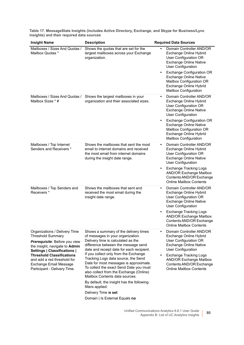| <b>Insight Name</b>                                                                                                                                                                                                          | <b>Description</b>                                                                                                                                                                                                                                                                                                                                                       | <b>Required Data Sources</b>                                                                                                                                                                                         |
|------------------------------------------------------------------------------------------------------------------------------------------------------------------------------------------------------------------------------|--------------------------------------------------------------------------------------------------------------------------------------------------------------------------------------------------------------------------------------------------------------------------------------------------------------------------------------------------------------------------|----------------------------------------------------------------------------------------------------------------------------------------------------------------------------------------------------------------------|
| Mailboxes / Sizes And Quotas /<br>Mailbox Quotas *                                                                                                                                                                           | Shows the quotas that are set for the<br>largest mailboxes across your Exchange<br>organization.                                                                                                                                                                                                                                                                         | Domain Controller AND/OR<br>Exchange Online Hybrid<br>User Configuration OR<br><b>Exchange Online Native</b><br><b>User Configuration</b>                                                                            |
|                                                                                                                                                                                                                              |                                                                                                                                                                                                                                                                                                                                                                          | <b>Exchange Configuration OR</b><br>٠<br><b>Exchange Online Native</b><br>Mailbox Configuration OR<br>Exchange Online Hybrid<br><b>Mailbox Configuration</b>                                                         |
| Mailboxes / Sizes And Quotas /<br>Mailbox Sizes * #                                                                                                                                                                          | Shows the largest mailboxes in your<br>organization and their associated sizes.                                                                                                                                                                                                                                                                                          | Domain Controller AND/OR<br>$\bullet$<br>Exchange Online Hybrid<br>User Configuration OR<br><b>Exchange Online Native</b><br><b>User Configuration</b>                                                               |
|                                                                                                                                                                                                                              |                                                                                                                                                                                                                                                                                                                                                                          | <b>Exchange Configuration OR</b><br><b>Exchange Online Native</b><br>Mailbox Configuration OR<br>Exchange Online Hybrid<br><b>Mailbox Configuration</b>                                                              |
| Mailboxes / Top Internet<br>Senders and Receivers *                                                                                                                                                                          | Shows the mailboxes that sent the most<br>email to internet domains and received<br>the most email from internet domains<br>during the insight date range.                                                                                                                                                                                                               | Domain Controller AND/OR<br>$\bullet$<br>Exchange Online Hybrid<br>User Configuration OR<br><b>Exchange Online Native</b><br><b>User Configuration</b>                                                               |
|                                                                                                                                                                                                                              |                                                                                                                                                                                                                                                                                                                                                                          | <b>Exchange Tracking Logs</b><br>٠<br><b>AND/OR Exchange Mailbox</b><br>Contents AND/OR Exchange<br><b>Online Mailbox Contents</b>                                                                                   |
| Mailboxes / Top Senders and<br>Receivers <sup>*</sup>                                                                                                                                                                        | Shows the mailboxes that sent and<br>received the most email during the<br>insight date range.                                                                                                                                                                                                                                                                           | Domain Controller AND/OR<br>$\bullet$<br>Exchange Online Hybrid<br>User Configuration OR<br><b>Exchange Online Native</b><br><b>User Configuration</b>                                                               |
|                                                                                                                                                                                                                              |                                                                                                                                                                                                                                                                                                                                                                          | <b>Exchange Tracking Logs</b><br><b>AND/OR Exchange Mailbox</b><br>Contents AND/OR Exchange<br><b>Online Mailbox Contents</b>                                                                                        |
| Organizations / Delivery Time<br><b>Threshold Summary</b>                                                                                                                                                                    | Shows a summary of the delivery times<br>of messages in your organization.                                                                                                                                                                                                                                                                                               | Domain Controller AND/OR<br>Exchange Online Hybrid                                                                                                                                                                   |
| Prerequisite: Before you view<br>the insight, navigate to Admin<br>Settings   Classifications  <br><b>Threshold Classifications</b><br>and add a red threshold for<br>Exchange Email Message<br>Participant - Delivery Time. | Delivery time is calculated as the<br>difference between the message send<br>date and receipt date for each recipient.<br>If you collect only from the Exchange<br>Tracking Logs data source, the Send<br>Date for most messages is approximate.<br>To collect the exact Send Date you must<br>also collect from the Exchange (Online)<br>Mailbox Contents data sources. | User Configuration OR<br><b>Exchange Online Native</b><br><b>User Configuration</b><br><b>Exchange Tracking Logs</b><br><b>AND/OR Exchange Mailbox</b><br>Contents AND/OR Exchange<br><b>Online Mailbox Contents</b> |
|                                                                                                                                                                                                                              | By default, the insight has the following<br>filters applied:                                                                                                                                                                                                                                                                                                            |                                                                                                                                                                                                                      |
|                                                                                                                                                                                                                              | Delivery Time is set<br>Domain   Is External Equals no                                                                                                                                                                                                                                                                                                                   |                                                                                                                                                                                                                      |
|                                                                                                                                                                                                                              |                                                                                                                                                                                                                                                                                                                                                                          |                                                                                                                                                                                                                      |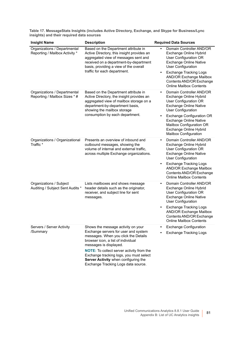| <b>Insight Name</b>                                            | <b>Description</b>                                                                                                                                                                                                                                                                                                                                               | <b>Required Data Sources</b>                                                                                                                                                                                                                                                                                      |
|----------------------------------------------------------------|------------------------------------------------------------------------------------------------------------------------------------------------------------------------------------------------------------------------------------------------------------------------------------------------------------------------------------------------------------------|-------------------------------------------------------------------------------------------------------------------------------------------------------------------------------------------------------------------------------------------------------------------------------------------------------------------|
| Organizations / Departmental<br>Reporting / Mailbox Activity * | Based on the Department attribute in<br>Active Directory, this insight provides an<br>aggregated view of messages sent and<br>received on a department-by-department<br>basis, providing a view of the overall                                                                                                                                                   | Domain Controller AND/OR<br>Exchange Online Hybrid<br>User Configuration OR<br><b>Exchange Online Native</b><br><b>User Configuration</b>                                                                                                                                                                         |
|                                                                | traffic for each department.                                                                                                                                                                                                                                                                                                                                     | <b>Exchange Tracking Logs</b><br>$\bullet$<br><b>AND/OR Exchange Mailbox</b><br>Contents AND/OR Exchange<br><b>Online Mailbox Contents</b>                                                                                                                                                                        |
| Organizations / Departmental<br>Reporting / Mailbox Sizes * #  | Based on the Department attribute in<br>Active Directory, the insight provides an<br>aggregated view of mailbox storage on a<br>department-by-department basis,<br>showing the mailbox storage<br>consumption by each department.                                                                                                                                | Domain Controller AND/OR<br>$\bullet$<br>Exchange Online Hybrid<br>User Configuration OR<br><b>Exchange Online Native</b><br><b>User Configuration</b><br><b>Exchange Configuration OR</b><br><b>Exchange Online Native</b><br>Mailbox Configuration OR<br>Exchange Online Hybrid<br><b>Mailbox Configuration</b> |
| Organizations / Organizational<br>Traffic*                     | Presents an overview of inbound and<br>outbound messages, showing the<br>volume of internal and external traffic,<br>across multiple Exchange organizations.                                                                                                                                                                                                     | Domain Controller AND/OR<br>Exchange Online Hybrid<br>User Configuration OR<br><b>Exchange Online Native</b><br><b>User Configuration</b><br><b>Exchange Tracking Logs</b><br>$\bullet$<br><b>AND/OR Exchange Mailbox</b><br>Contents AND/OR Exchange<br><b>Online Mailbox Contents</b>                           |
| Organizations / Subject<br>Auditing / Subject Sent Audits *    | Lists mailboxes and shows message<br>header details such as the originator,<br>receiver, and subject line for sent<br>messages.                                                                                                                                                                                                                                  | Domain Controller AND/OR<br>$\bullet$<br>Exchange Online Hybrid<br>User Configuration OR<br><b>Exchange Online Native</b><br><b>User Configuration</b><br><b>Exchange Tracking Logs</b><br>$\bullet$<br><b>AND/OR Exchange Mailbox</b><br>Contents AND/OR Exchange<br><b>Online Mailbox Contents</b>              |
| Servers / Server Activity<br>/Summary                          | Shows the message activity on your<br>Exchange servers for user and system<br>messages. When you click the Details<br>browser icon, a list of individual<br>messages is displayed.<br><b>NOTE:</b> To collect server activity from the<br>Exchange tracking logs, you must select<br>Server Activity when configuring the<br>Exchange Tracking Logs data source. | <b>Exchange Configuration</b><br><b>Exchange Tracking Logs</b>                                                                                                                                                                                                                                                    |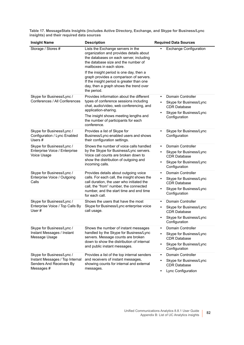| <b>Insight Name</b>                                                                                    | <b>Description</b>                                                                                                                                                                                                                                                                                                                                                                      | <b>Required Data Sources</b>                                                                                                                     |
|--------------------------------------------------------------------------------------------------------|-----------------------------------------------------------------------------------------------------------------------------------------------------------------------------------------------------------------------------------------------------------------------------------------------------------------------------------------------------------------------------------------|--------------------------------------------------------------------------------------------------------------------------------------------------|
| Storage / Stores #                                                                                     | Lists the Exchange servers in the<br>organization and provides details about<br>the databases on each server, including<br>the database size and the number of<br>mailboxes in each store.<br>If the insight period is one day, then a<br>graph provides a comparison of servers.<br>If the insight period is greater than one<br>day, then a graph shows the trend over<br>the period. | <b>Exchange Configuration</b>                                                                                                                    |
| Skype for Business/Lync /<br>Conferences / All Conferences                                             | Provides information about the different<br>types of conference sessions including<br>chat, audio/video, web conferencing, and<br>application-sharing.<br>The insight shows meeting lengths and<br>the number of participants for each<br>conference.                                                                                                                                   | <b>Domain Controller</b><br>$\bullet$<br>Skype for Business/Lync<br><b>CDR Database</b><br>Skype for Business/Lync<br>$\bullet$<br>Configuration |
| Skype for Business/Lync /<br>Configuration / Lync Enabled<br>Users $#$                                 | Provides a list of Skype for<br>Business/Lync-enabled users and shows<br>their configuration settings.                                                                                                                                                                                                                                                                                  | Skype for Business/Lync<br>Configuration                                                                                                         |
| Skype for Business/Lync /<br>Enterprise Voice / Enterprise<br>Voice Usage                              | Shows the number of voice calls handled<br>by the Skype for Business/Lync servers.<br>Voice call counts are broken down to<br>show the distribution of outgoing and<br>incoming calls.                                                                                                                                                                                                  | <b>Domain Controller</b><br>Skype for Business/Lync<br><b>CDR Database</b><br>Skype for Business/Lync<br>Configuration                           |
| Skype for Business/Lync /<br>Enterprise Voice / Outgoing<br>Calls                                      | Provides details about outgoing voice<br>calls. For each call, the insight shows the<br>call duration, the user who initiated the<br>call, the "from" number, the connected<br>number, and the start time and end time<br>for each call.                                                                                                                                                | <b>Domain Controller</b><br>Skype for Business/Lync<br>$\bullet$<br><b>CDR Database</b><br>Skype for Business/Lync<br>$\bullet$<br>Configuration |
| Skype for Business/Lync /<br>Enterprise Voice / Top Calls By<br>User#                                  | Shows the users that have the most<br>Skype for Business/Lync enterprise voice<br>call usage.                                                                                                                                                                                                                                                                                           | <b>Domain Controller</b><br>Skype for Business/Lync<br>$\bullet$<br><b>CDR Database</b><br>Skype for Business/Lync<br>Configuration              |
| Skype for Business/Lync /<br>Instant Messages / Instant<br>Message Usage                               | Shows the number of instant messages<br>handled by the Skype for Business/Lync<br>servers. Message counts are broken<br>down to show the distribution of internal<br>and public instant messages.                                                                                                                                                                                       | Domain Controller<br>Skype for Business/Lync<br><b>CDR Database</b><br>Skype for Business/Lync<br>Configuration                                  |
| Skype for Business/Lync /<br>Instant Messages / Top Internal<br>Senders And Receivers By<br>Messages # | Provides a list of the top internal senders<br>and receivers of instant messages,<br>showing counts for internal and external<br>messages.                                                                                                                                                                                                                                              | <b>Domain Controller</b><br>$\bullet$<br>Skype for Business/Lync<br><b>CDR Database</b><br>Lync Configuration                                    |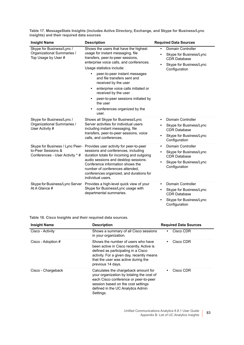| <b>Insight Name</b>                                                                      | <b>Description</b>                                                                                                                                                                                                                                                                                                                                                                                                                         | <b>Required Data Sources</b>                                                                                                        |
|------------------------------------------------------------------------------------------|--------------------------------------------------------------------------------------------------------------------------------------------------------------------------------------------------------------------------------------------------------------------------------------------------------------------------------------------------------------------------------------------------------------------------------------------|-------------------------------------------------------------------------------------------------------------------------------------|
| Skype for Business/Lync /<br>Organizational Summaries /<br>Top Usage by User #           | Shows the users that have the highest<br>usage for instant messaging, file<br>transfers, peer-to-peer sessions,<br>enterprise voice calls, and conferences.<br>Usage statistics include:<br>peer-to-peer instant messages<br>and file transfers sent and<br>received by the user<br>enterprise voice calls initiated or<br>received by the user<br>peer-to-peer sessions initiated by<br>the user<br>conferences organized by the<br>user. | Domain Controller<br>Skype for Business/Lync<br><b>CDR Database</b><br>Skype for Business/Lync<br>Configuration                     |
| Skype for Business/Lync /<br>Organizational Summaries /<br>User Activity #               | Shows all Skype for Business/Lync<br>Server activities for individual users<br>including instant messaging, file<br>transfers, peer-to-peer sessions, voice<br>calls, and conferences.                                                                                                                                                                                                                                                     | Domain Controller<br>$\bullet$<br>Skype for Business/Lync<br><b>CDR Database</b><br>Skype for Business/Lync<br>Configuration        |
| Skype for Business / Lync Peer-<br>to-Peer Sessions &<br>Conferences - User Activity * # | Provides user activity for peer-to-peer<br>sessions and conferences, including<br>duration totals for incoming and outgoing<br>audio sessions and desktop sessions.<br>Conference information shows the<br>number of conferences attended,<br>conferences organized, and durations for<br>individual users.                                                                                                                                | <b>Domain Controller</b><br>$\bullet$<br>Skype for Business/Lync<br><b>CDR Database</b><br>Skype for Business/Lync<br>Configuration |
| Skype for Business/Lync Server<br>At A Glance #                                          | Provides a high-level quick view of your<br>Skype for Business/Lync usage with<br>departmental summaries.                                                                                                                                                                                                                                                                                                                                  | <b>Domain Controller</b><br>Skype for Business/Lync<br><b>CDR Database</b><br>Skype for Business/Lync<br>Configuration              |

**Table 18. Cisco Insights and their required data sources.**

| <b>Insight Name</b> | <b>Description</b>                                                                                                                                                                                                             | <b>Required Data Sources</b> |
|---------------------|--------------------------------------------------------------------------------------------------------------------------------------------------------------------------------------------------------------------------------|------------------------------|
| Cisco - Activity    | Shows a summary of all Cisco sessions<br>in your organization.                                                                                                                                                                 | Cisco CDR                    |
| Cisco - Adoption #  | Shows the number of users who have<br>been active in Cisco recently. Active is<br>defined as participating in a Cisco<br>activity. For a given day, recently means<br>that the user was active during the<br>previous 14 days. | Cisco CDR                    |
| Cisco - Chargeback  | Calculates the chargeback amount for<br>your organization by totaling the cost of<br>each Cisco conference or peer-to-peer<br>session based on the cost settings<br>defined in the UC Analytics Admin<br>Settings.             | Cisco CDR                    |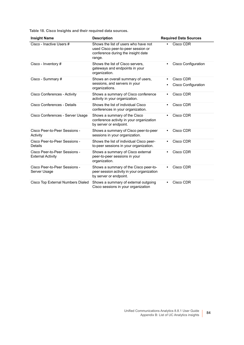**Table 18. Cisco Insights and their required data sources.**

| <b>Insight Name</b>                                       | <b>Description</b>                                                                                                         | <b>Required Data Sources</b>     |
|-----------------------------------------------------------|----------------------------------------------------------------------------------------------------------------------------|----------------------------------|
| Cisco - Inactive Users #                                  | Shows the list of users who have not<br>used Cisco peer-to-peer session or<br>conference during the insight date<br>range. | Cisco CDR                        |
| Cisco - Inventory #                                       | Shows the list of Cisco servers,<br>gateways and endpoints in your<br>organization.                                        | <b>Cisco Configuration</b>       |
| Cisco - Summary #                                         | Shows an overall summary of users,<br>sessions, and servers in your<br>organizations.                                      | Cisco CDR<br>Cisco Configuration |
| Cisco Conferences - Activity                              | Shows a summary of Cisco conference<br>activity in your organization.                                                      | Cisco CDR                        |
| Cisco Conferences - Details                               | Shows the list of individual Cisco<br>conferences in your organization.                                                    | Cisco CDR                        |
| Cisco Conferences - Server Usage                          | Shows a summary of the Cisco<br>conference activity in your organization<br>by server or endpoint.                         | Cisco CDR<br>$\bullet$           |
| Cisco Peer-to-Peer Sessions -<br>Activity                 | Shows a summary of Cisco peer-to-peer<br>sessions in your organization.                                                    | Cisco CDR                        |
| Cisco Peer-to-Peer Sessions -<br>Details                  | Shows the list of individual Cisco peer-<br>to-peer sessions in your organization.                                         | Cisco CDR                        |
| Cisco Peer-to-Peer Sessions -<br><b>External Activity</b> | Shows a summary of Cisco external<br>peer-to-peer sessions in your<br>organization.                                        | Cisco CDR                        |
| Cisco Peer-to-Peer Sessions -<br>Server Usage             | Shows a summary of the Cisco peer-to-<br>peer session activity in your organization<br>by server or endpoint.              | Cisco CDR                        |
| Cisco Top External Numbers Dialed                         | Shows a summary of external outgoing<br>Cisco sessions in your organization                                                | Cisco CDR                        |